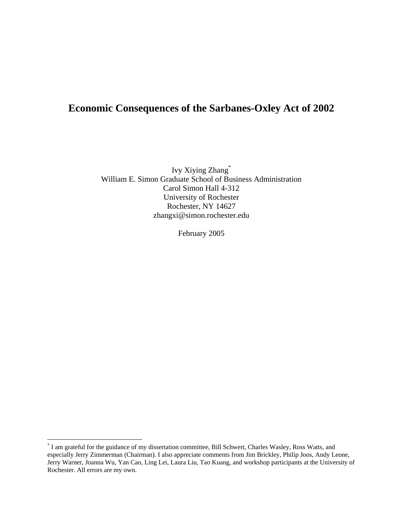# **Economic Consequences of the Sarbanes-Oxley Act of 2002**

Ivy Xiying Zhang[\\*](#page-0-0) William E. Simon Graduate School of Business Administration Carol Simon Hall 4-312 University of Rochester Rochester, NY 14627 zhangxi@simon.rochester.edu

February 2005

<span id="page-0-0"></span> \* I am grateful for the guidance of my dissertation committee, Bill Schwert, Charles Wasley, Ross Watts, and especially Jerry Zimmerman (Chairman). I also appreciate comments from Jim Brickley, Philip Joos, Andy Leone, Jerry Warner, Joanna Wu, Yan Cao, Ling Lei, Laura Liu, Tao Kuang, and workshop participants at the University of Rochester. All errors are my own.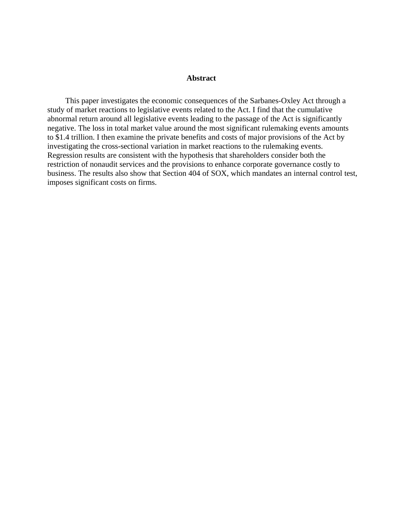#### **Abstract**

This paper investigates the economic consequences of the Sarbanes-Oxley Act through a study of market reactions to legislative events related to the Act. I find that the cumulative abnormal return around all legislative events leading to the passage of the Act is significantly negative. The loss in total market value around the most significant rulemaking events amounts to \$1.4 trillion. I then examine the private benefits and costs of major provisions of the Act by investigating the cross-sectional variation in market reactions to the rulemaking events. Regression results are consistent with the hypothesis that shareholders consider both the restriction of nonaudit services and the provisions to enhance corporate governance costly to business. The results also show that Section 404 of SOX, which mandates an internal control test, imposes significant costs on firms.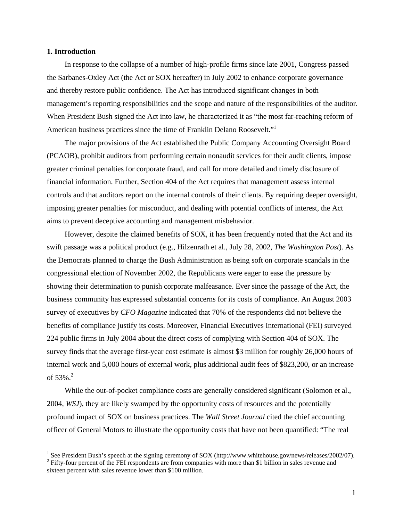#### **1. Introduction**

 $\overline{a}$ 

In response to the collapse of a number of high-profile firms since late 2001, Congress passed the Sarbanes-Oxley Act (the Act or SOX hereafter) in July 2002 to enhance corporate governance and thereby restore public confidence. The Act has introduced significant changes in both management's reporting responsibilities and the scope and nature of the responsibilities of the auditor. When President Bush signed the Act into law, he characterized it as "the most far-reaching reform of American business practices since the time of Franklin Delano Roosevelt.["1](#page-2-0)

The major provisions of the Act established the Public Company Accounting Oversight Board (PCAOB), prohibit auditors from performing certain nonaudit services for their audit clients, impose greater criminal penalties for corporate fraud, and call for more detailed and timely disclosure of financial information. Further, Section 404 of the Act requires that management assess internal controls and that auditors report on the internal controls of their clients. By requiring deeper oversight, imposing greater penalties for misconduct, and dealing with potential conflicts of interest, the Act aims to prevent deceptive accounting and management misbehavior.

However, despite the claimed benefits of SOX, it has been frequently noted that the Act and its swift passage was a political product (e.g., Hilzenrath et al., July 28, 2002, *The Washington Post*). As the Democrats planned to charge the Bush Administration as being soft on corporate scandals in the congressional election of November 2002, the Republicans were eager to ease the pressure by showing their determination to punish corporate malfeasance. Ever since the passage of the Act, the business community has expressed substantial concerns for its costs of compliance. An August 2003 survey of executives by *CFO Magazine* indicated that 70% of the respondents did not believe the benefits of compliance justify its costs. Moreover, Financial Executives International (FEI) surveyed 224 public firms in July 2004 about the direct costs of complying with Section 404 of SOX. The survey finds that the average first-year cost estimate is almost \$3 million for roughly 26,000 hours of internal work and 5,000 hours of external work, plus additional audit fees of \$823,200, or an increase of  $53\%$ <sup>[2](#page-2-1)</sup>.

While the out-of-pocket compliance costs are generally considered significant (Solomon et al., 2004, *WSJ*), they are likely swamped by the opportunity costs of resources and the potentially profound impact of SOX on business practices. The *Wall Street Journal* cited the chief accounting officer of General Motors to illustrate the opportunity costs that have not been quantified: "The real

<span id="page-2-0"></span><sup>&</sup>lt;sup>1</sup> See President Bush's speech at the signing ceremony of SOX (http://www.whitehouse.gov/news/releases/2002/07).

<span id="page-2-1"></span><sup>&</sup>lt;sup>2</sup> Fifty-four percent of the FEI respondents are from companies with more than \$1 billion in sales revenue and sixteen percent with sales revenue lower than \$100 million.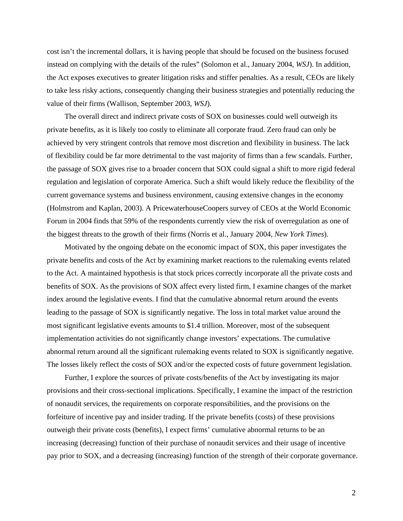cost isn't the incremental dollars, it is having people that should be focused on the business focused instead on complying with the details of the rules" (Solomon et al., January 2004, *WSJ*). In addition, the Act exposes executives to greater litigation risks and stiffer penalties. As a result, CEOs are likely to take less risky actions, consequently changing their business strategies and potentially reducing the value of their firms (Wallison, September 2003, *WSJ*).

The overall direct and indirect private costs of SOX on businesses could well outweigh its private benefits, as it is likely too costly to eliminate all corporate fraud. Zero fraud can only be achieved by very stringent controls that remove most discretion and flexibility in business. The lack of flexibility could be far more detrimental to the vast majority of firms than a few scandals. Further, the passage of SOX gives rise to a broader concern that SOX could signal a shift to more rigid federal regulation and legislation of corporate America. Such a shift would likely reduce the flexibility of the current governance systems and business environment, causing extensive changes in the economy (Holmstrom and Kaplan, 2003). A PricewaterhouseCoopers survey of CEOs at the World Economic Forum in 2004 finds that 59% of the respondents currently view the risk of overregulation as one of the biggest threats to the growth of their firms (Norris et al., January 2004, *New York Times*).

Motivated by the ongoing debate on the economic impact of SOX, this paper investigates the private benefits and costs of the Act by examining market reactions to the rulemaking events related to the Act. A maintained hypothesis is that stock prices correctly incorporate all the private costs and benefits of SOX. As the provisions of SOX affect every listed firm, I examine changes of the market index around the legislative events. I find that the cumulative abnormal return around the events leading to the passage of SOX is significantly negative. The loss in total market value around the most significant legislative events amounts to \$1.4 trillion. Moreover, most of the subsequent implementation activities do not significantly change investors' expectations. The cumulative abnormal return around all the significant rulemaking events related to SOX is significantly negative. The losses likely reflect the costs of SOX and/or the expected costs of future government legislation.

Further, I explore the sources of private costs/benefits of the Act by investigating its major provisions and their cross-sectional implications. Specifically, I examine the impact of the restriction of nonaudit services, the requirements on corporate responsibilities, and the provisions on the forfeiture of incentive pay and insider trading. If the private benefits (costs) of these provisions outweigh their private costs (benefits), I expect firms' cumulative abnormal returns to be an increasing (decreasing) function of their purchase of nonaudit services and their usage of incentive pay prior to SOX, and a decreasing (increasing) function of the strength of their corporate governance.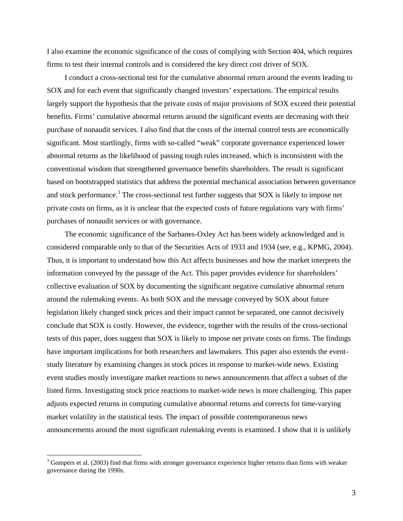I also examine the economic significance of the costs of complying with Section 404, which requires firms to test their internal controls and is considered the key direct cost driver of SOX.

I conduct a cross-sectional test for the cumulative abnormal return around the events leading to SOX and for each event that significantly changed investors' expectations. The empirical results largely support the hypothesis that the private costs of major provisions of SOX exceed their potential benefits. Firms' cumulative abnormal returns around the significant events are decreasing with their purchase of nonaudit services. I also find that the costs of the internal control tests are economically significant. Most startlingly, firms with so-called "weak" corporate governance experienced lower abnormal returns as the likelihood of passing tough rules increased, which is inconsistent with the conventional wisdom that strengthened governance benefits shareholders. The result is significant based on bootstrapped statistics that address the potential mechanical association between governance and stock performance.<sup>[3](#page-4-0)</sup> The cross-sectional test further suggests that SOX is likely to impose net private costs on firms, as it is unclear that the expected costs of future regulations vary with firms' purchases of nonaudit services or with governance.

The economic significance of the Sarbanes-Oxley Act has been widely acknowledged and is considered comparable only to that of the Securities Acts of 1933 and 1934 (see, e.g., KPMG, 2004). Thus, it is important to understand how this Act affects businesses and how the market interprets the information conveyed by the passage of the Act. This paper provides evidence for shareholders' collective evaluation of SOX by documenting the significant negative cumulative abnormal return around the rulemaking events. As both SOX and the message conveyed by SOX about future legislation likely changed stock prices and their impact cannot be separated, one cannot decisively conclude that SOX is costly. However, the evidence, together with the results of the cross-sectional tests of this paper, does suggest that SOX is likely to impose net private costs on firms. The findings have important implications for both researchers and lawmakers. This paper also extends the eventstudy literature by examining changes in stock prices in response to market-wide news. Existing event studies mostly investigate market reactions to news announcements that affect a subset of the listed firms. Investigating stock price reactions to market-wide news is more challenging. This paper adjusts expected returns in computing cumulative abnormal returns and corrects for time-varying market volatility in the statistical tests. The impact of possible contemporaneous news announcements around the most significant rulemaking events is examined. I show that it is unlikely

 $\overline{a}$ 

<span id="page-4-0"></span> $3$  Gompers et al. (2003) find that firms with stronger governance experience higher returns than firms with weaker governance during the 1990s.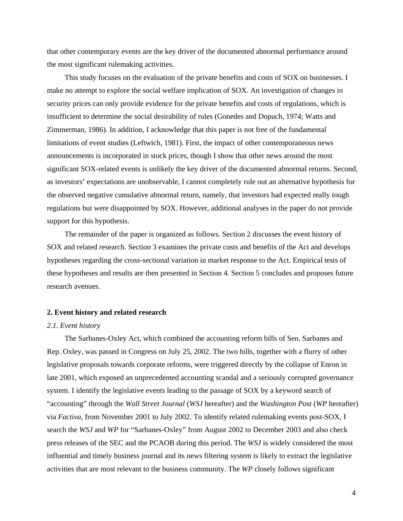that other contemporary events are the key driver of the documented abnormal performance around the most significant rulemaking activities.

This study focuses on the evaluation of the private benefits and costs of SOX on businesses. I make no attempt to explore the social welfare implication of SOX. An investigation of changes in security prices can only provide evidence for the private benefits and costs of regulations, which is insufficient to determine the social desirability of rules (Gonedes and Dopuch, 1974; Watts and Zimmerman, 1986). In addition, I acknowledge that this paper is not free of the fundamental limitations of event studies (Leftwich, 1981). First, the impact of other contemporaneous news announcements is incorporated in stock prices, though I show that other news around the most significant SOX-related events is unlikely the key driver of the documented abnormal returns. Second, as investors' expectations are unobservable, I cannot completely rule out an alternative hypothesis for the observed negative cumulative abnormal return, namely, that investors had expected really tough regulations but were disappointed by SOX. However, additional analyses in the paper do not provide support for this hypothesis.

The remainder of the paper is organized as follows. Section 2 discusses the event history of SOX and related research. Section 3 examines the private costs and benefits of the Act and develops hypotheses regarding the cross-sectional variation in market response to the Act. Empirical tests of these hypotheses and results are then presented in Section 4. Section 5 concludes and proposes future research avenues.

#### **2. Event history and related research**

#### *2.1. Event history*

The Sarbanes-Oxley Act, which combined the accounting reform bills of Sen. Sarbanes and Rep. Oxley, was passed in Congress on July 25, 2002. The two bills, together with a flurry of other legislative proposals towards corporate reforms, were triggered directly by the collapse of Enron in late 2001, which exposed an unprecedented accounting scandal and a seriously corrupted governance system. I identify the legislative events leading to the passage of SOX by a keyword search of "accounting" through the *Wall Street Journal* (*WSJ* hereafter) and the *Washington Post* (*WP* hereafter) via *Factiva*, from November 2001 to July 2002. To identify related rulemaking events post-SOX, I search the *WSJ* and *WP* for "Sarbanes-Oxley" from August 2002 to December 2003 and also check press releases of the SEC and the PCAOB during this period. The *WSJ* is widely considered the most influential and timely business journal and its news filtering system is likely to extract the legislative activities that are most relevant to the business community. The *WP* closely follows significant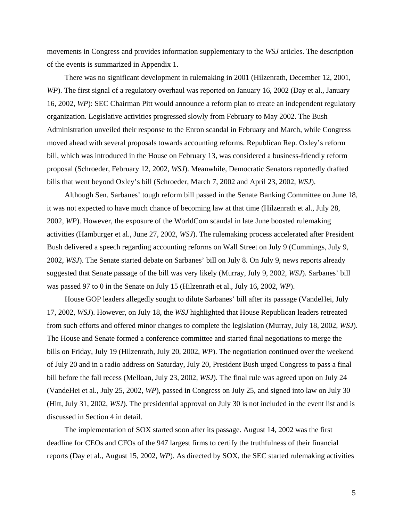movements in Congress and provides information supplementary to the *WSJ* articles. The description of the events is summarized in Appendix 1.

There was no significant development in rulemaking in 2001 (Hilzenrath, December 12, 2001, *WP*). The first signal of a regulatory overhaul was reported on January 16, 2002 (Day et al., January 16, 2002, *WP*): SEC Chairman Pitt would announce a reform plan to create an independent regulatory organization. Legislative activities progressed slowly from February to May 2002. The Bush Administration unveiled their response to the Enron scandal in February and March, while Congress moved ahead with several proposals towards accounting reforms. Republican Rep. Oxley's reform bill, which was introduced in the House on February 13, was considered a business-friendly reform proposal (Schroeder, February 12, 2002, *WSJ*). Meanwhile, Democratic Senators reportedly drafted bills that went beyond Oxley's bill (Schroeder, March 7, 2002 and April 23, 2002, *WSJ*).

Although Sen. Sarbanes' tough reform bill passed in the Senate Banking Committee on June 18, it was not expected to have much chance of becoming law at that time (Hilzenrath et al., July 28, 2002, *WP*). However, the exposure of the WorldCom scandal in late June boosted rulemaking activities (Hamburger et al., June 27, 2002, *WSJ*). The rulemaking process accelerated after President Bush delivered a speech regarding accounting reforms on Wall Street on July 9 (Cummings, July 9, 2002, *WSJ*). The Senate started debate on Sarbanes' bill on July 8. On July 9, news reports already suggested that Senate passage of the bill was very likely (Murray, July 9, 2002, *WSJ*). Sarbanes' bill was passed 97 to 0 in the Senate on July 15 (Hilzenrath et al., July 16, 2002, *WP*).

House GOP leaders allegedly sought to dilute Sarbanes' bill after its passage (VandeHei, July 17, 2002, *WSJ*). However, on July 18, the *WSJ* highlighted that House Republican leaders retreated from such efforts and offered minor changes to complete the legislation (Murray, July 18, 2002, *WSJ*). The House and Senate formed a conference committee and started final negotiations to merge the bills on Friday, July 19 (Hilzenrath, July 20, 2002, *WP*). The negotiation continued over the weekend of July 20 and in a radio address on Saturday, July 20, President Bush urged Congress to pass a final bill before the fall recess (Melloan, July 23, 2002, *WSJ*). The final rule was agreed upon on July 24 (VandeHei et al., July 25, 2002, *WP*), passed in Congress on July 25, and signed into law on July 30 (Hitt, July 31, 2002, *WSJ*). The presidential approval on July 30 is not included in the event list and is discussed in Section 4 in detail.

The implementation of SOX started soon after its passage. August 14, 2002 was the first deadline for CEOs and CFOs of the 947 largest firms to certify the truthfulness of their financial reports (Day et al., August 15, 2002, *WP*). As directed by SOX, the SEC started rulemaking activities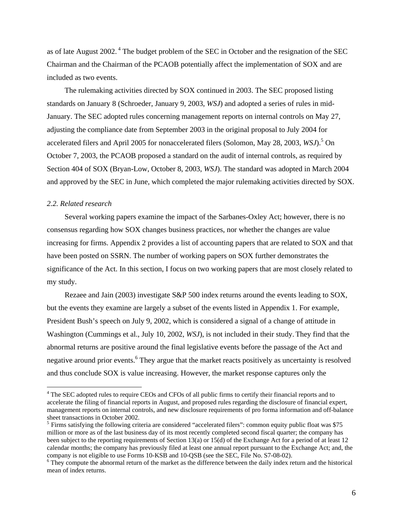as of late August 2002.<sup>4</sup> The budget problem of the SEC in October and the resignation of the SEC Chairman and the Chairman of the PCAOB potentially affect the implementation of SOX and are included as two events.

The rulemaking activities directed by SOX continued in 2003. The SEC proposed listing standards on January 8 (Schroeder, January 9, 2003, *WSJ*) and adopted a series of rules in mid-January. The SEC adopted rules concerning management reports on internal controls on May 27, adjusting the compliance date from September 2003 in the original proposal to July 2004 for accelerated filers and April 200[5](#page-7-1) for nonaccelerated filers (Solomon, May 28, 2003, *WSJ*).<sup>5</sup> On October 7, 2003, the PCAOB proposed a standard on the audit of internal controls, as required by Section 404 of SOX (Bryan-Low, October 8, 2003, *WSJ*). The standard was adopted in March 2004 and approved by the SEC in June, which completed the major rulemaking activities directed by SOX.

#### *2.2. Related research*

 $\overline{a}$ 

Several working papers examine the impact of the Sarbanes-Oxley Act; however, there is no consensus regarding how SOX changes business practices, nor whether the changes are value increasing for firms. Appendix 2 provides a list of accounting papers that are related to SOX and that have been posted on SSRN. The number of working papers on SOX further demonstrates the significance of the Act. In this section, I focus on two working papers that are most closely related to my study.

Rezaee and Jain (2003) investigate S&P 500 index returns around the events leading to SOX, but the events they examine are largely a subset of the events listed in Appendix 1. For example, President Bush's speech on July 9, 2002, which is considered a signal of a change of attitude in Washington (Cummings et al., July 10, 2002, *WSJ*), is not included in their study. They find that the abnormal returns are positive around the final legislative events before the passage of the Act and negative around prior events.<sup>6</sup> They argue that the market reacts positively as uncertainty is resolved and thus conclude SOX is value increasing. However, the market response captures only the

<span id="page-7-0"></span><sup>&</sup>lt;sup>4</sup> The SEC adopted rules to require CEOs and CFOs of all public firms to certify their financial reports and to accelerate the filing of financial reports in August, and proposed rules regarding the disclosure of financial expert, management reports on internal controls, and new disclosure requirements of pro forma information and off-balance sheet transactions in October 2002.

<span id="page-7-1"></span> $5$  Firms satisfying the following criteria are considered "accelerated filers": common equity public float was \$75 million or more as of the last business day of its most recently completed second fiscal quarter; the company has been subject to the reporting requirements of Section 13(a) or 15(d) of the Exchange Act for a period of at least 12 calendar months; the company has previously filed at least one annual report pursuant to the Exchange Act; and, the company is not eligible to use Forms 10-KSB and 10-QSB (see the SEC, File No. S7-08-02).

<span id="page-7-2"></span><sup>&</sup>lt;sup>6</sup> They compute the abnormal return of the market as the difference between the daily index return and the historical mean of index returns.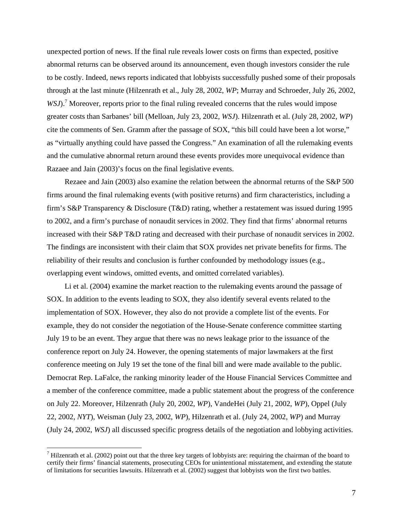unexpected portion of news. If the final rule reveals lower costs on firms than expected, positive abnormal returns can be observed around its announcement, even though investors consider the rule to be costly. Indeed, news reports indicated that lobbyists successfully pushed some of their proposals through at the last minute (Hilzenrath et al., July 28, 2002, *WP*; Murray and Schroeder, July 26, 2002, *WSJ*).<sup>7</sup> Moreover, reports prior to the final ruling revealed concerns that the rules would impose greater costs than Sarbanes' bill (Melloan, July 23, 2002, *WSJ*). Hilzenrath et al. (July 28, 2002, *WP*) cite the comments of Sen. Gramm after the passage of SOX, "this bill could have been a lot worse," as "virtually anything could have passed the Congress." An examination of all the rulemaking events and the cumulative abnormal return around these events provides more unequivocal evidence than Razaee and Jain (2003)'s focus on the final legislative events.

Rezaee and Jain (2003) also examine the relation between the abnormal returns of the S&P 500 firms around the final rulemaking events (with positive returns) and firm characteristics, including a firm's S&P Transparency & Disclosure (T&D) rating, whether a restatement was issued during 1995 to 2002, and a firm's purchase of nonaudit services in 2002. They find that firms' abnormal returns increased with their S&P T&D rating and decreased with their purchase of nonaudit services in 2002. The findings are inconsistent with their claim that SOX provides net private benefits for firms. The reliability of their results and conclusion is further confounded by methodology issues (e.g., overlapping event windows, omitted events, and omitted correlated variables).

Li et al. (2004) examine the market reaction to the rulemaking events around the passage of SOX. In addition to the events leading to SOX, they also identify several events related to the implementation of SOX. However, they also do not provide a complete list of the events. For example, they do not consider the negotiation of the House-Senate conference committee starting July 19 to be an event. They argue that there was no news leakage prior to the issuance of the conference report on July 24. However, the opening statements of major lawmakers at the first conference meeting on July 19 set the tone of the final bill and were made available to the public. Democrat Rep. LaFalce, the ranking minority leader of the House Financial Services Committee and a member of the conference committee, made a public statement about the progress of the conference on July 22. Moreover, Hilzenrath (July 20, 2002, *WP*), VandeHei (July 21, 2002, *WP*), Oppel (July 22, 2002, *NYT*), Weisman (July 23, 2002, *WP*), Hilzenrath et al. (July 24, 2002, *WP*) and Murray (July 24, 2002, *WSJ*) all discussed specific progress details of the negotiation and lobbying activities.

 $\overline{a}$ 

<span id="page-8-0"></span><sup>&</sup>lt;sup>7</sup> Hilzenrath et al. (2002) point out that the three key targets of lobbyists are: requiring the chairman of the board to certify their firms' financial statements, prosecuting CEOs for unintentional misstatement, and extending the statute of limitations for securities lawsuits. Hilzenrath et al. (2002) suggest that lobbyists won the first two battles.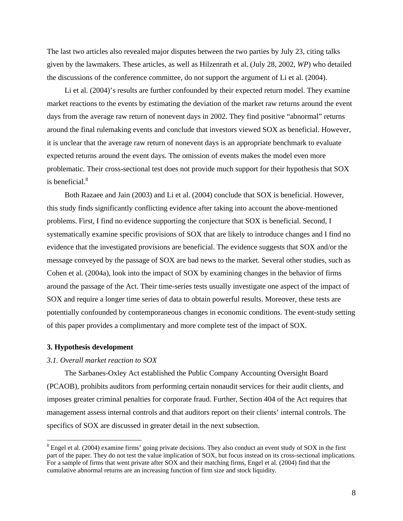The last two articles also revealed major disputes between the two parties by July 23, citing talks given by the lawmakers. These articles, as well as Hilzenrath et al. (July 28, 2002, *WP*) who detailed the discussions of the conference committee, do not support the argument of Li et al. (2004).

Li et al. (2004)'s results are further confounded by their expected return model. They examine market reactions to the events by estimating the deviation of the market raw returns around the event days from the average raw return of nonevent days in 2002. They find positive "abnormal" returns around the final rulemaking events and conclude that investors viewed SOX as beneficial. However, it is unclear that the average raw return of nonevent days is an appropriate benchmark to evaluate expected returns around the event days. The omission of events makes the model even more problematic. Their cross-sectional test does not provide much support for their hypothesis that SOX is beneficial.<sup>8</sup>

Both Razaee and Jain (2003) and Li et al. (2004) conclude that SOX is beneficial. However, this study finds significantly conflicting evidence after taking into account the above-mentioned problems. First, I find no evidence supporting the conjecture that SOX is beneficial. Second, I systematically examine specific provisions of SOX that are likely to introduce changes and I find no evidence that the investigated provisions are beneficial. The evidence suggests that SOX and/or the message conveyed by the passage of SOX are bad news to the market. Several other studies, such as Cohen et al. (2004a), look into the impact of SOX by examining changes in the behavior of firms around the passage of the Act. Their time-series tests usually investigate one aspect of the impact of SOX and require a longer time series of data to obtain powerful results. Moreover, these tests are potentially confounded by contemporaneous changes in economic conditions. The event-study setting of this paper provides a complimentary and more complete test of the impact of SOX.

#### **3. Hypothesis development**

 $\overline{a}$ 

#### *3.1. Overall market reaction to SOX*

The Sarbanes-Oxley Act established the Public Company Accounting Oversight Board (PCAOB), prohibits auditors from performing certain nonaudit services for their audit clients, and imposes greater criminal penalties for corporate fraud. Further, Section 404 of the Act requires that management assess internal controls and that auditors report on their clients' internal controls. The specifics of SOX are discussed in greater detail in the next subsection.

<span id="page-9-0"></span> $8$  Engel et al. (2004) examine firms' going private decisions. They also conduct an event study of SOX in the first part of the paper. They do not test the value implication of SOX, but focus instead on its cross-sectional implications. For a sample of firms that went private after SOX and their matching firms, Engel et al. (2004) find that the cumulative abnormal returns are an increasing function of firm size and stock liquidity.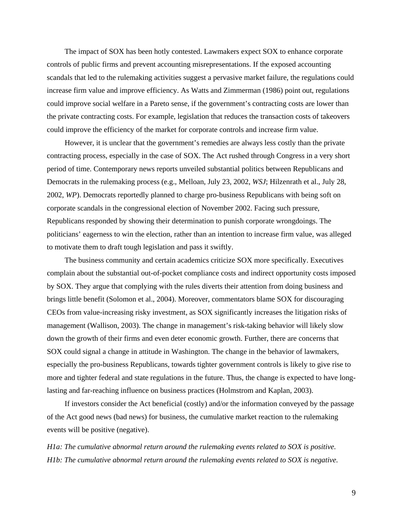The impact of SOX has been hotly contested. Lawmakers expect SOX to enhance corporate controls of public firms and prevent accounting misrepresentations. If the exposed accounting scandals that led to the rulemaking activities suggest a pervasive market failure, the regulations could increase firm value and improve efficiency. As Watts and Zimmerman (1986) point out, regulations could improve social welfare in a Pareto sense, if the government's contracting costs are lower than the private contracting costs. For example, legislation that reduces the transaction costs of takeovers could improve the efficiency of the market for corporate controls and increase firm value.

However, it is unclear that the government's remedies are always less costly than the private contracting process, especially in the case of SOX. The Act rushed through Congress in a very short period of time. Contemporary news reports unveiled substantial politics between Republicans and Democrats in the rulemaking process (e.g., Melloan, July 23, 2002, *WSJ*; Hilzenrath et al., July 28, 2002, *WP*). Democrats reportedly planned to charge pro-business Republicans with being soft on corporate scandals in the congressional election of November 2002. Facing such pressure, Republicans responded by showing their determination to punish corporate wrongdoings. The politicians' eagerness to win the election, rather than an intention to increase firm value, was alleged to motivate them to draft tough legislation and pass it swiftly.

The business community and certain academics criticize SOX more specifically. Executives complain about the substantial out-of-pocket compliance costs and indirect opportunity costs imposed by SOX. They argue that complying with the rules diverts their attention from doing business and brings little benefit (Solomon et al., 2004). Moreover, commentators blame SOX for discouraging CEOs from value-increasing risky investment, as SOX significantly increases the litigation risks of management (Wallison, 2003). The change in management's risk-taking behavior will likely slow down the growth of their firms and even deter economic growth. Further, there are concerns that SOX could signal a change in attitude in Washington. The change in the behavior of lawmakers, especially the pro-business Republicans, towards tighter government controls is likely to give rise to more and tighter federal and state regulations in the future. Thus, the change is expected to have longlasting and far-reaching influence on business practices (Holmstrom and Kaplan, 2003).

If investors consider the Act beneficial (costly) and/or the information conveyed by the passage of the Act good news (bad news) for business, the cumulative market reaction to the rulemaking events will be positive (negative).

*H1a: The cumulative abnormal return around the rulemaking events related to SOX is positive. H1b: The cumulative abnormal return around the rulemaking events related to SOX is negative.*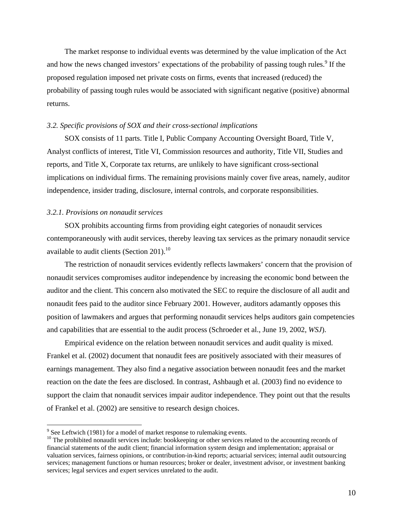The market response to individual events was determined by the value implication of the Act and how the news changed investors' expectations of the probability of passing tough rules.<sup>9</sup> If the proposed regulation imposed net private costs on firms, events that increased (reduced) the probability of passing tough rules would be associated with significant negative (positive) abnormal returns.

#### *3.2. Specific provisions of SOX and their cross-sectional implications*

SOX consists of 11 parts. Title I, Public Company Accounting Oversight Board, Title V, Analyst conflicts of interest, Title VI, Commission resources and authority, Title VII, Studies and reports, and Title X, Corporate tax returns, are unlikely to have significant cross-sectional implications on individual firms. The remaining provisions mainly cover five areas, namely, auditor independence, insider trading, disclosure, internal controls, and corporate responsibilities.

#### *3.2.1. Provisions on nonaudit services*

 $\overline{a}$ 

SOX prohibits accounting firms from providing eight categories of nonaudit services contemporaneously with audit services, thereby leaving tax services as the primary nonaudit service available to audit clients (Section 201).<sup>10</sup>

The restriction of nonaudit services evidently reflects lawmakers' concern that the provision of nonaudit services compromises auditor independence by increasing the economic bond between the auditor and the client. This concern also motivated the SEC to require the disclosure of all audit and nonaudit fees paid to the auditor since February 2001. However, auditors adamantly opposes this position of lawmakers and argues that performing nonaudit services helps auditors gain competencies and capabilities that are essential to the audit process (Schroeder et al., June 19, 2002, *WSJ*).

Empirical evidence on the relation between nonaudit services and audit quality is mixed. Frankel et al. (2002) document that nonaudit fees are positively associated with their measures of earnings management. They also find a negative association between nonaudit fees and the market reaction on the date the fees are disclosed. In contrast, Ashbaugh et al. (2003) find no evidence to support the claim that nonaudit services impair auditor independence. They point out that the results of Frankel et al. (2002) are sensitive to research design choices.

<span id="page-11-0"></span> $9^9$  See Leftwich (1981) for a model of market response to rulemaking events.

<span id="page-11-1"></span><sup>&</sup>lt;sup>10</sup> The prohibited nonaudit services include: bookkeeping or other services related to the accounting records of financial statements of the audit client; financial information system design and implementation; appraisal or valuation services, fairness opinions, or contribution-in-kind reports; actuarial services; internal audit outsourcing services; management functions or human resources; broker or dealer, investment advisor, or investment banking services; legal services and expert services unrelated to the audit.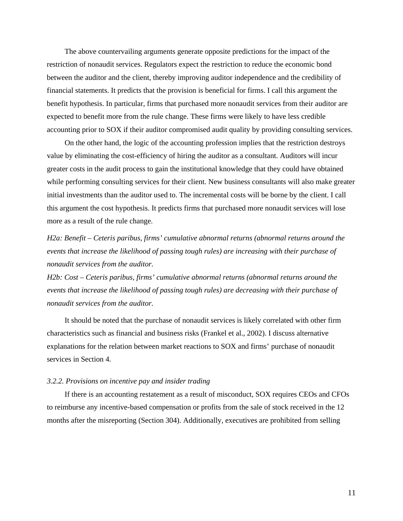The above countervailing arguments generate opposite predictions for the impact of the restriction of nonaudit services. Regulators expect the restriction to reduce the economic bond between the auditor and the client, thereby improving auditor independence and the credibility of financial statements. It predicts that the provision is beneficial for firms. I call this argument the benefit hypothesis. In particular, firms that purchased more nonaudit services from their auditor are expected to benefit more from the rule change. These firms were likely to have less credible accounting prior to SOX if their auditor compromised audit quality by providing consulting services.

On the other hand, the logic of the accounting profession implies that the restriction destroys value by eliminating the cost-efficiency of hiring the auditor as a consultant. Auditors will incur greater costs in the audit process to gain the institutional knowledge that they could have obtained while performing consulting services for their client. New business consultants will also make greater initial investments than the auditor used to. The incremental costs will be borne by the client. I call this argument the cost hypothesis. It predicts firms that purchased more nonaudit services will lose more as a result of the rule change.

*H2a: Benefit – Ceteris paribus, firms' cumulative abnormal returns (abnormal returns around the events that increase the likelihood of passing tough rules) are increasing with their purchase of nonaudit services from the auditor.* 

*H2b: Cost – Ceteris paribus, firms' cumulative abnormal returns (abnormal returns around the events that increase the likelihood of passing tough rules) are decreasing with their purchase of nonaudit services from the auditor.* 

It should be noted that the purchase of nonaudit services is likely correlated with other firm characteristics such as financial and business risks (Frankel et al., 2002). I discuss alternative explanations for the relation between market reactions to SOX and firms' purchase of nonaudit services in Section 4.

#### *3.2.2. Provisions on incentive pay and insider trading*

If there is an accounting restatement as a result of misconduct, SOX requires CEOs and CFOs to reimburse any incentive-based compensation or profits from the sale of stock received in the 12 months after the misreporting (Section 304). Additionally, executives are prohibited from selling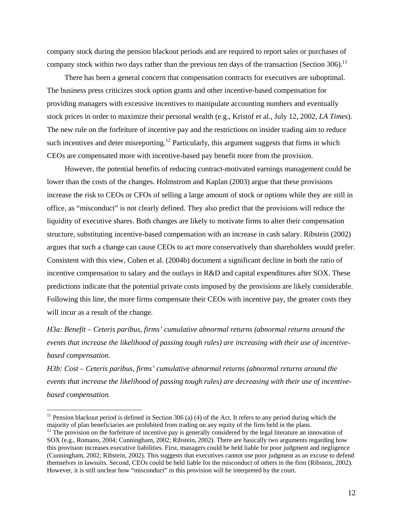company stock during the pension blackout periods and are required to report sales or purchases of company stock within two days rather than the previous ten days of the transaction (Section 306).<sup>11</sup>

There has been a general concern that compensation contracts for executives are suboptimal. The business press criticizes stock option grants and other incentive-based compensation for providing managers with excessive incentives to manipulate accounting numbers and eventually stock prices in order to maximize their personal wealth (e.g., Kristof et al., July 12, 2002, *LA Times*). The new rule on the forfeiture of incentive pay and the restrictions on insider trading aim to reduce such incentives and deter misreporting.<sup>12</sup> Particularly, this argument suggests that firms in which CEOs are compensated more with incentive-based pay benefit more from the provision.

However, the potential benefits of reducing contract-motivated earnings management could be lower than the costs of the changes. Holmstrom and Kaplan (2003) argue that these provisions increase the risk to CEOs or CFOs of selling a large amount of stock or options while they are still in office, as "misconduct" is not clearly defined. They also predict that the provisions will reduce the liquidity of executive shares. Both changes are likely to motivate firms to alter their compensation structure, substituting incentive-based compensation with an increase in cash salary. Ribstein (2002) argues that such a change can cause CEOs to act more conservatively than shareholders would prefer. Consistent with this view, Cohen et al. (2004b) document a significant decline in both the ratio of incentive compensation to salary and the outlays in R&D and capital expenditures after SOX. These predictions indicate that the potential private costs imposed by the provisions are likely considerable. Following this line, the more firms compensate their CEOs with incentive pay, the greater costs they will incur as a result of the change.

*H3a: Benefit – Ceteris paribus, firms' cumulative abnormal returns (abnormal returns around the events that increase the likelihood of passing tough rules) are increasing with their use of incentivebased compensation.*

*H3b: Cost – Ceteris paribus, firms' cumulative abnormal returns (abnormal returns around the events that increase the likelihood of passing tough rules) are decreasing with their use of incentivebased compensation.* 

 $\overline{a}$ 

<span id="page-13-1"></span><span id="page-13-0"></span><sup>&</sup>lt;sup>11</sup> Pension blackout period is defined in Section 306 (a) (4) of the Act. It refers to any period during which the majority of plan beneficiaries are prohibited from trading on any equity of the firm held in the plans.  $12$  The provision on the forfeiture of incentive pay is generally considered by the legal literature an innovation o SOX (e.g., Romano, 2004; Cunningham, 2002; Ribstein, 2002). There are basically two arguments regarding how this provision increases executive liabilities. First, managers could be held liable for poor judgment and negligence (Cunningham, 2002; Ribstein, 2002). This suggests that executives cannot use poor judgment as an excuse to defend themselves in lawsuits. Second, CEOs could be held liable for the misconduct of others in the firm (Ribstein, 2002). However, it is still unclear how "misconduct" in this provision will be interpreted by the court.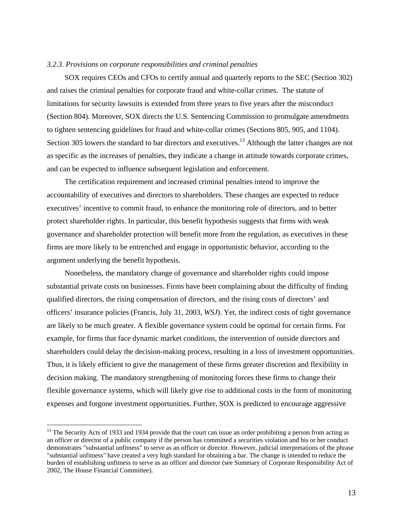#### *3.2.3. Provisions on corporate responsibilities and criminal penalties*

SOX requires CEOs and CFOs to certify annual and quarterly reports to the SEC (Section 302) and raises the criminal penalties for corporate fraud and white-collar crimes. The statute of limitations for security lawsuits is extended from three years to five years after the misconduct (Section 804). Moreover, SOX directs the U.S. Sentencing Commission to promulgate amendments to tighten sentencing guidelines for fraud and white-collar crimes (Sections 805, 905, and 1104). Section 305 lowers the standard to bar directors and executives.<sup>13</sup> Although the latter changes are not as specific as the increases of penalties, they indicate a change in attitude towards corporate crimes, and can be expected to influence subsequent legislation and enforcement.

The certification requirement and increased criminal penalties intend to improve the accountability of executives and directors to shareholders. These changes are expected to reduce executives' incentive to commit fraud, to enhance the monitoring role of directors, and to better protect shareholder rights. In particular, this benefit hypothesis suggests that firms with weak governance and shareholder protection will benefit more from the regulation, as executives in these firms are more likely to be entrenched and engage in opportunistic behavior, according to the argument underlying the benefit hypothesis.

Nonetheless, the mandatory change of governance and shareholder rights could impose substantial private costs on businesses. Firms have been complaining about the difficulty of finding qualified directors, the rising compensation of directors, and the rising costs of directors' and officers' insurance policies (Francis, July 31, 2003, *WSJ*). Yet, the indirect costs of tight governance are likely to be much greater. A flexible governance system could be optimal for certain firms. For example, for firms that face dynamic market conditions, the intervention of outside directors and shareholders could delay the decision-making process, resulting in a loss of investment opportunities. Thus, it is likely efficient to give the management of these firms greater discretion and flexibility in decision making. The mandatory strengthening of monitoring forces these firms to change their flexible governance systems, which will likely give rise to additional costs in the form of monitoring expenses and forgone investment opportunities. Further, SOX is predicted to encourage aggressive

 $\overline{a}$ 

<span id="page-14-0"></span><sup>&</sup>lt;sup>13</sup> The Security Acts of 1933 and 1934 provide that the court can issue an order prohibiting a person from acting as an officer or director of a public company if the person has committed a securities violation and his or her conduct demonstrates "substantial unfitness" to serve as an officer or director. However, judicial interpretations of the phrase "substantial unfitness" have created a very high standard for obtaining a bar. The change is intended to reduce the burden of establishing unfitness to serve as an officer and director (see Summary of Corporate Responsibility Act of 2002, The House Financial Committee).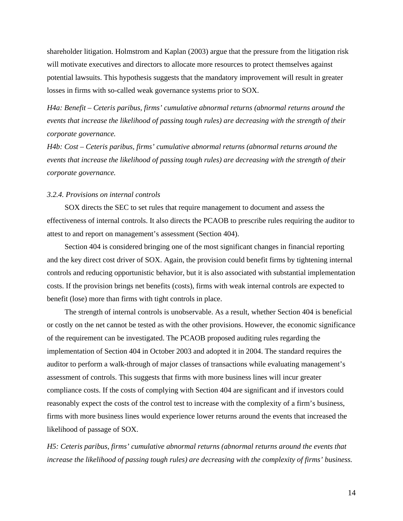shareholder litigation. Holmstrom and Kaplan (2003) argue that the pressure from the litigation risk will motivate executives and directors to allocate more resources to protect themselves against potential lawsuits. This hypothesis suggests that the mandatory improvement will result in greater losses in firms with so-called weak governance systems prior to SOX.

*H4a: Benefit – Ceteris paribus, firms' cumulative abnormal returns (abnormal returns around the events that increase the likelihood of passing tough rules) are decreasing with the strength of their corporate governance.* 

*H4b: Cost – Ceteris paribus, firms' cumulative abnormal returns (abnormal returns around the events that increase the likelihood of passing tough rules) are decreasing with the strength of their corporate governance.* 

#### *3.2.4. Provisions on internal controls*

SOX directs the SEC to set rules that require management to document and assess the effectiveness of internal controls. It also directs the PCAOB to prescribe rules requiring the auditor to attest to and report on management's assessment (Section 404).

Section 404 is considered bringing one of the most significant changes in financial reporting and the key direct cost driver of SOX. Again, the provision could benefit firms by tightening internal controls and reducing opportunistic behavior, but it is also associated with substantial implementation costs. If the provision brings net benefits (costs), firms with weak internal controls are expected to benefit (lose) more than firms with tight controls in place.

The strength of internal controls is unobservable. As a result, whether Section 404 is beneficial or costly on the net cannot be tested as with the other provisions. However, the economic significance of the requirement can be investigated. The PCAOB proposed auditing rules regarding the implementation of Section 404 in October 2003 and adopted it in 2004. The standard requires the auditor to perform a walk-through of major classes of transactions while evaluating management's assessment of controls. This suggests that firms with more business lines will incur greater compliance costs. If the costs of complying with Section 404 are significant and if investors could reasonably expect the costs of the control test to increase with the complexity of a firm's business, firms with more business lines would experience lower returns around the events that increased the likelihood of passage of SOX.

*H5: Ceteris paribus, firms' cumulative abnormal returns (abnormal returns around the events that increase the likelihood of passing tough rules) are decreasing with the complexity of firms' business.*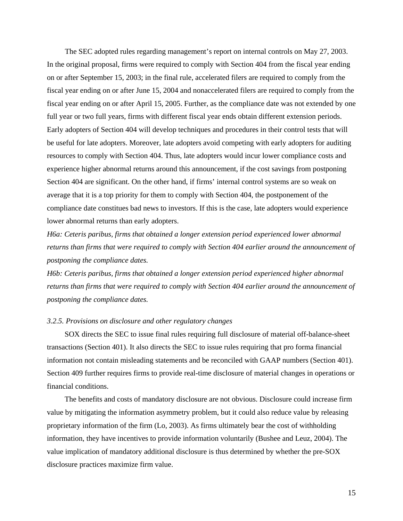The SEC adopted rules regarding management's report on internal controls on May 27, 2003. In the original proposal, firms were required to comply with Section 404 from the fiscal year ending on or after September 15, 2003; in the final rule, accelerated filers are required to comply from the fiscal year ending on or after June 15, 2004 and nonaccelerated filers are required to comply from the fiscal year ending on or after April 15, 2005. Further, as the compliance date was not extended by one full year or two full years, firms with different fiscal year ends obtain different extension periods. Early adopters of Section 404 will develop techniques and procedures in their control tests that will be useful for late adopters. Moreover, late adopters avoid competing with early adopters for auditing resources to comply with Section 404. Thus, late adopters would incur lower compliance costs and experience higher abnormal returns around this announcement, if the cost savings from postponing Section 404 are significant. On the other hand, if firms' internal control systems are so weak on average that it is a top priority for them to comply with Section 404, the postponement of the compliance date constitues bad news to investors. If this is the case, late adopters would experience lower abnormal returns than early adopters.

*H6a: Ceteris paribus, firms that obtained a longer extension period experienced lower abnormal returns than firms that were required to comply with Section 404 earlier around the announcement of postponing the compliance dates.* 

*H6b: Ceteris paribus, firms that obtained a longer extension period experienced higher abnormal returns than firms that were required to comply with Section 404 earlier around the announcement of postponing the compliance dates.* 

#### *3.2.5. Provisions on disclosure and other regulatory changes*

SOX directs the SEC to issue final rules requiring full disclosure of material off-balance-sheet transactions (Section 401). It also directs the SEC to issue rules requiring that pro forma financial information not contain misleading statements and be reconciled with GAAP numbers (Section 401). Section 409 further requires firms to provide real-time disclosure of material changes in operations or financial conditions.

The benefits and costs of mandatory disclosure are not obvious. Disclosure could increase firm value by mitigating the information asymmetry problem, but it could also reduce value by releasing proprietary information of the firm (Lo, 2003). As firms ultimately bear the cost of withholding information, they have incentives to provide information voluntarily (Bushee and Leuz, 2004). The value implication of mandatory additional disclosure is thus determined by whether the pre-SOX disclosure practices maximize firm value.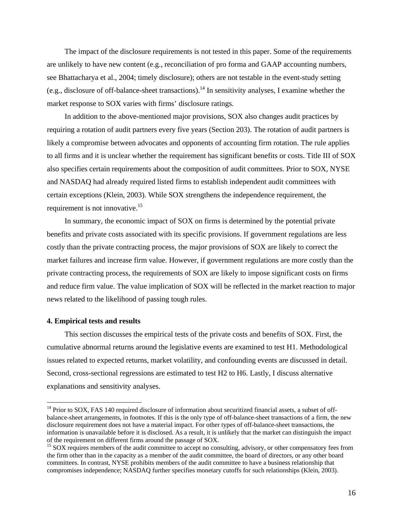The impact of the disclosure requirements is not tested in this paper. Some of the requirements are unlikely to have new content (e.g., reconciliation of pro forma and GAAP accounting numbers, see Bhattacharya et al., 2004; timely disclosure); others are not testable in the event-study setting (e.g., disclosure of off-balance-sheet transactions).<sup>14</sup> In sensitivity analyses, I examine whether the market response to SOX varies with firms' disclosure ratings.

In addition to the above-mentioned major provisions, SOX also changes audit practices by requiring a rotation of audit partners every five years (Section 203). The rotation of audit partners is likely a compromise between advocates and opponents of accounting firm rotation. The rule applies to all firms and it is unclear whether the requirement has significant benefits or costs. Title III of SOX also specifies certain requirements about the composition of audit committees. Prior to SOX, NYSE and NASDAQ had already required listed firms to establish independent audit committees with certain exceptions (Klein, 2003). While SOX strengthens the independence requirement, the requirement is not innovative.<sup>15</sup>

In summary, the economic impact of SOX on firms is determined by the potential private benefits and private costs associated with its specific provisions. If government regulations are less costly than the private contracting process, the major provisions of SOX are likely to correct the market failures and increase firm value. However, if government regulations are more costly than the private contracting process, the requirements of SOX are likely to impose significant costs on firms and reduce firm value. The value implication of SOX will be reflected in the market reaction to major news related to the likelihood of passing tough rules.

#### **4. Empirical tests and results**

 $\overline{a}$ 

This section discusses the empirical tests of the private costs and benefits of SOX. First, the cumulative abnormal returns around the legislative events are examined to test H1. Methodological issues related to expected returns, market volatility, and confounding events are discussed in detail. Second, cross-sectional regressions are estimated to test H2 to H6. Lastly, I discuss alternative explanations and sensitivity analyses.

<span id="page-17-0"></span><sup>&</sup>lt;sup>14</sup> Prior to SOX, FAS 140 required disclosure of information about securitized financial assets, a subset of offbalance-sheet arrangements, in footnotes. If this is the only type of off-balance-sheet transactions of a firm, the new disclosure requirement does not have a material impact. For other types of off-balance-sheet transactions, the information is unavailable before it is disclosed. As a result, it is unlikely that the market can distinguish the impact of the requirement on different firms around the passage of SOX.

<span id="page-17-1"></span><sup>&</sup>lt;sup>15</sup> SOX requires members of the audit committee to accept no consulting, advisory, or other compensatory fees from the firm other than in the capacity as a member of the audit committee, the board of directors, or any other board committees. In contrast, NYSE prohibits members of the audit committee to have a business relationship that compromises independence; NASDAQ further specifies monetary cutoffs for such relationships (Klein, 2003).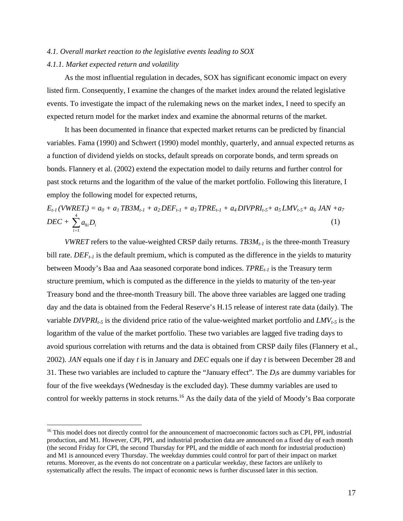#### *4.1. Overall market reaction to the legislative events leading to SOX*

#### *4.1.1. Market expected return and volatility*

 $\overline{a}$ 

As the most influential regulation in decades, SOX has significant economic impact on every listed firm. Consequently, I examine the changes of the market index around the related legislative events. To investigate the impact of the rulemaking news on the market index, I need to specify an expected return model for the market index and examine the abnormal returns of the market.

It has been documented in finance that expected market returns can be predicted by financial variables. Fama (1990) and Schwert (1990) model monthly, quarterly, and annual expected returns as a function of dividend yields on stocks, default spreads on corporate bonds, and term spreads on bonds. Flannery et al. (2002) extend the expectation model to daily returns and further control for past stock returns and the logarithm of the value of the market portfolio. Following this literature, I employ the following model for expected returns,

$$
E_{t-1}(VWRET_t) = a_0 + a_1 TBSM_{t-1} + a_2 DEF_{t-1} + a_3 TPRE_{t-1} + a_4 DIVPRI_{t-5} + a_5 LMV_{t-5} + a_6 JAN + a_7
$$
  
DEC + 
$$
\sum_{i=1}^{4} a_{8i} D_i
$$
 (1)

*VWRET* refers to the value-weighted CRSP daily returns.  $TB3M_{t-1}$  is the three-month Treasury bill rate.  $DEF_{t-1}$  is the default premium, which is computed as the difference in the yields to maturity between Moody's Baa and Aaa seasoned corporate bond indices. *TPRE<sub>t-1</sub>* is the Treasury term structure premium, which is computed as the difference in the yields to maturity of the ten-year Treasury bond and the three-month Treasury bill. The above three variables are lagged one trading day and the data is obtained from the Federal Reserve's H.15 release of interest rate data (daily). The variable *DIVPRI<sub>t-5</sub>* is the dividend price ratio of the value-weighted market portfolio and  $LMV_{t-5}$  is the logarithm of the value of the market portfolio. These two variables are lagged five trading days to avoid spurious correlation with returns and the data is obtained from CRSP daily files (Flannery et al., 2002). *JAN* equals one if day *t* is in January and *DEC* equals one if day *t* is between December 28 and 31. These two variables are included to capture the "January effect". The *Di*s are dummy variables for four of the five weekdays (Wednesday is the excluded day). These dummy variables are used to control for weekly patterns in stock returns.<sup>16</sup> As the daily data of the yield of Moody's Baa corporate

<span id="page-18-0"></span><sup>&</sup>lt;sup>16</sup> This model does not directly control for the announcement of macroeconomic factors such as CPI, PPI, industrial production, and M1. However, CPI, PPI, and industrial production data are announced on a fixed day of each month (the second Friday for CPI, the second Thursday for PPI, and the middle of each month for industrial production) and M1 is announced every Thursday. The weekday dummies could control for part of their impact on market returns. Moreover, as the events do not concentrate on a particular weekday, these factors are unlikely to systematically affect the results. The impact of economic news is further discussed later in this section.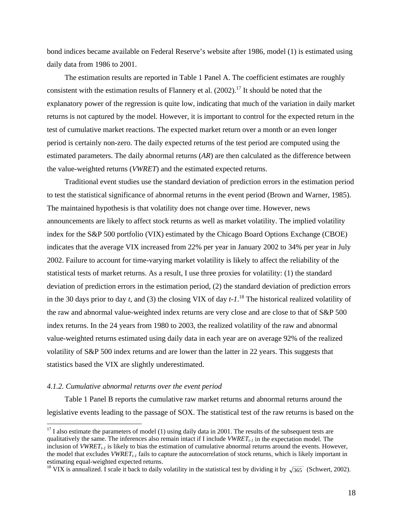bond indices became available on Federal Reserve's website after 1986, model (1) is estimated using daily data from 1986 to 2001.

The estimation results are reported in Table 1 Panel A. The coefficient estimates are roughly consistent with the estimation results of Flannery et al.  $(2002)$ .<sup>17</sup> It should be noted that the explanatory power of the regression is quite low, indicating that much of the variation in daily market returns is not captured by the model. However, it is important to control for the expected return in the test of cumulative market reactions. The expected market return over a month or an even longer period is certainly non-zero. The daily expected returns of the test period are computed using the estimated parameters. The daily abnormal returns (*AR*) are then calculated as the difference between the value-weighted returns (*VWRET*) and the estimated expected returns.

Traditional event studies use the standard deviation of prediction errors in the estimation period to test the statistical significance of abnormal returns in the event period (Brown and Warner, 1985). The maintained hypothesis is that volatility does not change over time. However, news announcements are likely to affect stock returns as well as market volatility. The implied volatility index for the S&P 500 portfolio (VIX) estimated by the Chicago Board Options Exchange (CBOE) indicates that the average VIX increased from 22% per year in January 2002 to 34% per year in July 2002. Failure to account for time-varying market volatility is likely to affect the reliability of the statistical tests of market returns. As a result, I use three proxies for volatility: (1) the standard deviation of prediction errors in the estimation period, (2) the standard deviation of prediction errors in the 30 days prior to day *t*, and (3) the closing VIX of day *t-1*. [18](#page-19-1) The historical realized volatility of the raw and abnormal value-weighted index returns are very close and are close to that of S&P 500 index returns. In the 24 years from 1980 to 2003, the realized volatility of the raw and abnormal value-weighted returns estimated using daily data in each year are on average 92% of the realized volatility of S&P 500 index returns and are lower than the latter in 22 years. This suggests that statistics based the VIX are slightly underestimated.

#### *4.1.2. Cumulative abnormal returns over the event period*

 $\overline{a}$ 

Table 1 Panel B reports the cumulative raw market returns and abnormal returns around the legislative events leading to the passage of SOX. The statistical test of the raw returns is based on the

<span id="page-19-0"></span> $17$  I also estimate the parameters of model (1) using daily data in 2001. The results of the subsequent tests are qualitatively the same. The inferences also remain intact if I include  $VWRET_{t-1}$  in the expectation model. The inclusion of *VWRET<sub>t-1</sub>* is likely to bias the estimation of cumulative abnormal returns around the events. However, the model that excludes  $VWRET_{t-1}$  fails to capture the autocorrelation of stock returns, which is likely important in estimating equal-weighted expected returns.

<span id="page-19-1"></span><sup>&</sup>lt;sup>18</sup> VIX is annualized. I scale it back to daily volatility in the statistical test by dividing it by  $\sqrt{365}$  (Schwert, 2002).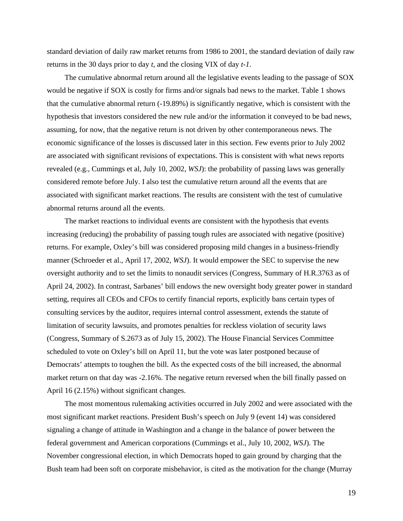standard deviation of daily raw market returns from 1986 to 2001, the standard deviation of daily raw returns in the 30 days prior to day *t*, and the closing VIX of day *t-1*.

The cumulative abnormal return around all the legislative events leading to the passage of SOX would be negative if SOX is costly for firms and/or signals bad news to the market. Table 1 shows that the cumulative abnormal return (-19.89%) is significantly negative, which is consistent with the hypothesis that investors considered the new rule and/or the information it conveyed to be bad news, assuming, for now, that the negative return is not driven by other contemporaneous news. The economic significance of the losses is discussed later in this section. Few events prior to July 2002 are associated with significant revisions of expectations. This is consistent with what news reports revealed (e.g., Cummings et al, July 10, 2002, *WSJ*): the probability of passing laws was generally considered remote before July. I also test the cumulative return around all the events that are associated with significant market reactions. The results are consistent with the test of cumulative abnormal returns around all the events.

The market reactions to individual events are consistent with the hypothesis that events increasing (reducing) the probability of passing tough rules are associated with negative (positive) returns. For example, Oxley's bill was considered proposing mild changes in a business-friendly manner (Schroeder et al., April 17, 2002, *WSJ*). It would empower the SEC to supervise the new oversight authority and to set the limits to nonaudit services (Congress, Summary of H.R.3763 as of April 24, 2002). In contrast, Sarbanes' bill endows the new oversight body greater power in standard setting, requires all CEOs and CFOs to certify financial reports, explicitly bans certain types of consulting services by the auditor, requires internal control assessment, extends the statute of limitation of security lawsuits, and promotes penalties for reckless violation of security laws (Congress, Summary of S.2673 as of July 15, 2002). The House Financial Services Committee scheduled to vote on Oxley's bill on April 11, but the vote was later postponed because of Democrats' attempts to toughen the bill. As the expected costs of the bill increased, the abnormal market return on that day was -2.16%. The negative return reversed when the bill finally passed on April 16 (2.15%) without significant changes.

The most momentous rulemaking activities occurred in July 2002 and were associated with the most significant market reactions. President Bush's speech on July 9 (event 14) was considered signaling a change of attitude in Washington and a change in the balance of power between the federal government and American corporations (Cummings et al., July 10, 2002, *WSJ*). The November congressional election, in which Democrats hoped to gain ground by charging that the Bush team had been soft on corporate misbehavior, is cited as the motivation for the change (Murray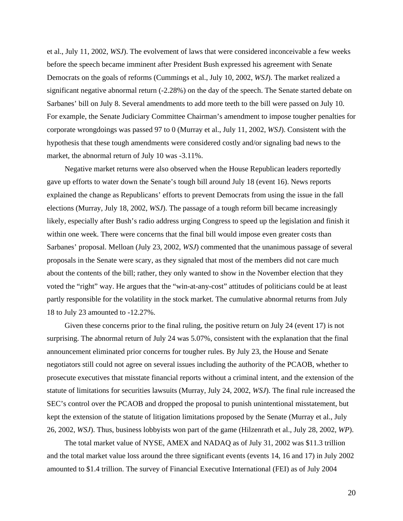et al., July 11, 2002, *WSJ*). The evolvement of laws that were considered inconceivable a few weeks before the speech became imminent after President Bush expressed his agreement with Senate Democrats on the goals of reforms (Cummings et al., July 10, 2002, *WSJ*). The market realized a significant negative abnormal return (-2.28%) on the day of the speech. The Senate started debate on Sarbanes' bill on July 8. Several amendments to add more teeth to the bill were passed on July 10. For example, the Senate Judiciary Committee Chairman's amendment to impose tougher penalties for corporate wrongdoings was passed 97 to 0 (Murray et al., July 11, 2002, *WSJ*). Consistent with the hypothesis that these tough amendments were considered costly and/or signaling bad news to the market, the abnormal return of July 10 was -3.11%.

Negative market returns were also observed when the House Republican leaders reportedly gave up efforts to water down the Senate's tough bill around July 18 (event 16). News reports explained the change as Republicans' efforts to prevent Democrats from using the issue in the fall elections (Murray, July 18, 2002, *WSJ*). The passage of a tough reform bill became increasingly likely, especially after Bush's radio address urging Congress to speed up the legislation and finish it within one week. There were concerns that the final bill would impose even greater costs than Sarbanes' proposal. Melloan (July 23, 2002, *WSJ*) commented that the unanimous passage of several proposals in the Senate were scary, as they signaled that most of the members did not care much about the contents of the bill; rather, they only wanted to show in the November election that they voted the "right" way. He argues that the "win-at-any-cost" attitudes of politicians could be at least partly responsible for the volatility in the stock market. The cumulative abnormal returns from July 18 to July 23 amounted to -12.27%.

Given these concerns prior to the final ruling, the positive return on July 24 (event 17) is not surprising. The abnormal return of July 24 was 5.07%, consistent with the explanation that the final announcement eliminated prior concerns for tougher rules. By July 23, the House and Senate negotiators still could not agree on several issues including the authority of the PCAOB, whether to prosecute executives that misstate financial reports without a criminal intent, and the extension of the statute of limitations for securities lawsuits (Murray, July 24, 2002, *WSJ*). The final rule increased the SEC's control over the PCAOB and dropped the proposal to punish unintentional misstatement, but kept the extension of the statute of litigation limitations proposed by the Senate (Murray et al., July 26, 2002, *WSJ*). Thus, business lobbyists won part of the game (Hilzenrath et al., July 28, 2002, *WP*).

The total market value of NYSE, AMEX and NADAQ as of July 31, 2002 was \$11.3 trillion and the total market value loss around the three significant events (events 14, 16 and 17) in July 2002 amounted to \$1.4 trillion. The survey of Financial Executive International (FEI) as of July 2004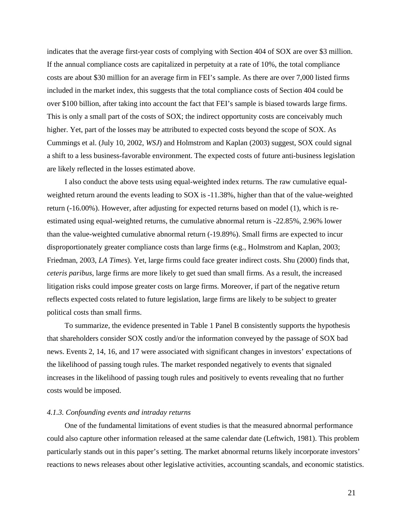indicates that the average first-year costs of complying with Section 404 of SOX are over \$3 million. If the annual compliance costs are capitalized in perpetuity at a rate of 10%, the total compliance costs are about \$30 million for an average firm in FEI's sample. As there are over 7,000 listed firms included in the market index, this suggests that the total compliance costs of Section 404 could be over \$100 billion, after taking into account the fact that FEI's sample is biased towards large firms. This is only a small part of the costs of SOX; the indirect opportunity costs are conceivably much higher. Yet, part of the losses may be attributed to expected costs beyond the scope of SOX. As Cummings et al. (July 10, 2002, *WSJ*) and Holmstrom and Kaplan (2003) suggest, SOX could signal a shift to a less business-favorable environment. The expected costs of future anti-business legislation are likely reflected in the losses estimated above.

I also conduct the above tests using equal-weighted index returns. The raw cumulative equalweighted return around the events leading to SOX is -11.38%, higher than that of the value-weighted return (-16.00%). However, after adjusting for expected returns based on model (1), which is reestimated using equal-weighted returns, the cumulative abnormal return is -22.85%, 2.96% lower than the value-weighted cumulative abnormal return (-19.89%). Small firms are expected to incur disproportionately greater compliance costs than large firms (e.g., Holmstrom and Kaplan, 2003; Friedman, 2003, *LA Times*). Yet, large firms could face greater indirect costs. Shu (2000) finds that, *ceteris paribus*, large firms are more likely to get sued than small firms. As a result, the increased litigation risks could impose greater costs on large firms. Moreover, if part of the negative return reflects expected costs related to future legislation, large firms are likely to be subject to greater political costs than small firms.

To summarize, the evidence presented in Table 1 Panel B consistently supports the hypothesis that shareholders consider SOX costly and/or the information conveyed by the passage of SOX bad news. Events 2, 14, 16, and 17 were associated with significant changes in investors' expectations of the likelihood of passing tough rules. The market responded negatively to events that signaled increases in the likelihood of passing tough rules and positively to events revealing that no further costs would be imposed.

#### *4.1.3. Confounding events and intraday returns*

One of the fundamental limitations of event studies is that the measured abnormal performance could also capture other information released at the same calendar date (Leftwich, 1981). This problem particularly stands out in this paper's setting. The market abnormal returns likely incorporate investors' reactions to news releases about other legislative activities, accounting scandals, and economic statistics.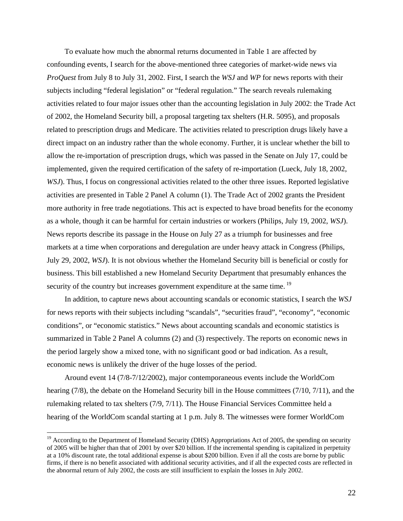To evaluate how much the abnormal returns documented in Table 1 are affected by confounding events, I search for the above-mentioned three categories of market-wide news via *ProQuest* from July 8 to July 31, 2002. First, I search the *WSJ* and *WP* for news reports with their subjects including "federal legislation" or "federal regulation." The search reveals rulemaking activities related to four major issues other than the accounting legislation in July 2002: the Trade Act of 2002, the Homeland Security bill, a proposal targeting tax shelters (H.R. 5095), and proposals related to prescription drugs and Medicare. The activities related to prescription drugs likely have a direct impact on an industry rather than the whole economy. Further, it is unclear whether the bill to allow the re-importation of prescription drugs, which was passed in the Senate on July 17, could be implemented, given the required certification of the safety of re-importation (Lueck, July 18, 2002, *WSJ*). Thus, I focus on congressional activities related to the other three issues. Reported legislative activities are presented in Table 2 Panel A column (1). The Trade Act of 2002 grants the President more authority in free trade negotiations. This act is expected to have broad benefits for the economy as a whole, though it can be harmful for certain industries or workers (Philips, July 19, 2002, *WSJ*). News reports describe its passage in the House on July 27 as a triumph for businesses and free markets at a time when corporations and deregulation are under heavy attack in Congress (Philips, July 29, 2002, *WSJ*). It is not obvious whether the Homeland Security bill is beneficial or costly for business. This bill established a new Homeland Security Department that presumably enhances the security of the country but increases government expenditure at the same time.<sup>19</sup>

In addition, to capture news about accounting scandals or economic statistics, I search the *WSJ* for news reports with their subjects including "scandals", "securities fraud", "economy", "economic conditions", or "economic statistics." News about accounting scandals and economic statistics is summarized in Table 2 Panel A columns (2) and (3) respectively. The reports on economic news in the period largely show a mixed tone, with no significant good or bad indication. As a result, economic news is unlikely the driver of the huge losses of the period.

Around event 14 (7/8-7/12/2002), major contemporaneous events include the WorldCom hearing (7/8), the debate on the Homeland Security bill in the House committees (7/10, 7/11), and the rulemaking related to tax shelters (7/9, 7/11). The House Financial Services Committee held a hearing of the WorldCom scandal starting at 1 p.m. July 8. The witnesses were former WorldCom

 $\overline{a}$ 

<span id="page-23-0"></span><sup>&</sup>lt;sup>19</sup> According to the Department of Homeland Security (DHS) Appropriations Act of 2005, the spending on security of 2005 will be higher than that of 2001 by over \$20 billion. If the incremental spending is capitalized in perpetuity at a 10% discount rate, the total additional expense is about \$200 billion. Even if all the costs are borne by public firms, if there is no benefit associated with additional security activities, and if all the expected costs are reflected in the abnormal return of July 2002, the costs are still insufficient to explain the losses in July 2002.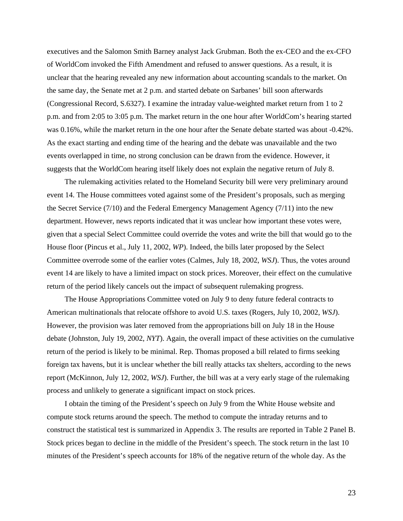executives and the Salomon Smith Barney analyst Jack Grubman. Both the ex-CEO and the ex-CFO of WorldCom invoked the Fifth Amendment and refused to answer questions. As a result, it is unclear that the hearing revealed any new information about accounting scandals to the market. On the same day, the Senate met at 2 p.m. and started debate on Sarbanes' bill soon afterwards (Congressional Record, S.6327). I examine the intraday value-weighted market return from 1 to 2 p.m. and from 2:05 to 3:05 p.m. The market return in the one hour after WorldCom's hearing started was 0.16%, while the market return in the one hour after the Senate debate started was about -0.42%. As the exact starting and ending time of the hearing and the debate was unavailable and the two events overlapped in time, no strong conclusion can be drawn from the evidence. However, it suggests that the WorldCom hearing itself likely does not explain the negative return of July 8.

The rulemaking activities related to the Homeland Security bill were very preliminary around event 14. The House committees voted against some of the President's proposals, such as merging the Secret Service (7/10) and the Federal Emergency Management Agency (7/11) into the new department. However, news reports indicated that it was unclear how important these votes were, given that a special Select Committee could override the votes and write the bill that would go to the House floor (Pincus et al., July 11, 2002, *WP*). Indeed, the bills later proposed by the Select Committee overrode some of the earlier votes (Calmes, July 18, 2002, *WSJ*). Thus, the votes around event 14 are likely to have a limited impact on stock prices. Moreover, their effect on the cumulative return of the period likely cancels out the impact of subsequent rulemaking progress.

The House Appropriations Committee voted on July 9 to deny future federal contracts to American multinationals that relocate offshore to avoid U.S. taxes (Rogers, July 10, 2002, *WSJ*). However, the provision was later removed from the appropriations bill on July 18 in the House debate (Johnston, July 19, 2002, *NYT*). Again, the overall impact of these activities on the cumulative return of the period is likely to be minimal. Rep. Thomas proposed a bill related to firms seeking foreign tax havens, but it is unclear whether the bill really attacks tax shelters, according to the news report (McKinnon, July 12, 2002, *WSJ*). Further, the bill was at a very early stage of the rulemaking process and unlikely to generate a significant impact on stock prices.

I obtain the timing of the President's speech on July 9 from the White House website and compute stock returns around the speech. The method to compute the intraday returns and to construct the statistical test is summarized in Appendix 3. The results are reported in Table 2 Panel B. Stock prices began to decline in the middle of the President's speech. The stock return in the last 10 minutes of the President's speech accounts for 18% of the negative return of the whole day. As the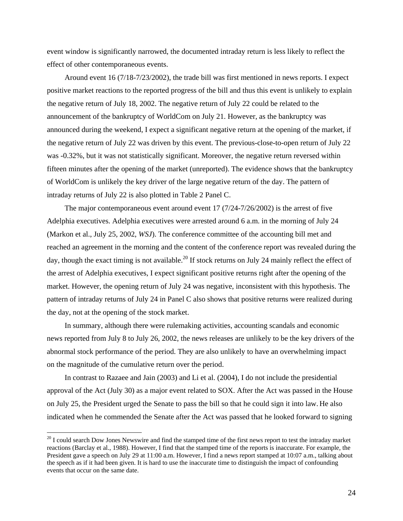event window is significantly narrowed, the documented intraday return is less likely to reflect the effect of other contemporaneous events.

Around event 16 (7/18-7/23/2002), the trade bill was first mentioned in news reports. I expect positive market reactions to the reported progress of the bill and thus this event is unlikely to explain the negative return of July 18, 2002. The negative return of July 22 could be related to the announcement of the bankruptcy of WorldCom on July 21. However, as the bankruptcy was announced during the weekend, I expect a significant negative return at the opening of the market, if the negative return of July 22 was driven by this event. The previous-close-to-open return of July 22 was -0.32%, but it was not statistically significant. Moreover, the negative return reversed within fifteen minutes after the opening of the market (unreported). The evidence shows that the bankruptcy of WorldCom is unlikely the key driver of the large negative return of the day. The pattern of intraday returns of July 22 is also plotted in Table 2 Panel C.

The major contemporaneous event around event 17 (7/24-7/26/2002) is the arrest of five Adelphia executives. Adelphia executives were arrested around 6 a.m. in the morning of July 24 (Markon et al., July 25, 2002, *WSJ*). The conference committee of the accounting bill met and reached an agreement in the morning and the content of the conference report was revealed during the day, though the exact timing is not available.<sup>20</sup> If stock returns on July 24 mainly reflect the effect of the arrest of Adelphia executives, I expect significant positive returns right after the opening of the market. However, the opening return of July 24 was negative, inconsistent with this hypothesis. The pattern of intraday returns of July 24 in Panel C also shows that positive returns were realized during the day, not at the opening of the stock market.

In summary, although there were rulemaking activities, accounting scandals and economic news reported from July 8 to July 26, 2002, the news releases are unlikely to be the key drivers of the abnormal stock performance of the period. They are also unlikely to have an overwhelming impact on the magnitude of the cumulative return over the period.

In contrast to Razaee and Jain (2003) and Li et al. (2004), I do not include the presidential approval of the Act (July 30) as a major event related to SOX. After the Act was passed in the House on July 25, the President urged the Senate to pass the bill so that he could sign it into law. He also indicated when he commended the Senate after the Act was passed that he looked forward to signing

 $\overline{a}$ 

<span id="page-25-0"></span> $20$  I could search Dow Jones Newswire and find the stamped time of the first news report to test the intraday market reactions (Barclay et al., 1988). However, I find that the stamped time of the reports is inaccurate. For example, the President gave a speech on July 29 at 11:00 a.m. However, I find a news report stamped at 10:07 a.m., talking about the speech as if it had been given. It is hard to use the inaccurate time to distinguish the impact of confounding events that occur on the same date.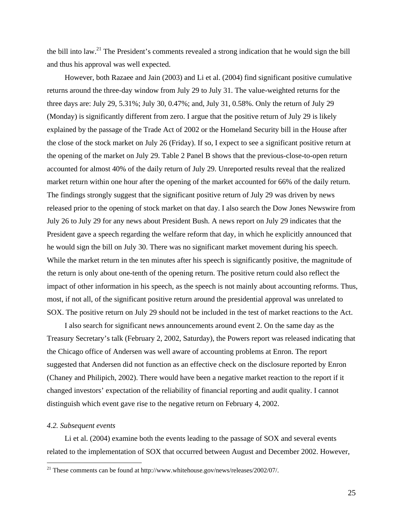the bill into law.<sup>21</sup> The President's comments revealed a strong indication that he would sign the bill and thus his approval was well expected.

However, both Razaee and Jain (2003) and Li et al. (2004) find significant positive cumulative returns around the three-day window from July 29 to July 31. The value-weighted returns for the three days are: July 29, 5.31%; July 30, 0.47%; and, July 31, 0.58%. Only the return of July 29 (Monday) is significantly different from zero. I argue that the positive return of July 29 is likely explained by the passage of the Trade Act of 2002 or the Homeland Security bill in the House after the close of the stock market on July 26 (Friday). If so, I expect to see a significant positive return at the opening of the market on July 29. Table 2 Panel B shows that the previous-close-to-open return accounted for almost 40% of the daily return of July 29. Unreported results reveal that the realized market return within one hour after the opening of the market accounted for 66% of the daily return. The findings strongly suggest that the significant positive return of July 29 was driven by news released prior to the opening of stock market on that day. I also search the Dow Jones Newswire from July 26 to July 29 for any news about President Bush. A news report on July 29 indicates that the President gave a speech regarding the welfare reform that day, in which he explicitly announced that he would sign the bill on July 30. There was no significant market movement during his speech. While the market return in the ten minutes after his speech is significantly positive, the magnitude of the return is only about one-tenth of the opening return. The positive return could also reflect the impact of other information in his speech, as the speech is not mainly about accounting reforms. Thus, most, if not all, of the significant positive return around the presidential approval was unrelated to SOX. The positive return on July 29 should not be included in the test of market reactions to the Act.

I also search for significant news announcements around event 2. On the same day as the Treasury Secretary's talk (February 2, 2002, Saturday), the Powers report was released indicating that the Chicago office of Andersen was well aware of accounting problems at Enron. The report suggested that Andersen did not function as an effective check on the disclosure reported by Enron (Chaney and Philipich, 2002). There would have been a negative market reaction to the report if it changed investors' expectation of the reliability of financial reporting and audit quality. I cannot distinguish which event gave rise to the negative return on February 4, 2002.

#### *4.2. Subsequent events*

 $\overline{a}$ 

Li et al. (2004) examine both the events leading to the passage of SOX and several events related to the implementation of SOX that occurred between August and December 2002. However,

<span id="page-26-0"></span> $21$  These comments can be found at http://www.whitehouse.gov/news/releases/2002/07/.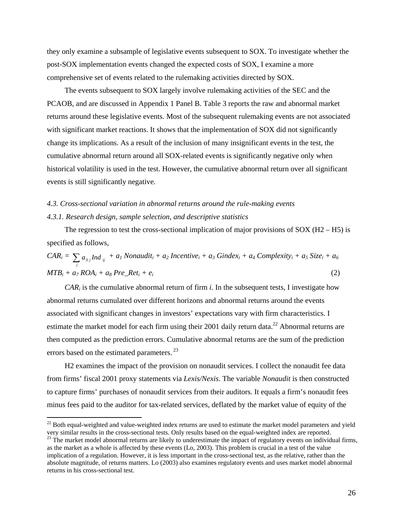they only examine a subsample of legislative events subsequent to SOX. To investigate whether the post-SOX implementation events changed the expected costs of SOX, I examine a more comprehensive set of events related to the rulemaking activities directed by SOX.

The events subsequent to SOX largely involve rulemaking activities of the SEC and the PCAOB, and are discussed in Appendix 1 Panel B. Table 3 reports the raw and abnormal market returns around these legislative events. Most of the subsequent rulemaking events are not associated with significant market reactions. It shows that the implementation of SOX did not significantly change its implications. As a result of the inclusion of many insignificant events in the test, the cumulative abnormal return around all SOX-related events is significantly negative only when historical volatility is used in the test. However, the cumulative abnormal return over all significant events is still significantly negative.

## *4.3. Cross-sectional variation in abnormal returns around the rule-making events 4.3.1. Research design, sample selection, and descriptive statistics*

The regression to test the cross-sectional implication of major provisions of  $SOX (H2 - H5)$  is specified as follows,

$$
CAR_i = \sum_j a_{0j} Ind_{ij} + a_l \text{ Nonaudit}_i + a_2 \text{ Incentive}_i + a_3 \text{ Gindex}_i + a_4 \text{ Complexity}_i + a_5 \text{ Size}_i + a_6
$$
  
\n
$$
MTB_i + a_7 \text{ROA}_i + a_8 \text{ Pre\_Ret}_i + e_i
$$
\n(2)

*CARi* is the cumulative abnormal return of firm *i*. In the subsequent tests, I investigate how abnormal returns cumulated over different horizons and abnormal returns around the events associated with significant changes in investors' expectations vary with firm characteristics. I estimate the market model for each firm using their 2001 daily return data.<sup>22</sup> Abnormal returns are then computed as the prediction errors. Cumulative abnormal returns are the sum of the prediction errors based on the estimated parameters.<sup>23</sup>

H2 examines the impact of the provision on nonaudit services. I collect the nonaudit fee data from firms' fiscal 2001 proxy statements via *Lexis/Nexis*. The variable *Nonaudit* is then constructed to capture firms' purchases of nonaudit services from their auditors. It equals a firm's nonaudit fees minus fees paid to the auditor for tax-related services, deflated by the market value of equity of the

 $\overline{a}$ 

<span id="page-27-0"></span> $22$  Both equal-weighted and value-weighted index returns are used to estimate the market model parameters and yield

<span id="page-27-1"></span>very similar results in the cross-sectional tests. Only results based on the equal-weighted index are reported.<br><sup>23</sup> The market model abnormal returns are likely to underestimate the impact of regulatory events on individu as the market as a whole is affected by these events (Lo, 2003). This problem is crucial in a test of the value implication of a regulation. However, it is less important in the cross-sectional test, as the relative, rather than the absolute magnitude, of returns matters. Lo (2003) also examines regulatory events and uses market model abnormal returns in his cross-sectional test.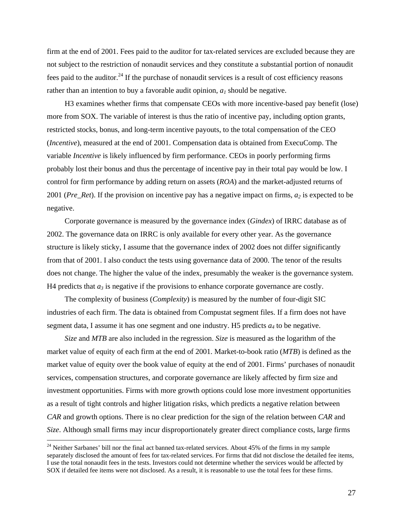firm at the end of 2001. Fees paid to the auditor for tax-related services are excluded because they are not subject to the restriction of nonaudit services and they constitute a substantial portion of nonaudit fees paid to the auditor.<sup>24</sup> If the purchase of nonaudit services is a result of cost efficiency reasons rather than an intention to buy a favorable audit opinion,  $a_1$  should be negative.

H3 examines whether firms that compensate CEOs with more incentive-based pay benefit (lose) more from SOX. The variable of interest is thus the ratio of incentive pay, including option grants, restricted stocks, bonus, and long-term incentive payouts, to the total compensation of the CEO (*Incentive*), measured at the end of 2001. Compensation data is obtained from ExecuComp. The variable *Incentive* is likely influenced by firm performance. CEOs in poorly performing firms probably lost their bonus and thus the percentage of incentive pay in their total pay would be low. I control for firm performance by adding return on assets (*ROA*) and the market-adjusted returns of 2001 (*Pre\_Ret*). If the provision on incentive pay has a negative impact on firms,  $a_2$  is expected to be negative.

Corporate governance is measured by the governance index (*Gindex*) of IRRC database as of 2002. The governance data on IRRC is only available for every other year. As the governance structure is likely sticky, I assume that the governance index of 2002 does not differ significantly from that of 2001. I also conduct the tests using governance data of 2000. The tenor of the results does not change. The higher the value of the index, presumably the weaker is the governance system. H4 predicts that  $a_3$  is negative if the provisions to enhance corporate governance are costly.

The complexity of business (*Complexity*) is measured by the number of four-digit SIC industries of each firm. The data is obtained from Compustat segment files. If a firm does not have segment data, I assume it has one segment and one industry. H5 predicts  $a_4$  to be negative.

*Size* and *MTB* are also included in the regression. *Size* is measured as the logarithm of the market value of equity of each firm at the end of 2001. Market-to-book ratio (*MTB*) is defined as the market value of equity over the book value of equity at the end of 2001. Firms' purchases of nonaudit services, compensation structures, and corporate governance are likely affected by firm size and investment opportunities. Firms with more growth options could lose more investment opportunities as a result of tight controls and higher litigation risks, which predicts a negative relation between *CAR* and growth options. There is no clear prediction for the sign of the relation between *CAR* and *Size*. Although small firms may incur disproportionately greater direct compliance costs, large firms

 $\overline{a}$ 

<span id="page-28-0"></span> $24$  Neither Sarbanes' bill nor the final act banned tax-related services. About 45% of the firms in my sample separately disclosed the amount of fees for tax-related services. For firms that did not disclose the detailed fee items, I use the total nonaudit fees in the tests. Investors could not determine whether the services would be affected by SOX if detailed fee items were not disclosed. As a result, it is reasonable to use the total fees for these firms.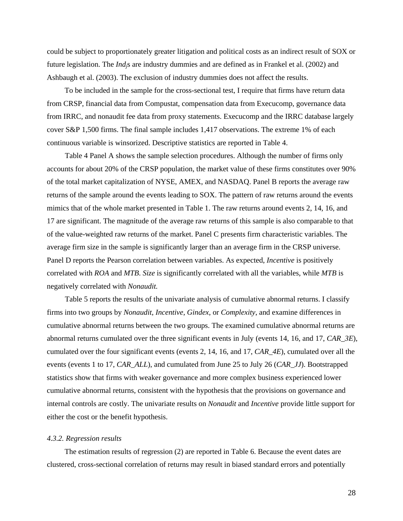could be subject to proportionately greater litigation and political costs as an indirect result of SOX or future legislation. The *Indj*s are industry dummies and are defined as in Frankel et al. (2002) and Ashbaugh et al. (2003). The exclusion of industry dummies does not affect the results.

To be included in the sample for the cross-sectional test, I require that firms have return data from CRSP, financial data from Compustat, compensation data from Execucomp, governance data from IRRC, and nonaudit fee data from proxy statements. Execucomp and the IRRC database largely cover S&P 1,500 firms. The final sample includes 1,417 observations. The extreme 1% of each continuous variable is winsorized. Descriptive statistics are reported in Table 4.

Table 4 Panel A shows the sample selection procedures. Although the number of firms only accounts for about 20% of the CRSP population, the market value of these firms constitutes over 90% of the total market capitalization of NYSE, AMEX, and NASDAQ. Panel B reports the average raw returns of the sample around the events leading to SOX. The pattern of raw returns around the events mimics that of the whole market presented in Table 1. The raw returns around events 2, 14, 16, and 17 are significant. The magnitude of the average raw returns of this sample is also comparable to that of the value-weighted raw returns of the market. Panel C presents firm characteristic variables. The average firm size in the sample is significantly larger than an average firm in the CRSP universe. Panel D reports the Pearson correlation between variables. As expected, *Incentive* is positively correlated with *ROA* and *MTB*. *Size* is significantly correlated with all the variables, while *MTB* is negatively correlated with *Nonaudit.*

Table 5 reports the results of the univariate analysis of cumulative abnormal returns. I classify firms into two groups by *Nonaudit*, *Incentive*, *Gindex*, or *Complexity*, and examine differences in cumulative abnormal returns between the two groups. The examined cumulative abnormal returns are abnormal returns cumulated over the three significant events in July (events 14, 16, and 17, *CAR\_3E*), cumulated over the four significant events (events 2, 14, 16, and 17, *CAR\_4E*), cumulated over all the events (events 1 to 17, *CAR\_ALL*), and cumulated from June 25 to July 26 (*CAR\_JJ*). Bootstrapped statistics show that firms with weaker governance and more complex business experienced lower cumulative abnormal returns, consistent with the hypothesis that the provisions on governance and internal controls are costly. The univariate results on *Nonaudit* and *Incentive* provide little support for either the cost or the benefit hypothesis.

#### *4.3.2. Regression results*

The estimation results of regression (2) are reported in Table 6. Because the event dates are clustered, cross-sectional correlation of returns may result in biased standard errors and potentially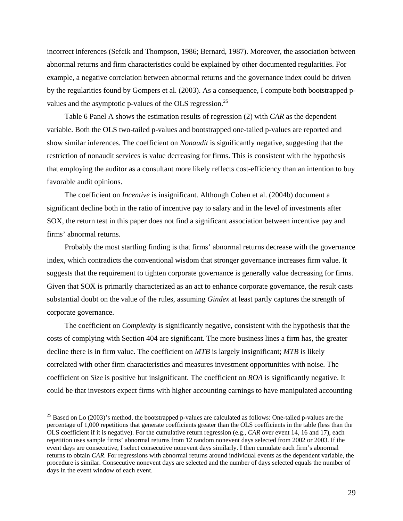incorrect inferences (Sefcik and Thompson, 1986; Bernard, 1987). Moreover, the association between abnormal returns and firm characteristics could be explained by other documented regularities. For example, a negative correlation between abnormal returns and the governance index could be driven by the regularities found by Gompers et al. (2003). As a consequence, I compute both bootstrapped pvalues and the asymptotic p-values of the OLS regression.<sup>25</sup>

Table 6 Panel A shows the estimation results of regression (2) with *CAR* as the dependent variable. Both the OLS two-tailed p-values and bootstrapped one-tailed p-values are reported and show similar inferences. The coefficient on *Nonaudit* is significantly negative, suggesting that the restriction of nonaudit services is value decreasing for firms. This is consistent with the hypothesis that employing the auditor as a consultant more likely reflects cost-efficiency than an intention to buy favorable audit opinions.

The coefficient on *Incentive* is insignificant. Although Cohen et al. (2004b) document a significant decline both in the ratio of incentive pay to salary and in the level of investments after SOX, the return test in this paper does not find a significant association between incentive pay and firms' abnormal returns.

Probably the most startling finding is that firms' abnormal returns decrease with the governance index, which contradicts the conventional wisdom that stronger governance increases firm value. It suggests that the requirement to tighten corporate governance is generally value decreasing for firms. Given that SOX is primarily characterized as an act to enhance corporate governance, the result casts substantial doubt on the value of the rules, assuming *Gindex* at least partly captures the strength of corporate governance.

The coefficient on *Complexity* is significantly negative, consistent with the hypothesis that the costs of complying with Section 404 are significant. The more business lines a firm has, the greater decline there is in firm value. The coefficient on *MTB* is largely insignificant; *MTB* is likely correlated with other firm characteristics and measures investment opportunities with noise. The coefficient on *Size* is positive but insignificant. The coefficient on *ROA* is significantly negative. It could be that investors expect firms with higher accounting earnings to have manipulated accounting

 $\overline{a}$ 

<span id="page-30-0"></span> $^{25}$  Based on Lo (2003)'s method, the bootstrapped p-values are calculated as follows: One-tailed p-values are the percentage of 1,000 repetitions that generate coefficients greater than the OLS coefficients in the table (less than the OLS coefficient if it is negative). For the cumulative return regression (e.g., *CAR* over event 14, 16 and 17), each repetition uses sample firms' abnormal returns from 12 random nonevent days selected from 2002 or 2003. If the event days are consecutive, I select consecutive nonevent days similarly. I then cumulate each firm's abnormal returns to obtain *CAR*. For regressions with abnormal returns around individual events as the dependent variable, the procedure is similar. Consecutive nonevent days are selected and the number of days selected equals the number of days in the event window of each event.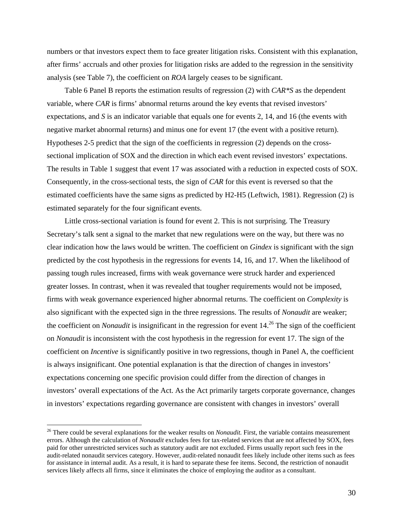numbers or that investors expect them to face greater litigation risks. Consistent with this explanation, after firms' accruals and other proxies for litigation risks are added to the regression in the sensitivity analysis (see Table 7), the coefficient on *ROA* largely ceases to be significant.

Table 6 Panel B reports the estimation results of regression (2) with *CAR\*S* as the dependent variable, where *CAR* is firms' abnormal returns around the key events that revised investors' expectations, and *S* is an indicator variable that equals one for events 2, 14, and 16 (the events with negative market abnormal returns) and minus one for event 17 (the event with a positive return). Hypotheses 2-5 predict that the sign of the coefficients in regression (2) depends on the crosssectional implication of SOX and the direction in which each event revised investors' expectations. The results in Table 1 suggest that event 17 was associated with a reduction in expected costs of SOX. Consequently, in the cross-sectional tests, the sign of *CAR* for this event is reversed so that the estimated coefficients have the same signs as predicted by H2-H5 (Leftwich, 1981). Regression (2) is estimated separately for the four significant events.

Little cross-sectional variation is found for event 2. This is not surprising. The Treasury Secretary's talk sent a signal to the market that new regulations were on the way, but there was no clear indication how the laws would be written. The coefficient on *Gindex* is significant with the sign predicted by the cost hypothesis in the regressions for events 14, 16, and 17. When the likelihood of passing tough rules increased, firms with weak governance were struck harder and experienced greater losses. In contrast, when it was revealed that tougher requirements would not be imposed, firms with weak governance experienced higher abnormal returns. The coefficient on *Complexity* is also significant with the expected sign in the three regressions. The results of *Nonaudit* are weaker; the coefficient on *Nonaudit* is insignificant in the regression for event 14.<sup>26</sup> The sign of the coefficient on *Nonaudit* is inconsistent with the cost hypothesis in the regression for event 17. The sign of the coefficient on *Incentive* is significantly positive in two regressions, though in Panel A, the coefficient is always insignificant. One potential explanation is that the direction of changes in investors' expectations concerning one specific provision could differ from the direction of changes in investors' overall expectations of the Act. As the Act primarily targets corporate governance, changes in investors' expectations regarding governance are consistent with changes in investors' overall

 $\overline{a}$ 

<span id="page-31-0"></span><sup>&</sup>lt;sup>26</sup> There could be several explanations for the weaker results on *Nonaudit*. First, the variable contains measurement errors. Although the calculation of *Nonaudit* excludes fees for tax-related services that are not affected by SOX, fees paid for other unrestricted services such as statutory audit are not excluded. Firms usually report such fees in the audit-related nonaudit services category. However, audit-related nonaudit fees likely include other items such as fees for assistance in internal audit. As a result, it is hard to separate these fee items. Second, the restriction of nonaudit services likely affects all firms, since it eliminates the choice of employing the auditor as a consultant.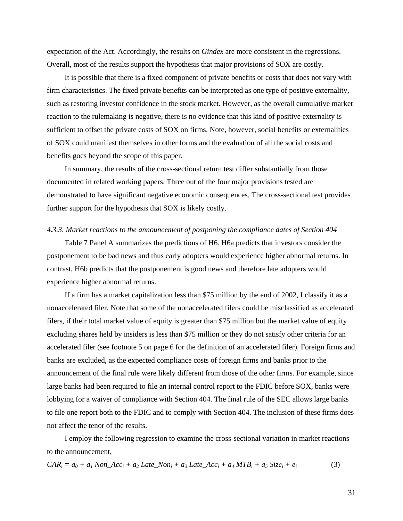expectation of the Act. Accordingly, the results on *Gindex* are more consistent in the regressions. Overall, most of the results support the hypothesis that major provisions of SOX are costly.

It is possible that there is a fixed component of private benefits or costs that does not vary with firm characteristics. The fixed private benefits can be interpreted as one type of positive externality, such as restoring investor confidence in the stock market. However, as the overall cumulative market reaction to the rulemaking is negative, there is no evidence that this kind of positive externality is sufficient to offset the private costs of SOX on firms. Note, however, social benefits or externalities of SOX could manifest themselves in other forms and the evaluation of all the social costs and benefits goes beyond the scope of this paper.

In summary, the results of the cross-sectional return test differ substantially from those documented in related working papers. Three out of the four major provisions tested are demonstrated to have significant negative economic consequences. The cross-sectional test provides further support for the hypothesis that SOX is likely costly.

#### *4.3.3. Market reactions to the announcement of postponing the compliance dates of Section 404*

Table 7 Panel A summarizes the predictions of H6. H6a predicts that investors consider the postponement to be bad news and thus early adopters would experience higher abnormal returns. In contrast, H6b predicts that the postponement is good news and therefore late adopters would experience higher abnormal returns.

If a firm has a market capitalization less than \$75 million by the end of 2002, I classify it as a nonaccelerated filer. Note that some of the nonaccelerated filers could be misclassified as accelerated filers, if their total market value of equity is greater than \$75 million but the market value of equity excluding shares held by insiders is less than \$75 million or they do not satisfy other criteria for an accelerated filer (see footnote 5 on page 6 for the definition of an accelerated filer). Foreign firms and banks are excluded, as the expected compliance costs of foreign firms and banks prior to the announcement of the final rule were likely different from those of the other firms. For example, since large banks had been required to file an internal control report to the FDIC before SOX, banks were lobbying for a waiver of compliance with Section 404. The final rule of the SEC allows large banks to file one report both to the FDIC and to comply with Section 404. The inclusion of these firms does not affect the tenor of the results.

I employ the following regression to examine the cross-sectional variation in market reactions to the announcement,

$$
CAR_i = a_0 + a_1 \text{Non\_Acc}_i + a_2 \text{ Late\_Non}_i + a_3 \text{ Late\_Acc}_i + a_4 \text{MTB}_i + a_5 \text{Size}_i + e_i \tag{3}
$$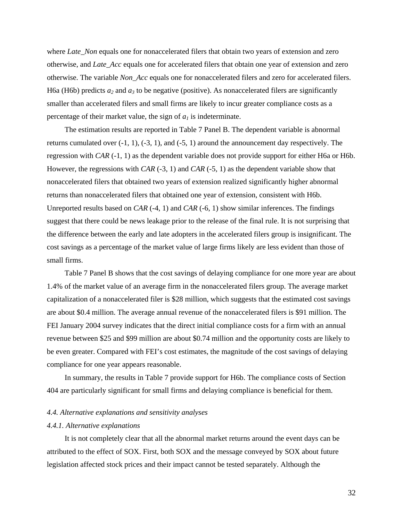where *Late* Non equals one for nonaccelerated filers that obtain two years of extension and zero otherwise, and *Late\_Acc* equals one for accelerated filers that obtain one year of extension and zero otherwise. The variable *Non\_Acc* equals one for nonaccelerated filers and zero for accelerated filers. H6a (H6b) predicts  $a_2$  and  $a_3$  to be negative (positive). As nonaccelerated filers are significantly smaller than accelerated filers and small firms are likely to incur greater compliance costs as a percentage of their market value, the sign of  $a<sub>l</sub>$  is indeterminate.

The estimation results are reported in Table 7 Panel B. The dependent variable is abnormal returns cumulated over  $(-1, 1)$ ,  $(-3, 1)$ , and  $(-5, 1)$  around the announcement day respectively. The regression with *CAR* (-1, 1) as the dependent variable does not provide support for either H6a or H6b. However, the regressions with *CAR* (-3, 1) and *CAR* (-5, 1) as the dependent variable show that nonaccelerated filers that obtained two years of extension realized significantly higher abnormal returns than nonaccelerated filers that obtained one year of extension, consistent with H6b. Unreported results based on *CAR* (-4, 1) and *CAR* (-6, 1) show similar inferences. The findings suggest that there could be news leakage prior to the release of the final rule. It is not surprising that the difference between the early and late adopters in the accelerated filers group is insignificant. The cost savings as a percentage of the market value of large firms likely are less evident than those of small firms.

Table 7 Panel B shows that the cost savings of delaying compliance for one more year are about 1.4% of the market value of an average firm in the nonaccelerated filers group. The average market capitalization of a nonaccelerated filer is \$28 million, which suggests that the estimated cost savings are about \$0.4 million. The average annual revenue of the nonaccelerated filers is \$91 million. The FEI January 2004 survey indicates that the direct initial compliance costs for a firm with an annual revenue between \$25 and \$99 million are about \$0.74 million and the opportunity costs are likely to be even greater. Compared with FEI's cost estimates, the magnitude of the cost savings of delaying compliance for one year appears reasonable.

In summary, the results in Table 7 provide support for H6b. The compliance costs of Section 404 are particularly significant for small firms and delaying compliance is beneficial for them.

#### *4.4. Alternative explanations and sensitivity analyses*

#### *4.4.1. Alternative explanations*

It is not completely clear that all the abnormal market returns around the event days can be attributed to the effect of SOX. First, both SOX and the message conveyed by SOX about future legislation affected stock prices and their impact cannot be tested separately. Although the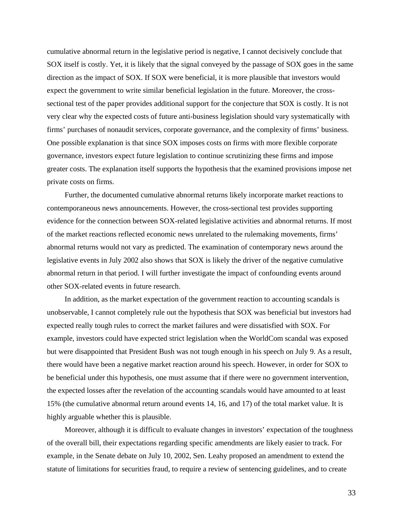cumulative abnormal return in the legislative period is negative, I cannot decisively conclude that SOX itself is costly. Yet, it is likely that the signal conveyed by the passage of SOX goes in the same direction as the impact of SOX. If SOX were beneficial, it is more plausible that investors would expect the government to write similar beneficial legislation in the future. Moreover, the crosssectional test of the paper provides additional support for the conjecture that SOX is costly. It is not very clear why the expected costs of future anti-business legislation should vary systematically with firms' purchases of nonaudit services, corporate governance, and the complexity of firms' business. One possible explanation is that since SOX imposes costs on firms with more flexible corporate governance, investors expect future legislation to continue scrutinizing these firms and impose greater costs. The explanation itself supports the hypothesis that the examined provisions impose net private costs on firms.

Further, the documented cumulative abnormal returns likely incorporate market reactions to contemporaneous news announcements. However, the cross-sectional test provides supporting evidence for the connection between SOX-related legislative activities and abnormal returns. If most of the market reactions reflected economic news unrelated to the rulemaking movements, firms' abnormal returns would not vary as predicted. The examination of contemporary news around the legislative events in July 2002 also shows that SOX is likely the driver of the negative cumulative abnormal return in that period. I will further investigate the impact of confounding events around other SOX-related events in future research.

In addition, as the market expectation of the government reaction to accounting scandals is unobservable, I cannot completely rule out the hypothesis that SOX was beneficial but investors had expected really tough rules to correct the market failures and were dissatisfied with SOX. For example, investors could have expected strict legislation when the WorldCom scandal was exposed but were disappointed that President Bush was not tough enough in his speech on July 9. As a result, there would have been a negative market reaction around his speech. However, in order for SOX to be beneficial under this hypothesis, one must assume that if there were no government intervention, the expected losses after the revelation of the accounting scandals would have amounted to at least 15% (the cumulative abnormal return around events 14, 16, and 17) of the total market value. It is highly arguable whether this is plausible.

Moreover, although it is difficult to evaluate changes in investors' expectation of the toughness of the overall bill, their expectations regarding specific amendments are likely easier to track. For example, in the Senate debate on July 10, 2002, Sen. Leahy proposed an amendment to extend the statute of limitations for securities fraud, to require a review of sentencing guidelines, and to create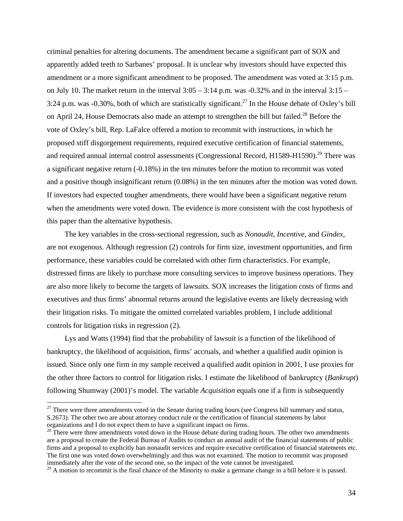criminal penalties for altering documents. The amendment became a significant part of SOX and apparently added teeth to Sarbanes' proposal. It is unclear why investors should have expected this amendment or a more significant amendment to be proposed. The amendment was voted at 3:15 p.m. on July 10. The market return in the interval  $3:05 - 3:14$  p.m. was  $-0.32\%$  and in the interval  $3:15 -$ 3:24 p.m. was -0.30%, both of which are statistically significant.<sup>27</sup> In the House debate of Oxley's bill on April 24, House Democrats also made an attempt to strengthen the bill but failed.<sup>28</sup> Before the vote of Oxley's bill, Rep. LaFalce offered a motion to recommit with instructions, in which he proposed stiff disgorgement requirements, required executive certification of financial statements, and required annual internal control assessments (Congressional Record, H1589-H1590).<sup>29</sup> There was a significant negative return (-0.18%) in the ten minutes before the motion to recommit was voted and a positive though insignificant return (0.08%) in the ten minutes after the motion was voted down. If investors had expected tougher amendments, there would have been a significant negative return when the amendments were voted down. The evidence is more consistent with the cost hypothesis of this paper than the alternative hypothesis.

The key variables in the cross-sectional regression, such as *Nonaudit*, *Incentive*, and *Gindex*, are not exogenous. Although regression (2) controls for firm size, investment opportunities, and firm performance, these variables could be correlated with other firm characteristics. For example, distressed firms are likely to purchase more consulting services to improve business operations. They are also more likely to become the targets of lawsuits. SOX increases the litigation costs of firms and executives and thus firms' abnormal returns around the legislative events are likely decreasing with their litigation risks. To mitigate the omitted correlated variables problem, I include additional controls for litigation risks in regression (2).

Lys and Watts (1994) find that the probability of lawsuit is a function of the likelihood of bankruptcy, the likelihood of acquisition, firms' accruals, and whether a qualified audit opinion is issued. Since only one firm in my sample received a qualified audit opinion in 2001, I use proxies for the other three factors to control for litigation risks. I estimate the likelihood of bankruptcy (*Bankrupt*) following Shumway (2001)'s model. The variable *Acquisition* equals one if a firm is subsequently

 $\overline{a}$ 

<span id="page-35-0"></span> $27$  There were three amendments voted in the Senate during trading hours (see Congress bill summary and status, S.2673). The other two are about attorney conduct rule or the certification of financial statements by labor organizations and I do not expect them to have a significant impact on firms.

<span id="page-35-1"></span><sup>&</sup>lt;sup>28</sup> There were three amendments voted down in the House debate during trading hours. The other two amendments are a proposal to create the Federal Bureau of Audits to conduct an annual audit of the financial statements of public firms and a proposal to explicitly ban nonaudit services and require executive certification of financial statements etc. The first one was voted down overwhelmingly and thus was not examined. The motion to recommit was proposed immediately after the vote of the second one, so the impact of the vote cannot be investigated.

<span id="page-35-2"></span> $^{29}$  A motion to recommit is the final chance of the Minority to make a germane change in a bill before it is passed.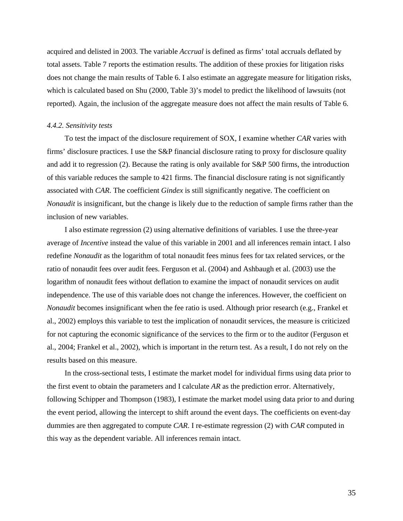acquired and delisted in 2003. The variable *Accrual* is defined as firms' total accruals deflated by total assets. Table 7 reports the estimation results. The addition of these proxies for litigation risks does not change the main results of Table 6. I also estimate an aggregate measure for litigation risks, which is calculated based on Shu (2000, Table 3)'s model to predict the likelihood of lawsuits (not reported). Again, the inclusion of the aggregate measure does not affect the main results of Table 6.

#### *4.4.2. Sensitivity tests*

To test the impact of the disclosure requirement of SOX, I examine whether *CAR* varies with firms' disclosure practices. I use the S&P financial disclosure rating to proxy for disclosure quality and add it to regression (2). Because the rating is only available for S&P 500 firms, the introduction of this variable reduces the sample to 421 firms. The financial disclosure rating is not significantly associated with *CAR*. The coefficient *Gindex* is still significantly negative. The coefficient on *Nonaudit* is insignificant, but the change is likely due to the reduction of sample firms rather than the inclusion of new variables.

I also estimate regression (2) using alternative definitions of variables. I use the three-year average of *Incentive* instead the value of this variable in 2001 and all inferences remain intact. I also redefine *Nonaudit* as the logarithm of total nonaudit fees minus fees for tax related services, or the ratio of nonaudit fees over audit fees. Ferguson et al. (2004) and Ashbaugh et al. (2003) use the logarithm of nonaudit fees without deflation to examine the impact of nonaudit services on audit independence. The use of this variable does not change the inferences. However, the coefficient on *Nonaudit* becomes insignificant when the fee ratio is used. Although prior research (e.g., Frankel et al., 2002) employs this variable to test the implication of nonaudit services, the measure is criticized for not capturing the economic significance of the services to the firm or to the auditor (Ferguson et al., 2004; Frankel et al., 2002), which is important in the return test. As a result, I do not rely on the results based on this measure.

In the cross-sectional tests, I estimate the market model for individual firms using data prior to the first event to obtain the parameters and I calculate *AR* as the prediction error. Alternatively, following Schipper and Thompson (1983), I estimate the market model using data prior to and during the event period, allowing the intercept to shift around the event days. The coefficients on event-day dummies are then aggregated to compute *CAR*. I re-estimate regression (2) with *CAR* computed in this way as the dependent variable. All inferences remain intact.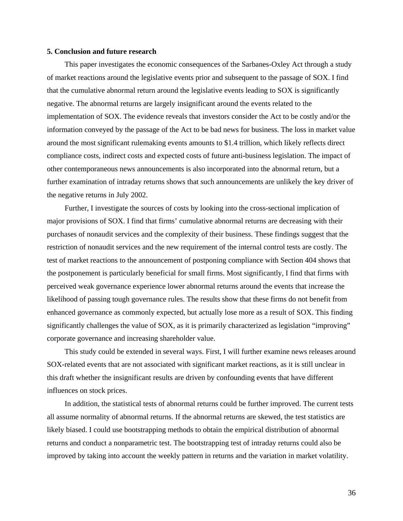#### **5. Conclusion and future research**

This paper investigates the economic consequences of the Sarbanes-Oxley Act through a study of market reactions around the legislative events prior and subsequent to the passage of SOX. I find that the cumulative abnormal return around the legislative events leading to SOX is significantly negative. The abnormal returns are largely insignificant around the events related to the implementation of SOX. The evidence reveals that investors consider the Act to be costly and/or the information conveyed by the passage of the Act to be bad news for business. The loss in market value around the most significant rulemaking events amounts to \$1.4 trillion, which likely reflects direct compliance costs, indirect costs and expected costs of future anti-business legislation. The impact of other contemporaneous news announcements is also incorporated into the abnormal return, but a further examination of intraday returns shows that such announcements are unlikely the key driver of the negative returns in July 2002.

Further, I investigate the sources of costs by looking into the cross-sectional implication of major provisions of SOX. I find that firms' cumulative abnormal returns are decreasing with their purchases of nonaudit services and the complexity of their business. These findings suggest that the restriction of nonaudit services and the new requirement of the internal control tests are costly. The test of market reactions to the announcement of postponing compliance with Section 404 shows that the postponement is particularly beneficial for small firms. Most significantly, I find that firms with perceived weak governance experience lower abnormal returns around the events that increase the likelihood of passing tough governance rules. The results show that these firms do not benefit from enhanced governance as commonly expected, but actually lose more as a result of SOX. This finding significantly challenges the value of SOX, as it is primarily characterized as legislation "improving" corporate governance and increasing shareholder value.

This study could be extended in several ways. First, I will further examine news releases around SOX-related events that are not associated with significant market reactions, as it is still unclear in this draft whether the insignificant results are driven by confounding events that have different influences on stock prices.

In addition, the statistical tests of abnormal returns could be further improved. The current tests all assume normality of abnormal returns. If the abnormal returns are skewed, the test statistics are likely biased. I could use bootstrapping methods to obtain the empirical distribution of abnormal returns and conduct a nonparametric test. The bootstrapping test of intraday returns could also be improved by taking into account the weekly pattern in returns and the variation in market volatility.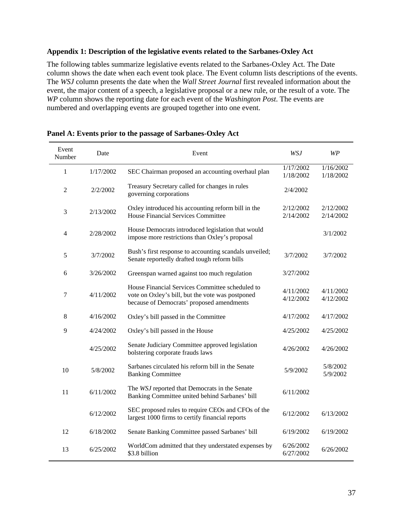## **Appendix 1: Description of the legislative events related to the Sarbanes-Oxley Act**

The following tables summarize legislative events related to the Sarbanes-Oxley Act. The Date column shows the date when each event took place. The Event column lists descriptions of the events. The *WSJ* column presents the date when the *Wall Street Journal* first revealed information about the event, the major content of a speech, a legislative proposal or a new rule, or the result of a vote. The *WP* column shows the reporting date for each event of the *Washington Post*. The events are numbered and overlapping events are grouped together into one event.

| Event<br>Number | Date      | Event                                                                                                                                            | <b>WSJ</b>             | WP                     |
|-----------------|-----------|--------------------------------------------------------------------------------------------------------------------------------------------------|------------------------|------------------------|
| $\mathbf{1}$    | 1/17/2002 | SEC Chairman proposed an accounting overhaul plan                                                                                                | 1/17/2002<br>1/18/2002 | 1/16/2002<br>1/18/2002 |
| $\overline{2}$  | 2/2/2002  | Treasury Secretary called for changes in rules<br>governing corporations                                                                         | 2/4/2002               |                        |
| 3               | 2/13/2002 | Oxley introduced his accounting reform bill in the<br><b>House Financial Services Committee</b>                                                  | 2/12/2002<br>2/14/2002 | 2/12/2002<br>2/14/2002 |
| 4               | 2/28/2002 | House Democrats introduced legislation that would<br>impose more restrictions than Oxley's proposal                                              |                        | 3/1/2002               |
| 5               | 3/7/2002  | Bush's first response to accounting scandals unveiled;<br>Senate reportedly drafted tough reform bills                                           | 3/7/2002               | 3/7/2002               |
| 6               | 3/26/2002 | Greenspan warned against too much regulation                                                                                                     | 3/27/2002              |                        |
| 7               | 4/11/2002 | House Financial Services Committee scheduled to<br>vote on Oxley's bill, but the vote was postponed<br>because of Democrats' proposed amendments | 4/11/2002<br>4/12/2002 | 4/11/2002<br>4/12/2002 |
| 8               | 4/16/2002 | Oxley's bill passed in the Committee                                                                                                             | 4/17/2002              | 4/17/2002              |
| 9               | 4/24/2002 | Oxley's bill passed in the House                                                                                                                 | 4/25/2002              | 4/25/2002              |
|                 | 4/25/2002 | Senate Judiciary Committee approved legislation<br>bolstering corporate frauds laws                                                              | 4/26/2002              | 4/26/2002              |
| 10              | 5/8/2002  | Sarbanes circulated his reform bill in the Senate<br><b>Banking Committee</b>                                                                    | 5/9/2002               | 5/8/2002<br>5/9/2002   |
| 11              | 6/11/2002 | The WSJ reported that Democrats in the Senate<br>Banking Committee united behind Sarbanes' bill                                                  | 6/11/2002              |                        |
|                 | 6/12/2002 | SEC proposed rules to require CEOs and CFOs of the<br>largest 1000 firms to certify financial reports                                            | 6/12/2002              | 6/13/2002              |
| 12              | 6/18/2002 | Senate Banking Committee passed Sarbanes' bill                                                                                                   | 6/19/2002              | 6/19/2002              |
| 13              | 6/25/2002 | WorldCom admitted that they understated expenses by<br>\$3.8 billion                                                                             | 6/26/2002<br>6/27/2002 | 6/26/2002              |

#### **Panel A: Events prior to the passage of Sarbanes-Oxley Act**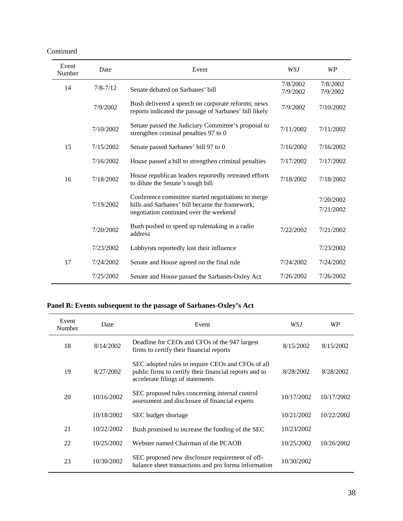Continued

| Event<br>Number | Date         | Event                                                                                                                                          | WSJ                  | <b>WP</b>              |
|-----------------|--------------|------------------------------------------------------------------------------------------------------------------------------------------------|----------------------|------------------------|
| 14              | $7/8 - 7/12$ | Senate debated on Sarbanes' bill                                                                                                               | 7/8/2002<br>7/9/2002 | 7/8/2002<br>7/9/2002   |
|                 | 7/9/2002     | Bush delivered a speech on corporate reforms; news<br>reports indicated the passage of Sarbanes' bill likely                                   | 7/9/2002             | 7/10/2002              |
|                 | 7/10/2002    | Senate passed the Judiciary Committee's proposal to<br>strengthen criminal penalties 97 to 0                                                   | 7/11/2002            | 7/11/2002              |
| 15              | 7/15/2002    | Senate passed Sarbanes' bill 97 to 0                                                                                                           | 7/16/2002            | 7/16/2002              |
|                 | 7/16/2002    | House passed a bill to strengthen criminal penalties                                                                                           | 7/17/2002            | 7/17/2002              |
| 16              | 7/18/2002    | House republican leaders reportedly retreated efforts<br>to dilute the Senate's tough bill                                                     | 7/18/2002            | 7/18/2002              |
|                 | 7/19/2002    | Conference committee started negotiations to merge<br>bills and Sarbanes' bill became the framework;<br>negotiation continued over the weekend |                      | 7/20/2002<br>7/21/2002 |
|                 | 7/20/2002    | Bush pushed to speed up rulemaking in a radio<br>address                                                                                       | 7/22/2002            | 7/21/2002              |
|                 | 7/23/2002    | Lobbyists reportedly lost their influence                                                                                                      |                      | 7/23/2002              |
| 17              | 7/24/2002    | Senate and House agreed on the final rule                                                                                                      | 7/24/2002            | 7/24/2002              |
|                 | 7/25/2002    | Senate and House passed the Sarbanes-Oxley Act                                                                                                 | 7/26/2002            | 7/26/2002              |

## **Panel B: Events subsequent to the passage of Sarbanes-Oxley's Act**

| Event<br>Number | Date       | Event                                                                                                                                           | WSJ        | WP         |
|-----------------|------------|-------------------------------------------------------------------------------------------------------------------------------------------------|------------|------------|
| 18              | 8/14/2002  | Deadline for CEOs and CFOs of the 947 largest<br>firms to certify their financial reports                                                       | 8/15/2002  | 8/15/2002  |
| 19              | 8/27/2002  | SEC adopted rules to require CEOs and CFOs of all<br>public firms to certify their financial reports and to<br>accelerate filings of statements | 8/28/2002  | 8/28/2002  |
| 20              | 10/16/2002 | SEC proposed rules concerning internal control<br>assessment and disclosure of financial experts                                                | 10/17/2002 | 10/17/2002 |
|                 | 10/18/2002 | SEC budget shortage                                                                                                                             | 10/21/2002 | 10/22/2002 |
| 21              | 10/22/2002 | Bush promised to increase the funding of the SEC                                                                                                | 10/23/2002 |            |
| 22              | 10/25/2002 | Webster named Chairman of the PCAOB                                                                                                             | 10/25/2002 | 10/26/2002 |
| 23              | 10/30/2002 | SEC proposed new disclosure requirement of off-<br>balance sheet transactions and pro forma information                                         | 10/30/2002 |            |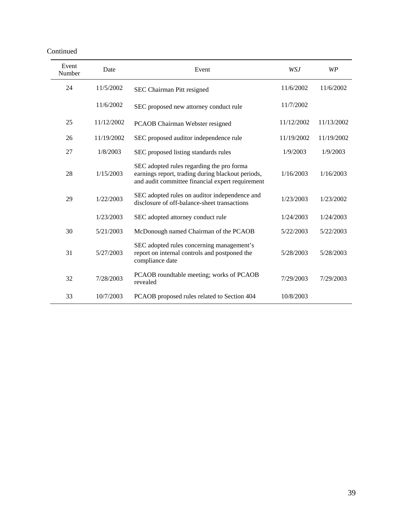| Event<br>Number | Date       | Event                                                                                                                                              | WSJ        | WP         |
|-----------------|------------|----------------------------------------------------------------------------------------------------------------------------------------------------|------------|------------|
| 24              | 11/5/2002  | SEC Chairman Pitt resigned                                                                                                                         | 11/6/2002  | 11/6/2002  |
|                 | 11/6/2002  | SEC proposed new attorney conduct rule                                                                                                             | 11/7/2002  |            |
| 25              | 11/12/2002 | PCAOB Chairman Webster resigned                                                                                                                    | 11/12/2002 | 11/13/2002 |
| 26              | 11/19/2002 | SEC proposed auditor independence rule                                                                                                             | 11/19/2002 | 11/19/2002 |
| 27              | 1/8/2003   | SEC proposed listing standards rules                                                                                                               | 1/9/2003   | 1/9/2003   |
| 28              | 1/15/2003  | SEC adopted rules regarding the pro forma<br>earnings report, trading during blackout periods,<br>and audit committee financial expert requirement | 1/16/2003  | 1/16/2003  |
| 29              | 1/22/2003  | SEC adopted rules on auditor independence and<br>disclosure of off-balance-sheet transactions                                                      | 1/23/2003  | 1/23/2002  |
|                 | 1/23/2003  | SEC adopted attorney conduct rule                                                                                                                  | 1/24/2003  | 1/24/2003  |
| 30              | 5/21/2003  | McDonough named Chairman of the PCAOB                                                                                                              | 5/22/2003  | 5/22/2003  |
| 31              | 5/27/2003  | SEC adopted rules concerning management's<br>report on internal controls and postponed the<br>compliance date                                      | 5/28/2003  | 5/28/2003  |
| 32              | 7/28/2003  | PCAOB roundtable meeting; works of PCAOB<br>revealed                                                                                               | 7/29/2003  | 7/29/2003  |
| 33              | 10/7/2003  | PCAOB proposed rules related to Section 404                                                                                                        | 10/8/2003  |            |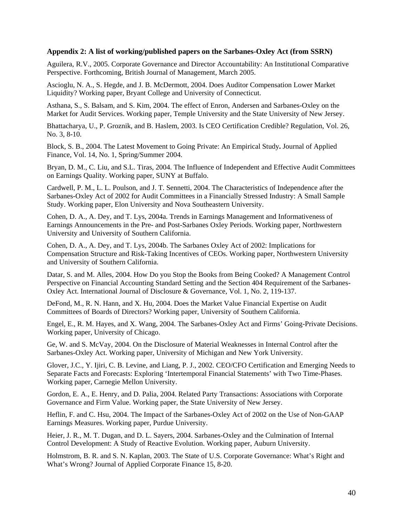#### **Appendix 2: A list of working/published papers on the Sarbanes-Oxley Act (from SSRN)**

Aguilera, [R.V., 2005.](http://papers.ssrn.com/sol3/cf_dev/AbsByAuth.cfm?per_id=260870) [Corporate Governance and Director Accountability: An Institutional Comparative](http://papers.ssrn.com/sol3/papers.cfm?abstract_id=611001)  [Perspective.](http://papers.ssrn.com/sol3/papers.cfm?abstract_id=611001) Forthcoming, British Journal of Management, March 2005.

Ascioglu, N. A., S. Hegde, and J. B. McDermott, 2004. Does Auditor Compensation Lower Market Liquidity? Working paper, Bryant College and University of Connecticut.

Asthana, S., S. Balsam, and S. Kim, 2004. The effect of Enron, Andersen and Sarbanes-Oxley on the Market for Audit Services. Working paper, Temple University and the State University of New Jersey.

Bhattacharya, U., P. Groznik, and B. Haslem, 2003. Is CEO Certification Credible? Regulation, Vol. 26, No. 3, 8-10.

[Block, S. B., 2004.](http://papers.ssrn.com/sol3/cf_dev/AbsByAuth.cfm?per_id=219803) [The Latest Movement to Going Private: An Empirical Study](http://papers.ssrn.com/sol3/papers.cfm?abstract_id=561004)**.** Journal of Applied Finance, Vol. 14, No. 1, Spring/Summer 2004.

Bryan, D. M., C. Liu, and S.L. Tiras, 2004. The Influence of Independent and Effective Audit Committees on Earnings Quality. Working paper, SUNY at Buffalo.

[Cardwell,](http://papers.ssrn.com/sol3/cf_dev/AbsByAuth.cfm?per_id=362635) P. M., [L. L. Poulson, a](http://papers.ssrn.com/sol3/cf_dev/AbsByAuth.cfm?per_id=362649)nd [J. T. Sennetti, 2004.](http://papers.ssrn.com/sol3/cf_dev/AbsByAuth.cfm?per_id=362650) [The Characteristics of Independence after the](http://papers.ssrn.com/sol3/papers.cfm?abstract_id=488987)  [Sarbanes-Oxley Act of 2002 for Audit Committees in a Financially Stressed Industry: A Small Sample](http://papers.ssrn.com/sol3/papers.cfm?abstract_id=488987)  [Study.](http://papers.ssrn.com/sol3/papers.cfm?abstract_id=488987) Working paper, Elon University and Nova Southeastern University.

Cohen, D. A., A. Dey, and T. Lys, 2004a. Trends in Earnings Management and Informativeness of Earnings Announcements in the Pre- and Post-Sarbanes Oxley Periods. Working paper, Northwestern University and University of Southern California.

Cohen, D. A., A. Dey, and T. Lys, 2004b. The Sarbanes Oxley Act of 2002: Implications for Compensation Structure and Risk-Taking Incentives of CEOs. Working paper, Northwestern University and University of Southern California.

Datar, S. and M. Alles, 2004. How Do you Stop the Books from Being Cooked? A Management Control Perspective on Financial Accounting Standard Setting and the Section 404 Requirement of the Sarbanes-Oxley Act. International Journal of Disclosure & Governance, Vol. 1, No. 2, 119-137.

DeFond, M., R. N. Hann, and X. Hu, 2004. Does the Market Value Financial Expertise on Audit Committees of Boards of Directors? Working paper, University of Southern California.

Engel, E., R. M. Hayes, and X. Wang, 2004. The Sarbanes-Oxley Act and Firms' Going-Private Decisions. Working paper, University of Chicago.

Ge, W. and S. McVay, 2004. On the Disclosure of Material Weaknesses in Internal Control after the Sarbanes-Oxley Act. Working paper, University of Michigan and New York University.

Glover, J.C., Y. Ijiri, C. B. Levine, and Liang, P. J., 2002. CEO/CFO Certification and Emerging Needs to Separate Facts and Forecasts: Exploring 'Intertemporal Financial Statements' with Two Time-Phases. Working paper, Carnegie Mellon University.

Gordon, E. A., E. Henry, and D. Palia, 2004. Related Party Transactions: Associations with Corporate Governance and Firm Value. Working paper, the State University of New Jersey.

Heflin, F. and C. Hsu, 2004. The Impact of the Sarbanes-Oxley Act of 2002 on the Use of Non-GAAP Earnings Measures. Working paper, Purdue University.

Heier, J. R., M. T. Dugan, and D. L. Sayers, 2004. Sarbanes-Oxley and the Culmination of Internal Control Development: A Study of Reactive Evolution. Working paper, Auburn University.

Holmstrom, B. R. and S. N. Kaplan, 2003. The State of U.S. Corporate Governance: What's Right and What's Wrong? Journal of Applied Corporate Finance 15, 8-20.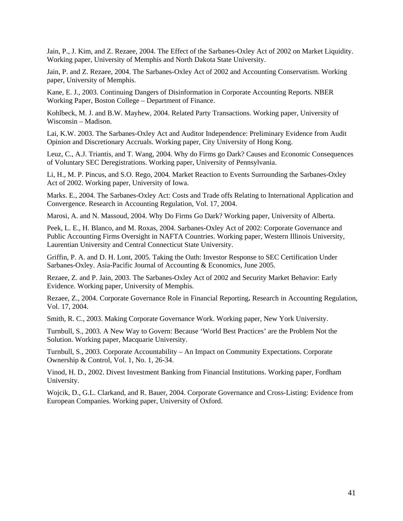Jain, P., J. Kim, and Z. Rezaee, 2004. The Effect of the Sarbanes-Oxley Act of 2002 on Market Liquidity. Working paper, University of Memphis and North Dakota State University.

Jain, P. and Z. Rezaee, 2004. The Sarbanes-Oxley Act of 2002 and Accounting Conservatism. Working paper, University of Memphis.

Kane, E. J., 2003. Continuing Dangers of Disinformation in Corporate Accounting Reports. NBER Working Paper, Boston College – Department of Finance.

Kohlbeck, M. J. and B.W. Mayhew, 2004. Related Party Transactions. Working paper, University of Wisconsin – Madison.

Lai, K.W. 2003. The Sarbanes-Oxley Act and Auditor Independence: Preliminary Evidence from Audit Opinion and Discretionary Accruals. Working paper, City University of Hong Kong.

Leuz, C., A.J. Triantis, and T. Wang, 2004. Why do Firms go Dark? Causes and Economic Consequences of Voluntary SEC Deregistrations. Working paper, University of Pennsylvania.

Li, H., M. P. Pincus, and S.O. Rego, 2004. Market Reaction to Events Surrounding the Sarbanes-Oxley Act of 2002. Working paper, University of Iowa.

Marks. E., 2004. [The Sarbanes-Oxley Act: Costs and Trade offs Relating to International Application and](http://papers.ssrn.com/sol3/papers.cfm?abstract_id=499403)  [Convergence.](http://papers.ssrn.com/sol3/papers.cfm?abstract_id=499403) Research in Accounting Regulation, Vol. 17, 2004.

Marosi, A. and N. Massoud, 2004. Why Do Firms Go Dark? Working paper, University of Alberta.

[Peek,](http://papers.ssrn.com/sol3/cf_dev/AbsByAuth.cfm?per_id=362551) L. E., [H. Blanco, a](http://papers.ssrn.com/sol3/cf_dev/AbsByAuth.cfm?per_id=359160)nd [M. Roxas, 2004.](http://papers.ssrn.com/sol3/cf_dev/AbsByAuth.cfm?per_id=362558) [Sarbanes-Oxley Act of 2002: Corporate Governance and](http://papers.ssrn.com/sol3/papers.cfm?abstract_id=489046)  [Public Accounting Firms Oversight in NAFTA Countries.](http://papers.ssrn.com/sol3/papers.cfm?abstract_id=489046) Working paper, Western Illinois University, Laurentian University and Central Connecticut State University.

Griffin, [P. A. a](http://papers.ssrn.com/sol3/cf_dev/AbsByAuth.cfm?per_id=252316)nd [D. H. Lont, 2005.](http://papers.ssrn.com/sol3/cf_dev/AbsByAuth.cfm?per_id=11269) [Taking the Oath: Investor Response to SEC Certification Under](http://papers.ssrn.com/sol3/papers.cfm?abstract_id=604761)  [Sarbanes-Oxley.](http://papers.ssrn.com/sol3/papers.cfm?abstract_id=604761) Asia-Pacific Journal of Accounting & Economics, June 2005.

Rezaee, Z. and P. Jain, 2003. The Sarbanes-Oxley Act of 2002 and Security Market Behavior: Early Evidence. Working paper, University of Memphis.

[Rezaee, Z., 2004.](http://papers.ssrn.com/sol3/cf_dev/AbsByAuth.cfm?per_id=62971) [Corporate Governance Role in Financial Reporting](http://papers.ssrn.com/sol3/papers.cfm?abstract_id=499343)**.** Research in Accounting Regulation, Vol. 17, 2004.

Smith, R. C., 2003. Making Corporate Governance Work. Working paper, New York University.

Turnbull, S., 2003. A New Way to Govern: Because 'World Best Practices' are the Problem Not the Solution. Working paper, Macquarie University.

Turnbull, S., 2003. Corporate Accountability – An Impact on Community Expectations. Corporate Ownership & Control, Vol. 1, No. 1, 26-34.

Vinod, H. D., 2002. Divest Investment Banking from Financial Institutions. Working paper, Fordham University.

Wojcik, D., G.L. Clarkand, and R. Bauer, 2004. Corporate Governance and Cross-Listing: Evidence from European Companies. Working paper, University of Oxford.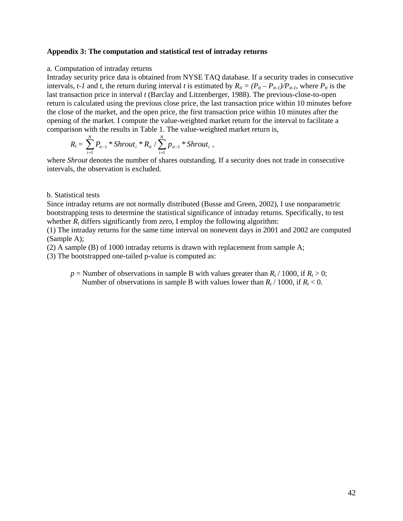#### **Appendix 3: The computation and statistical test of intraday returns**

#### a. Computation of intraday returns

Intraday security price data is obtained from NYSE TAQ database. If a security trades in consecutive intervals, *t-1* and *t*, the return during interval *t* is estimated by  $R_{it} = (P_{it} - P_{it-1})/P_{it-1}$ , where  $P_{it}$  is the last transaction price in interval *t* (Barclay and Litzenberger, 1988). The previous-close-to-open return is calculated using the previous close price, the last transaction price within 10 minutes before the close of the market, and the open price, the first transaction price within 10 minutes after the opening of the market. I compute the value-weighted market return for the interval to facilitate a comparison with the results in Table 1. The value-weighted market return is,

$$
R_t = \sum_{i=1}^N P_{it-1} * Shrout_i * R_{it} / \sum_{i=1}^N p_{it-1} * Shrout_i ,
$$

where *Shrout* denotes the number of shares outstanding. If a security does not trade in consecutive intervals, the observation is excluded.

#### b. Statistical tests

Since intraday returns are not normally distributed (Busse and Green, 2002), I use nonparametric bootstrapping tests to determine the statistical significance of intraday returns. Specifically, to test whether  $R_t$  differs significantly from zero, I employ the following algorithm:

(1) The intraday returns for the same time interval on nonevent days in 2001 and 2002 are computed (Sample A);

(2) A sample (B) of 1000 intraday returns is drawn with replacement from sample A;

(3) The bootstrapped one-tailed p-value is computed as:

 $p =$  Number of observations in sample B with values greater than  $R_t$  / 1000, if  $R_t$  > 0; Number of observations in sample B with values lower than  $R_t$  / 1000, if  $R_t$  < 0.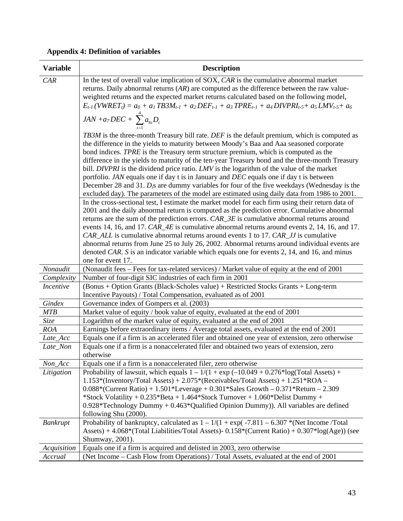|  |  |  |  | <b>Appendix 4: Definition of variables</b> |  |  |
|--|--|--|--|--------------------------------------------|--|--|
|--|--|--|--|--------------------------------------------|--|--|

| <b>Variable</b>  | <b>Description</b>                                                                                                                                                                                                                                                                                                                                                                                                                                                                                                                                                                                                                                                                                                                                                           |
|------------------|------------------------------------------------------------------------------------------------------------------------------------------------------------------------------------------------------------------------------------------------------------------------------------------------------------------------------------------------------------------------------------------------------------------------------------------------------------------------------------------------------------------------------------------------------------------------------------------------------------------------------------------------------------------------------------------------------------------------------------------------------------------------------|
| CAR              | In the test of overall value implication of SOX, CAR is the cumulative abnormal market<br>returns. Daily abnormal returns $(AR)$ are computed as the difference between the raw value-<br>weighted returns and the expected market returns calculated based on the following model,<br>$E_{t-1}(VWRET_t) = a_0 + a_1 TBSM_{t-1} + a_2 DEF_{t-1} + a_3 TPRE_{t-1} + a_4 DIVPRI_{t-5} + a_5 LMV_{t-5} + a_6$                                                                                                                                                                                                                                                                                                                                                                   |
|                  | $JAN + a_7DEC + \sum_{i=1}^{4} a_{8i}D_i$                                                                                                                                                                                                                                                                                                                                                                                                                                                                                                                                                                                                                                                                                                                                    |
|                  | TB3M is the three-month Treasury bill rate. DEF is the default premium, which is computed as<br>the difference in the yields to maturity between Moody's Baa and Aaa seasoned corporate<br>bond indices. TPRE is the Treasury term structure premium, which is computed as the<br>difference in the yields to maturity of the ten-year Treasury bond and the three-month Treasury<br>bill. DIVPRI is the dividend price ratio. LMV is the logarithm of the value of the market<br>portfolio. JAN equals one if day t is in January and DEC equals one if day t is between<br>December 28 and 31. $D_i$ s are dummy variables for four of the five weekdays (Wednesday is the<br>excluded day). The parameters of the model are estimated using daily data from 1986 to 2001. |
|                  | In the cross-sectional test, I estimate the market model for each firm using their return data of<br>2001 and the daily abnormal return is computed as the prediction error. Cumulative abnormal<br>returns are the sum of the prediction errors. CAR_3E is cumulative abnormal returns around<br>events 14, 16, and 17. $CAR\_4E$ is cumulative abnormal returns around events 2, 14, 16, and 17.<br>CAR_ALL is cumulative abnormal returns around events 1 to 17. CAR_JJ is cumulative<br>abnormal returns from June 25 to July 26, 2002. Abnormal returns around individual events are<br>denoted CAR. S is an indicator variable which equals one for events 2, 14, and 16, and minus                                                                                    |
|                  | one for event 17.                                                                                                                                                                                                                                                                                                                                                                                                                                                                                                                                                                                                                                                                                                                                                            |
| Nonaudit         | (Nonaudit fees - Fees for tax-related services) / Market value of equity at the end of 2001                                                                                                                                                                                                                                                                                                                                                                                                                                                                                                                                                                                                                                                                                  |
| Complexity       | Number of four-digit SIC industries of each firm in 2001                                                                                                                                                                                                                                                                                                                                                                                                                                                                                                                                                                                                                                                                                                                     |
| <b>Incentive</b> | (Bonus + Option Grants (Black-Scholes value) + Restricted Stocks Grants + Long-term<br>Incentive Payouts) / Total Compensation, evaluated as of 2001                                                                                                                                                                                                                                                                                                                                                                                                                                                                                                                                                                                                                         |
| Gindex           | Governance index of Gompers et al. (2003)                                                                                                                                                                                                                                                                                                                                                                                                                                                                                                                                                                                                                                                                                                                                    |
| <b>MTB</b>       | Market value of equity / book value of equity, evaluated at the end of 2001                                                                                                                                                                                                                                                                                                                                                                                                                                                                                                                                                                                                                                                                                                  |
| Size             | Logarithm of the market value of equity, evaluated at the end of 2001                                                                                                                                                                                                                                                                                                                                                                                                                                                                                                                                                                                                                                                                                                        |
| <b>ROA</b>       | Earnings before extraordinary items / Average total assets, evaluated at the end of 2001                                                                                                                                                                                                                                                                                                                                                                                                                                                                                                                                                                                                                                                                                     |
| Late_Acc         | Equals one if a firm is an accelerated filer and obtained one year of extension, zero otherwise                                                                                                                                                                                                                                                                                                                                                                                                                                                                                                                                                                                                                                                                              |
| Late_Non         | Equals one if a firm is a nonaccelerated filer and obtained two years of extension, zero<br>otherwise                                                                                                                                                                                                                                                                                                                                                                                                                                                                                                                                                                                                                                                                        |
| Non_Acc          | Equals one if a firm is a nonaccelerated filer, zero otherwise                                                                                                                                                                                                                                                                                                                                                                                                                                                                                                                                                                                                                                                                                                               |
| Litigation       | Probability of lawsuit, which equals $1 - 1/(1 + \exp(-10.049 + 0.276*)\log(T \text{total Assets}) +$<br>$1.153*(Inventory/Total Assets) + 2.075*(Receivables/Total Assets) + 1.251*ROA -$<br>$0.088*(Current Ratio) + 1.501*Leverage + 0.301*Sales Growth - 0.371*Return - 2.309$<br>*Stock Volatility + $0.235$ *Beta + $1.464$ *Stock Turnover + $1.060$ *Delist Dummy +<br>$0.928*$ Technology Dummy + $0.463*$ Qualified Opinion Dummy)). All variables are defined<br>following Shu (2000).                                                                                                                                                                                                                                                                            |
| Bankrupt         | Probability of bankruptcy, calculated as $1 - 1/(1 + \exp(-7.811 - 6.307)$ *(Net Income /Total<br>Assets) + $4.068*(Total Liabilities/Total Assets) - 0.158*(Current Ratio) + 0.307*log(Age))$ (see<br>Shumway, 2001).                                                                                                                                                                                                                                                                                                                                                                                                                                                                                                                                                       |
| Acquisition      | Equals one if a firm is acquired and delisted in 2003, zero otherwise                                                                                                                                                                                                                                                                                                                                                                                                                                                                                                                                                                                                                                                                                                        |
| Accrual          | (Net Income - Cash Flow from Operations) / Total Assets, evaluated at the end of 2001                                                                                                                                                                                                                                                                                                                                                                                                                                                                                                                                                                                                                                                                                        |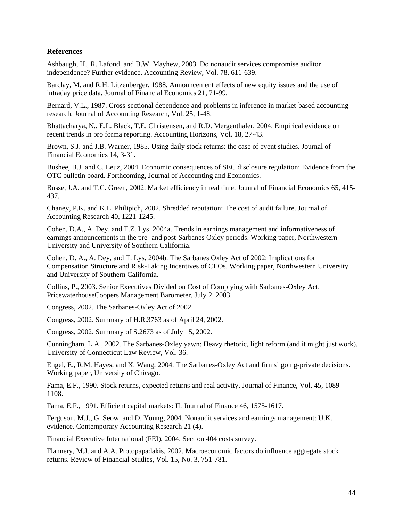## **References**

Ashbaugh, H., R. Lafond, and B.W. Mayhew, 2003. Do nonaudit services compromise auditor independence? Further evidence. Accounting Review, Vol. 78, 611-639.

Barclay, M. and R.H. Litzenberger, 1988. Announcement effects of new equity issues and the use of intraday price data. Journal of Financial Economics 21, 71-99.

Bernard, V.L., 1987. Cross-sectional dependence and problems in inference in market-based accounting research. Journal of Accounting Research, Vol. 25, 1-48.

Bhattacharya, N., E.L. Black, T.E. Christensen, and R.D. Mergenthaler, 2004. Empirical evidence on recent trends in pro forma reporting. Accounting Horizons, Vol. 18, 27-43.

Brown, S.J. and J.B. Warner, 1985. Using daily stock returns: the case of event studies. Journal of Financial Economics 14, 3-31.

Bushee, B.J. and C. Leuz, 2004. Economic consequences of SEC disclosure regulation: Evidence from the OTC bulletin board. Forthcoming, Journal of Accounting and Economics.

Busse, J.A. and T.C. Green, 2002. Market efficiency in real time. Journal of Financial Economics 65, 415- 437.

Chaney, P.K. and K.L. Philipich, 2002. Shredded reputation: The cost of audit failure. Journal of Accounting Research 40, 1221-1245.

Cohen, D.A., A. Dey, and T.Z. Lys, 2004a. Trends in earnings management and informativeness of earnings announcements in the pre- and post-Sarbanes Oxley periods. Working paper, Northwestern University and University of Southern California.

Cohen, D. A., A. Dey, and T. Lys, 2004b. The Sarbanes Oxley Act of 2002: Implications for Compensation Structure and Risk-Taking Incentives of CEOs. Working paper, Northwestern University and University of Southern California.

Collins, P., 2003. Senior Executives Divided on Cost of Complying with Sarbanes-Oxley Act. PricewaterhouseCoopers Management Barometer, July 2, 2003.

Congress, 2002. The Sarbanes-Oxley Act of 2002.

Congress, 2002. Summary of H.R.3763 as of April 24, 2002.

Congress, 2002. Summary of S.2673 as of July 15, 2002.

Cunningham, L.A., 2002. The Sarbanes-Oxley yawn: Heavy rhetoric, light reform (and it might just work). University of Connecticut Law Review, Vol. 36.

Engel, E., R.M. Hayes, and X. Wang, 2004. The Sarbanes-Oxley Act and firms' going-private decisions. Working paper, University of Chicago.

Fama, E.F., 1990. Stock returns, expected returns and real activity. Journal of Finance, Vol. 45, 1089- 1108.

Fama, E.F., 1991. Efficient capital markets: II. Journal of Finance 46, 1575-1617.

Ferguson, M.J., G. Seow, and D. Young, 2004. Nonaudit services and earnings management: U.K. evidence. Contemporary Accounting Research 21 (4).

Financial Executive International (FEI), 2004. Section 404 costs survey.

Flannery, M.J. and A.A. Protopapadakis, 2002. Macroeconomic factors do influence aggregate stock returns. Review of Financial Studies, Vol. 15, No. 3, 751-781.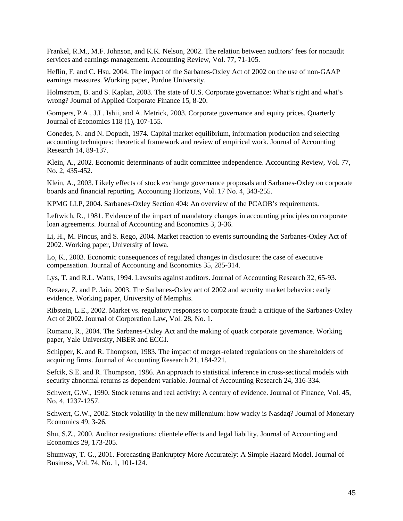Frankel, R.M., M.F. Johnson, and K.K. Nelson, 2002. The relation between auditors' fees for nonaudit services and earnings management. Accounting Review, Vol. 77, 71-105.

Heflin, F. and C. Hsu, 2004. The impact of the Sarbanes-Oxley Act of 2002 on the use of non-GAAP earnings measures. Working paper, Purdue University.

Holmstrom, B. and S. Kaplan, 2003. The state of U.S. Corporate governance: What's right and what's wrong? Journal of Applied Corporate Finance 15, 8-20.

Gompers, P.A., J.L. Ishii, and A. Metrick, 2003. Corporate governance and equity prices. Quarterly Journal of Economics 118 (1), 107-155.

Gonedes, N. and N. Dopuch, 1974. Capital market equilibrium, information production and selecting accounting techniques: theoretical framework and review of empirical work. Journal of Accounting Research 14, 89-137.

Klein, A., 2002. Economic determinants of audit committee independence. Accounting Review, Vol. 77, No. 2, 435-452.

Klein, A., 2003. Likely effects of stock exchange governance proposals and Sarbanes-Oxley on corporate boards and financial reporting. Accounting Horizons, Vol. 17 No. 4, 343-255.

KPMG LLP, 2004. Sarbanes-Oxley Section 404: An overview of the PCAOB's requirements.

Leftwich, R., 1981. Evidence of the impact of mandatory changes in accounting principles on corporate loan agreements. Journal of Accounting and Economics 3, 3-36.

Li, H., M. Pincus, and S. Rego, 2004. Market reaction to events surrounding the Sarbanes-Oxley Act of 2002. Working paper, University of Iowa.

Lo, K., 2003. Economic consequences of regulated changes in disclosure: the case of executive compensation. Journal of Accounting and Economics 35, 285-314.

Lys, T. and R.L. Watts, 1994. Lawsuits against auditors. Journal of Accounting Research 32, 65-93.

Rezaee, Z. and P. Jain, 2003. The Sarbanes-Oxley act of 2002 and security market behavior: early evidence. Working paper, University of Memphis.

Ribstein, L.E., 2002. Market vs. regulatory responses to corporate fraud: a critique of the Sarbanes-Oxley Act of 2002. Journal of Corporation Law, Vol. 28, No. 1.

Romano, R., 2004. The Sarbanes-Oxley Act and the making of quack corporate governance. Working paper, Yale University, NBER and ECGI.

Schipper, K. and R. Thompson, 1983. The impact of merger-related regulations on the shareholders of acquiring firms. Journal of Accounting Research 21, 184-221.

Sefcik, S.E. and R. Thompson, 1986. An approach to statistical inference in cross-sectional models with security abnormal returns as dependent variable. Journal of Accounting Research 24, 316-334.

Schwert, G.W., 1990. Stock returns and real activity: A century of evidence. Journal of Finance, Vol. 45, No. 4, 1237-1257.

Schwert, G.W., 2002. Stock volatility in the new millennium: how wacky is Nasdaq? Journal of Monetary Economics 49, 3-26.

Shu, S.Z., 2000. Auditor resignations: clientele effects and legal liability. Journal of Accounting and Economics 29, 173-205.

Shumway, T. G., 2001. Forecasting Bankruptcy More Accurately: A Simple Hazard Model. Journal of Business, Vol. 74, No. 1, 101-124.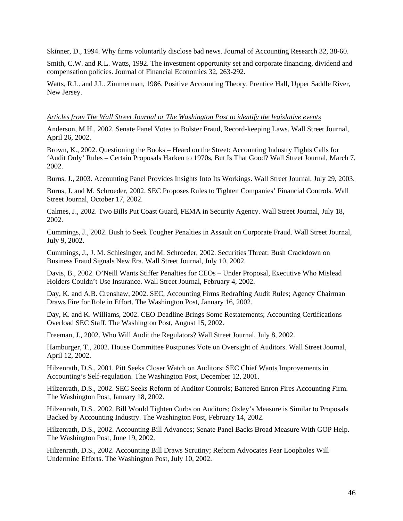Skinner, D., 1994. Why firms voluntarily disclose bad news. Journal of Accounting Research 32, 38-60.

Smith, C.W. and R.L. Watts, 1992. The investment opportunity set and corporate financing, dividend and compensation policies. Journal of Financial Economics 32, 263-292.

Watts, R.L. and J.L. Zimmerman, 1986. Positive Accounting Theory. Prentice Hall, Upper Saddle River, New Jersey.

#### *Articles from The Wall Street Journal or The Washington Post to identify the legislative events*

Anderson, M.H., 2002. Senate Panel Votes to Bolster Fraud, Record-keeping Laws. Wall Street Journal, April 26, 2002.

Brown, K., 2002. Questioning the Books – Heard on the Street: Accounting Industry Fights Calls for 'Audit Only' Rules – Certain Proposals Harken to 1970s, But Is That Good? Wall Street Journal, March 7, 2002.

Burns, J., 2003. Accounting Panel Provides Insights Into Its Workings. Wall Street Journal, July 29, 2003.

Burns, J. and M. Schroeder, 2002. SEC Proposes Rules to Tighten Companies' Financial Controls. Wall Street Journal, October 17, 2002.

Calmes, J., 2002. Two Bills Put Coast Guard, FEMA in Security Agency. Wall Street Journal, July 18, 2002.

Cummings, J., 2002. Bush to Seek Tougher Penalties in Assault on Corporate Fraud. Wall Street Journal, July 9, 2002.

Cummings, J., J. M. Schlesinger, and M. Schroeder, 2002. Securities Threat: Bush Crackdown on Business Fraud Signals New Era. Wall Street Journal, July 10, 2002.

Davis, B., 2002. O'Neill Wants Stiffer Penalties for CEOs – Under Proposal, Executive Who Mislead Holders Couldn't Use Insurance. Wall Street Journal, February 4, 2002.

Day, K. and A.B. Crenshaw, 2002. SEC, Accounting Firms Redrafting Audit Rules; Agency Chairman Draws Fire for Role in Effort. The Washington Post, January 16, 2002.

Day, K. and K. Williams, 2002. CEO Deadline Brings Some Restatements; Accounting Certifications Overload SEC Staff. The Washington Post, August 15, 2002.

Freeman, J., 2002. Who Will Audit the Regulators? Wall Street Journal, July 8, 2002.

Hamburger, T., 2002. House Committee Postpones Vote on Oversight of Auditors. Wall Street Journal, April 12, 2002.

Hilzenrath, D.S., 2001. Pitt Seeks Closer Watch on Auditors: SEC Chief Wants Improvements in Accounting's Self-regulation. The Washington Post, December 12, 2001.

Hilzenrath, D.S., 2002. SEC Seeks Reform of Auditor Controls; Battered Enron Fires Accounting Firm. The Washington Post, January 18, 2002.

Hilzenrath, D.S., 2002. Bill Would Tighten Curbs on Auditors; Oxley's Measure is Similar to Proposals Backed by Accounting Industry. The Washington Post, February 14, 2002.

Hilzenrath, D.S., 2002. Accounting Bill Advances; Senate Panel Backs Broad Measure With GOP Help. The Washington Post, June 19, 2002.

Hilzenrath, D.S., 2002. Accounting Bill Draws Scrutiny; Reform Advocates Fear Loopholes Will Undermine Efforts. The Washington Post, July 10, 2002.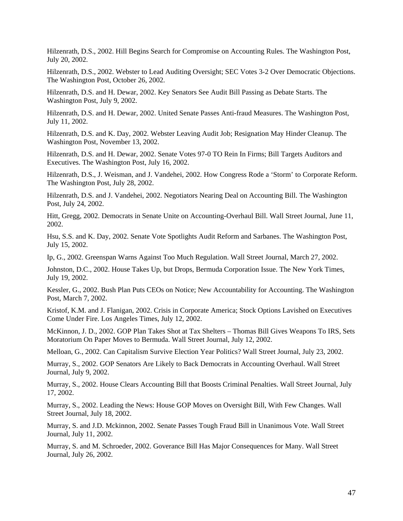Hilzenrath, D.S., 2002. Hill Begins Search for Compromise on Accounting Rules. The Washington Post, July 20, 2002.

Hilzenrath, D.S., 2002. Webster to Lead Auditing Oversight; SEC Votes 3-2 Over Democratic Objections. The Washington Post, October 26, 2002.

Hilzenrath, D.S. and H. Dewar, 2002. Key Senators See Audit Bill Passing as Debate Starts. The Washington Post, July 9, 2002.

Hilzenrath, D.S. and H. Dewar, 2002. United Senate Passes Anti-fraud Measures. The Washington Post, July 11, 2002.

Hilzenrath, D.S. and K. Day, 2002. Webster Leaving Audit Job; Resignation May Hinder Cleanup. The Washington Post, November 13, 2002.

Hilzenrath, D.S. and H. Dewar, 2002. Senate Votes 97-0 TO Rein In Firms; Bill Targets Auditors and Executives. The Washington Post, July 16, 2002.

Hilzenrath, D.S., J. Weisman, and J. Vandehei, 2002. How Congress Rode a 'Storm' to Corporate Reform. The Washington Post, July 28, 2002.

Hilzenrath, D.S. and J. Vandehei, 2002. Negotiators Nearing Deal on Accounting Bill. The Washington Post, July 24, 2002.

Hitt, Gregg, 2002. Democrats in Senate Unite on Accounting-Overhaul Bill. Wall Street Journal, June 11, 2002.

Hsu, S.S. and K. Day, 2002. Senate Vote Spotlights Audit Reform and Sarbanes. The Washington Post, July 15, 2002.

Ip, G., 2002. Greenspan Warns Against Too Much Regulation. Wall Street Journal, March 27, 2002.

Johnston, D.C., 2002. House Takes Up, but Drops, Bermuda Corporation Issue. The New York Times, July 19, 2002.

Kessler, G., 2002. Bush Plan Puts CEOs on Notice; New Accountability for Accounting. The Washington Post, March 7, 2002.

Kristof, K.M. and J. Flanigan, 2002. Crisis in Corporate America; Stock Options Lavished on Executives Come Under Fire. Los Angeles Times, July 12, 2002.

McKinnon, J. D., 2002. GOP Plan Takes Shot at Tax Shelters – Thomas Bill Gives Weapons To IRS, Sets Moratorium On Paper Moves to Bermuda. Wall Street Journal, July 12, 2002.

Melloan, G., 2002. Can Capitalism Survive Election Year Politics? Wall Street Journal, July 23, 2002.

Murray, S., 2002. GOP Senators Are Likely to Back Democrats in Accounting Overhaul. Wall Street Journal, July 9, 2002.

Murray, S., 2002. House Clears Accounting Bill that Boosts Criminal Penalties. Wall Street Journal, July 17, 2002.

Murray, S., 2002. Leading the News: House GOP Moves on Oversight Bill, With Few Changes. Wall Street Journal, July 18, 2002.

Murray, S. and J.D. Mckinnon, 2002. Senate Passes Tough Fraud Bill in Unanimous Vote. Wall Street Journal, July 11, 2002.

Murray, S. and M. Schroeder, 2002. Goverance Bill Has Major Consequences for Many. Wall Street Journal, July 26, 2002.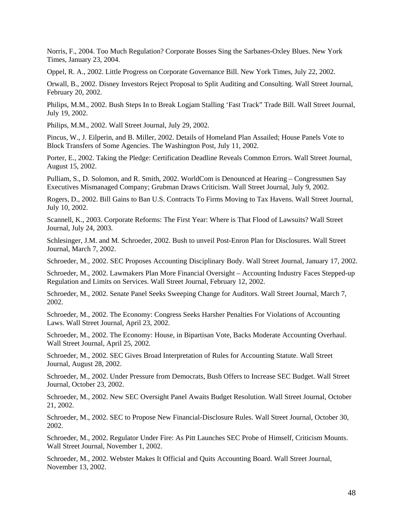Norris, F., 2004. Too Much Regulation? Corporate Bosses Sing the Sarbanes-Oxley Blues. New York Times, January 23, 2004.

Oppel, R. A., 2002. Little Progress on Corporate Governance Bill. New York Times, July 22, 2002.

Orwall, B., 2002. Disney Investors Reject Proposal to Split Auditing and Consulting. Wall Street Journal, February 20, 2002.

Philips, M.M., 2002. Bush Steps In to Break Logjam Stalling 'Fast Track" Trade Bill. Wall Street Journal, July 19, 2002.

Philips, M.M., 2002. Wall Street Journal, July 29, 2002.

Pincus, W., J. Eilperin, and B. Miller, 2002. Details of Homeland Plan Assailed; House Panels Vote to Block Transfers of Some Agencies. The Washington Post, July 11, 2002.

Porter, E., 2002. Taking the Pledge: Certification Deadline Reveals Common Errors. Wall Street Journal, August 15, 2002.

Pulliam, S., D. Solomon, and R. Smith, 2002. WorldCom is Denounced at Hearing – Congressmen Say Executives Mismanaged Company; Grubman Draws Criticism. Wall Street Journal, July 9, 2002.

Rogers, D., 2002. Bill Gains to Ban U.S. Contracts To Firms Moving to Tax Havens. Wall Street Journal, July 10, 2002.

Scannell, K., 2003. Corporate Reforms: The First Year: Where is That Flood of Lawsuits? Wall Street Journal, July 24, 2003.

Schlesinger, J.M. and M. Schroeder, 2002. Bush to unveil Post-Enron Plan for Disclosures. Wall Street Journal, March 7, 2002.

Schroeder, M., 2002. SEC Proposes Accounting Disciplinary Body. Wall Street Journal, January 17, 2002.

Schroeder, M., 2002. Lawmakers Plan More Financial Oversight – Accounting Industry Faces Stepped-up Regulation and Limits on Services. Wall Street Journal, February 12, 2002.

Schroeder, M., 2002. Senate Panel Seeks Sweeping Change for Auditors. Wall Street Journal, March 7, 2002.

Schroeder, M., 2002. The Economy: Congress Seeks Harsher Penalties For Violations of Accounting Laws. Wall Street Journal, April 23, 2002.

Schroeder, M., 2002. The Economy: House, in Bipartisan Vote, Backs Moderate Accounting Overhaul. Wall Street Journal, April 25, 2002.

Schroeder, M., 2002. SEC Gives Broad Interpretation of Rules for Accounting Statute. Wall Street Journal, August 28, 2002.

Schroeder, M., 2002. Under Pressure from Democrats, Bush Offers to Increase SEC Budget. Wall Street Journal, October 23, 2002.

Schroeder, M., 2002. New SEC Oversight Panel Awaits Budget Resolution. Wall Street Journal, October 21, 2002.

Schroeder, M., 2002. SEC to Propose New Financial-Disclosure Rules. Wall Street Journal, October 30, 2002.

Schroeder, M., 2002. Regulator Under Fire: As Pitt Launches SEC Probe of Himself, Criticism Mounts. Wall Street Journal, November 1, 2002.

Schroeder, M., 2002. Webster Makes It Official and Quits Accounting Board. Wall Street Journal, November 13, 2002.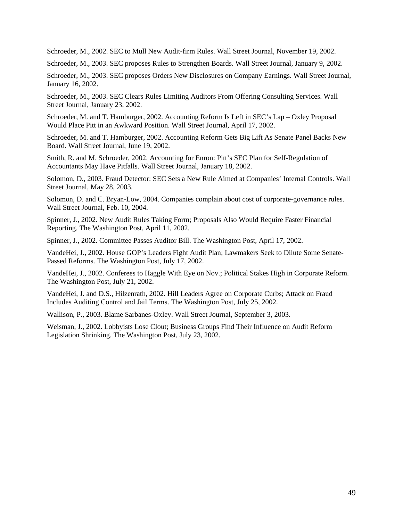Schroeder, M., 2002. SEC to Mull New Audit-firm Rules. Wall Street Journal, November 19, 2002.

Schroeder, M., 2003. SEC proposes Rules to Strengthen Boards. Wall Street Journal, January 9, 2002.

Schroeder, M., 2003. SEC proposes Orders New Disclosures on Company Earnings. Wall Street Journal, January 16, 2002.

Schroeder, M., 2003. SEC Clears Rules Limiting Auditors From Offering Consulting Services. Wall Street Journal, January 23, 2002.

Schroeder, M. and T. Hamburger, 2002. Accounting Reform Is Left in SEC's Lap – Oxley Proposal Would Place Pitt in an Awkward Position. Wall Street Journal, April 17, 2002.

Schroeder, M. and T. Hamburger, 2002. Accounting Reform Gets Big Lift As Senate Panel Backs New Board. Wall Street Journal, June 19, 2002.

Smith, R. and M. Schroeder, 2002. Accounting for Enron: Pitt's SEC Plan for Self-Regulation of Accountants May Have Pitfalls. Wall Street Journal, January 18, 2002.

Solomon, D., 2003. Fraud Detector: SEC Sets a New Rule Aimed at Companies' Internal Controls. Wall Street Journal, May 28, 2003.

Solomon, D. and C. Bryan-Low, 2004. Companies complain about cost of corporate-governance rules. Wall Street Journal, Feb. 10, 2004.

Spinner, J., 2002. New Audit Rules Taking Form; Proposals Also Would Require Faster Financial Reporting. The Washington Post, April 11, 2002.

Spinner, J., 2002. Committee Passes Auditor Bill. The Washington Post, April 17, 2002.

VandeHei, J., 2002. House GOP's Leaders Fight Audit Plan; Lawmakers Seek to Dilute Some Senate-Passed Reforms. The Washington Post, July 17, 2002.

VandeHei, J., 2002. Conferees to Haggle With Eye on Nov.; Political Stakes High in Corporate Reform. The Washington Post, July 21, 2002.

VandeHei, J. and D.S., Hilzenrath, 2002. Hill Leaders Agree on Corporate Curbs; Attack on Fraud Includes Auditing Control and Jail Terms. The Washington Post, July 25, 2002.

Wallison, P., 2003. Blame Sarbanes-Oxley. Wall Street Journal, September 3, 2003.

Weisman, J., 2002. Lobbyists Lose Clout; Business Groups Find Their Influence on Audit Reform Legislation Shrinking. The Washington Post, July 23, 2002.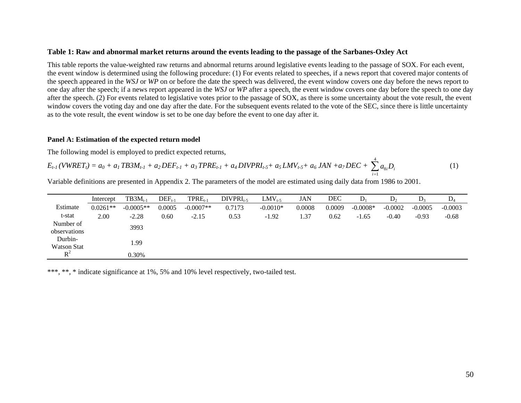#### **Table 1: Raw and abnormal market returns around the events leading to the passage of the Sarbanes-Oxley Act**

This table reports the value-weighted raw returns and abnormal returns around legislative events leading to the passage of SOX. For each event, the event window is determined using the following procedure: (1) For events related to speeches, if a news report that covered major contents of the speech appeared in the *WSJ* or *WP* on or before the date the speech was delivered, the event window covers one day before the news report to one day after the speech; if a news report appeared in the *WSJ* or *WP* after a speech, the event window covers one day before the speech to one day after the speech. (2) For events related to legislative votes prior to the passage of SOX, as there is some uncertainty about the vote result, the event window covers the voting day and one day after the date. For the subsequent events related to the vote of the SEC, since there is little uncertainty as to the vote result, the event window is set to be one day before the event to one day after it.

#### **Panel A: Estimation of the expected return model**

The following model is employed to predict expected returns,

$$
E_{t-1}(VWRET_t) = a_0 + a_1 TBSM_{t-1} + a_2 DEF_{t-1} + a_3 TPRE_{t-1} + a_4 DIVPRI_{t-5} + a_5 LMV_{t-5} + a_6 JAN + a_7 DEC + \sum_{i=1}^{4} a_{8i}D_i
$$
 (1)

Variable definitions are presented in Appendix 2. The parameters of the model are estimated using daily data from 1986 to 2001.

|              | Intercept  | $TB3M_{t-1}$ | $DEF_{t-1}$ | $TPRE_{t-1}$ | $DIVPRI_{t-5}$ | $LMV_{t-5}$ | JAN    | DEC    | $\mathbf{D}_1$ | $D_{2}$   | D.        | $D_4$     |
|--------------|------------|--------------|-------------|--------------|----------------|-------------|--------|--------|----------------|-----------|-----------|-----------|
| Estimate     | $0.0261**$ | $-0.0005**$  | 0.0005      | $-0.0007**$  | 0.7173         | $-0.0010*$  | 0.0008 | 0.0009 | $-0.0008*$     | $-0.0002$ | $-0.0005$ | $-0.0003$ |
| t-stat       | 2.00       | $-2.28$      | 0.60        | $-2.15$      | 0.53           | $-1.92$     | 1.37   | 0.62   | $-1.65$        | $-0.40$   | $-0.93$   | $-0.68$   |
| Number of    |            | 3993         |             |              |                |             |        |        |                |           |           |           |
| observations |            |              |             |              |                |             |        |        |                |           |           |           |
| Durbin-      |            | 1.99         |             |              |                |             |        |        |                |           |           |           |
| Watson Stat  |            |              |             |              |                |             |        |        |                |           |           |           |
| $R^2$        |            | 0.30%        |             |              |                |             |        |        |                |           |           |           |

\*\*\*, \*\*, \* indicate significance at 1%, 5% and 10% level respectively, two-tailed test.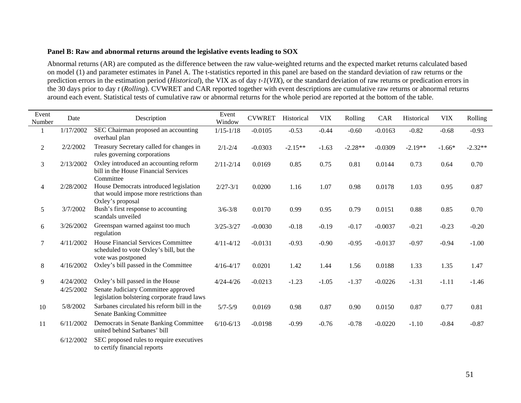#### **Panel B: Raw and abnormal returns around the legislative events leading to SOX**

Abnormal returns (AR) are computed as the difference between the raw value-weighted returns and the expected market returns calculated based on model (1) and parameter estimates in Panel A. The t-statistics reported in this panel are based on the standard deviation of raw returns or the prediction errors in the estimation period (*Historical*), the VIX as of day *t-1*(*VIX*), or the standard deviation of raw returns or predication errors in the 30 days prior to day *t* (*Rolling*). CVWRET and CAR reported together with event descriptions are cumulative raw returns or abnormal returns around each event. Statistical tests of cumulative raw or abnormal returns for the whole period are reported at the bottom of the table.

| Event<br>Number | Date                   | Description                                                                                                            | Event<br>Window | <b>CVWRET</b> | Historical | <b>VIX</b> | Rolling   | CAR       | Historical | <b>VIX</b> | Rolling   |
|-----------------|------------------------|------------------------------------------------------------------------------------------------------------------------|-----------------|---------------|------------|------------|-----------|-----------|------------|------------|-----------|
|                 | 1/17/2002              | SEC Chairman proposed an accounting<br>overhaul plan                                                                   | $1/15 - 1/18$   | $-0.0105$     | $-0.53$    | $-0.44$    | $-0.60$   | $-0.0163$ | $-0.82$    | $-0.68$    | $-0.93$   |
| $\overline{2}$  | 2/2/2002               | Treasury Secretary called for changes in<br>rules governing corporations                                               | $2/1 - 2/4$     | $-0.0303$     | $-2.15**$  | $-1.63$    | $-2.28**$ | $-0.0309$ | $-2.19**$  | $-1.66*$   | $-2.32**$ |
| 3               | 2/13/2002              | Oxley introduced an accounting reform<br>bill in the House Financial Services<br>Committee                             | $2/11 - 2/14$   | 0.0169        | 0.85       | 0.75       | 0.81      | 0.0144    | 0.73       | 0.64       | 0.70      |
| 4               | 2/28/2002              | House Democrats introduced legislation<br>that would impose more restrictions than<br>Oxley's proposal                 | $2/27 - 3/1$    | 0.0200        | 1.16       | 1.07       | 0.98      | 0.0178    | 1.03       | 0.95       | 0.87      |
| 5               | 3/7/2002               | Bush's first response to accounting<br>scandals unveiled                                                               | $3/6 - 3/8$     | 0.0170        | 0.99       | 0.95       | 0.79      | 0.0151    | 0.88       | 0.85       | 0.70      |
| 6               | 3/26/2002              | Greenspan warned against too much<br>regulation                                                                        | $3/25 - 3/27$   | $-0.0030$     | $-0.18$    | $-0.19$    | $-0.17$   | $-0.0037$ | $-0.21$    | $-0.23$    | $-0.20$   |
| 7               | 4/11/2002              | <b>House Financial Services Committee</b><br>scheduled to vote Oxley's bill, but the<br>vote was postponed             | $4/11 - 4/12$   | $-0.0131$     | $-0.93$    | $-0.90$    | $-0.95$   | $-0.0137$ | $-0.97$    | $-0.94$    | $-1.00$   |
| $8\,$           | 4/16/2002              | Oxley's bill passed in the Committee                                                                                   | $4/16 - 4/17$   | 0.0201        | 1.42       | 1.44       | 1.56      | 0.0188    | 1.33       | 1.35       | 1.47      |
| 9               | 4/24/2002<br>4/25/2002 | Oxley's bill passed in the House<br>Senate Judiciary Committee approved<br>legislation bolstering corporate fraud laws | $4/24 - 4/26$   | $-0.0213$     | $-1.23$    | $-1.05$    | $-1.37$   | $-0.0226$ | $-1.31$    | $-1.11$    | $-1.46$   |
| $10\,$          | 5/8/2002               | Sarbanes circulated his reform bill in the<br><b>Senate Banking Committee</b>                                          | $5/7 - 5/9$     | 0.0169        | 0.98       | 0.87       | 0.90      | 0.0150    | 0.87       | 0.77       | 0.81      |
| 11              | 6/11/2002              | Democrats in Senate Banking Committee<br>united behind Sarbanes' bill                                                  | $6/10-6/13$     | $-0.0198$     | $-0.99$    | $-0.76$    | $-0.78$   | $-0.0220$ | $-1.10$    | $-0.84$    | $-0.87$   |
|                 | 6/12/2002              | SEC proposed rules to require executives<br>to certify financial reports                                               |                 |               |            |            |           |           |            |            |           |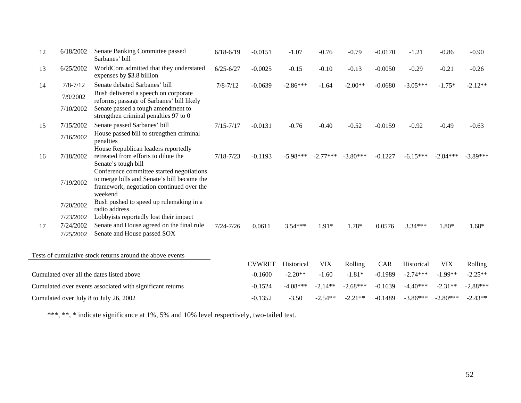| 12 | 6/18/2002    | Senate Banking Committee passed<br>Sarbanes' bill                                                                                                | $6/18 - 6/19$ | $-0.0151$     | $-1.07$    | $-0.76$    | $-0.79$    | $-0.0170$ | $-1.21$    | $-0.86$    | $-0.90$    |
|----|--------------|--------------------------------------------------------------------------------------------------------------------------------------------------|---------------|---------------|------------|------------|------------|-----------|------------|------------|------------|
| 13 | 6/25/2002    | WorldCom admitted that they understated<br>expenses by \$3.8 billion                                                                             | $6/25 - 6/27$ | $-0.0025$     | $-0.15$    | $-0.10$    | $-0.13$    | $-0.0050$ | $-0.29$    | $-0.21$    | $-0.26$    |
| 14 | $7/8 - 7/12$ | Senate debated Sarbanes' bill                                                                                                                    | $7/8 - 7/12$  | $-0.0639$     | $-2.86***$ | $-1.64$    | $-2.00**$  | $-0.0680$ | $-3.05***$ | $-1.75*$   | $-2.12**$  |
|    | 7/9/2002     | Bush delivered a speech on corporate<br>reforms; passage of Sarbanes' bill likely                                                                |               |               |            |            |            |           |            |            |            |
|    | 7/10/2002    | Senate passed a tough amendment to<br>strengthen criminal penalties 97 to 0                                                                      |               |               |            |            |            |           |            |            |            |
| 15 | 7/15/2002    | Senate passed Sarbanes' bill                                                                                                                     | $7/15 - 7/17$ | $-0.0131$     | $-0.76$    | $-0.40$    | $-0.52$    | $-0.0159$ | $-0.92$    | $-0.49$    | $-0.63$    |
|    | 7/16/2002    | House passed bill to strengthen criminal<br>penalties                                                                                            |               |               |            |            |            |           |            |            |            |
|    |              | House Republican leaders reportedly                                                                                                              |               |               |            |            |            |           |            |            |            |
| 16 | 7/18/2002    | retreated from efforts to dilute the<br>Senate's tough bill                                                                                      | $7/18 - 7/23$ | $-0.1193$     | $-5.98***$ | $-2.77***$ | $-3.80***$ | $-0.1227$ | $-6.15***$ | $-2.84***$ | $-3.89***$ |
|    | 7/19/2002    | Conference committee started negotiations<br>to merge bills and Senate's bill became the<br>framework; negotiation continued over the<br>weekend |               |               |            |            |            |           |            |            |            |
|    | 7/20/2002    | Bush pushed to speed up rulemaking in a<br>radio address                                                                                         |               |               |            |            |            |           |            |            |            |
|    | 7/23/2002    | Lobbyists reportedly lost their impact                                                                                                           |               |               |            |            |            |           |            |            |            |
| 17 | 7/24/2002    | Senate and House agreed on the final rule                                                                                                        | $7/24 - 7/26$ | 0.0611        | $3.54***$  | $1.91*$    | 1.78*      | 0.0576    | $3.34***$  | $1.80*$    | $1.68*$    |
|    | 7/25/2002    | Senate and House passed SOX                                                                                                                      |               |               |            |            |            |           |            |            |            |
|    |              | Tests of cumulative stock returns around the above events                                                                                        |               |               |            |            |            |           |            |            |            |
|    |              |                                                                                                                                                  |               | <b>CVWRET</b> | Historical | <b>VIX</b> | Rolling    | CAR       | Historical | <b>VIX</b> | Rolling    |
|    |              | Cumulated over all the dates listed above                                                                                                        |               | $-0.1600$     | $-2.20**$  | $-1.60$    | $-1.81*$   | $-0.1989$ | $-2.74***$ | $-1.99**$  | $-2.25**$  |
|    |              | Cumulated over events associated with significant returns                                                                                        |               | $-0.1524$     | $-4.08***$ | $-2.14**$  | $-2.68***$ | $-0.1639$ | $-4.40***$ | $-2.31**$  | $-2.88***$ |
|    |              | Cumulated over July 8 to July 26, 2002                                                                                                           |               | $-0.1352$     | $-3.50$    | $-2.54**$  | $-2.21**$  | $-0.1489$ | $-3.86***$ | $-2.80***$ | $-2.43**$  |

\*\*\*, \*\*, \* indicate significance at 1%, 5% and 10% level respectively, two-tailed test.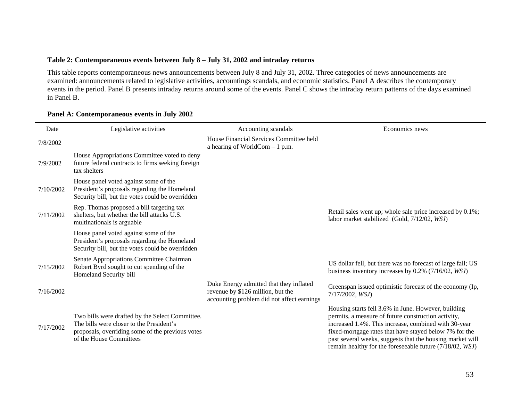## **Table 2: Contemporaneous events between July 8 – July 31, 2002 and intraday returns**

This table reports contemporaneous news announcements between July 8 and July 31, 2002. Three categories of news announcements are examined: announcements related to legislative activities, accountings scandals, and economic statistics. Panel A describes the contemporary events in the period. Panel B presents intraday returns around some of the events. Panel C shows the intraday return patterns of the days examined in Panel B.

| Date      | Legislative activities                                                                                                                                                     | Accounting scandals                                                                                                        | Economics news                                                                                                                                                                                                                                                                                                                                        |
|-----------|----------------------------------------------------------------------------------------------------------------------------------------------------------------------------|----------------------------------------------------------------------------------------------------------------------------|-------------------------------------------------------------------------------------------------------------------------------------------------------------------------------------------------------------------------------------------------------------------------------------------------------------------------------------------------------|
| 7/8/2002  |                                                                                                                                                                            | House Financial Services Committee held<br>a hearing of WorldCom $-1$ p.m.                                                 |                                                                                                                                                                                                                                                                                                                                                       |
| 7/9/2002  | House Appropriations Committee voted to deny<br>future federal contracts to firms seeking foreign<br>tax shelters                                                          |                                                                                                                            |                                                                                                                                                                                                                                                                                                                                                       |
| 7/10/2002 | House panel voted against some of the<br>President's proposals regarding the Homeland<br>Security bill, but the votes could be overridden                                  |                                                                                                                            |                                                                                                                                                                                                                                                                                                                                                       |
| 7/11/2002 | Rep. Thomas proposed a bill targeting tax<br>shelters, but whether the bill attacks U.S.<br>multinationals is arguable.                                                    |                                                                                                                            | Retail sales went up; whole sale price increased by 0.1%;<br>labor market stabilized (Gold, 7/12/02, WSJ)                                                                                                                                                                                                                                             |
|           | House panel voted against some of the<br>President's proposals regarding the Homeland<br>Security bill, but the votes could be overridden                                  |                                                                                                                            |                                                                                                                                                                                                                                                                                                                                                       |
| 7/15/2002 | Senate Appropriations Committee Chairman<br>Robert Byrd sought to cut spending of the<br>Homeland Security bill                                                            |                                                                                                                            | US dollar fell, but there was no forecast of large fall; US<br>business inventory increases by $0.2\%$ (7/16/02, WSJ)                                                                                                                                                                                                                                 |
| 7/16/2002 |                                                                                                                                                                            | Duke Energy admitted that they inflated<br>revenue by \$126 million, but the<br>accounting problem did not affect earnings | Greenspan issued optimistic forecast of the economy (Ip,<br>$7/17/2002$ , <i>WSJ</i> )                                                                                                                                                                                                                                                                |
| 7/17/2002 | Two bills were drafted by the Select Committee.<br>The bills were closer to the President's<br>proposals, overriding some of the previous votes<br>of the House Committees |                                                                                                                            | Housing starts fell 3.6% in June. However, building<br>permits, a measure of future construction activity,<br>increased 1.4%. This increase, combined with 30-year<br>fixed-mortgage rates that have stayed below 7% for the<br>past several weeks, suggests that the housing market will<br>remain healthy for the foreseeable future (7/18/02, WSJ) |

## **Panel A: Contemporaneous events in July 2002**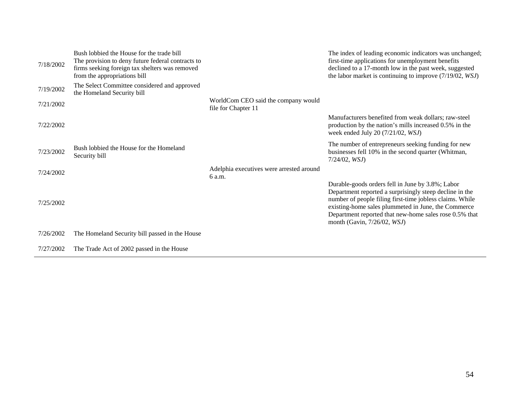| 7/18/2002 | Bush lobbied the House for the trade bill<br>The provision to deny future federal contracts to<br>firms seeking foreign tax shelters was removed<br>from the appropriations bill |                                                            | The index of leading economic indicators was unchanged;<br>first-time applications for unemployment benefits<br>declined to a 17-month low in the past week, suggested<br>the labor market is continuing to improve $(7/19/02, WSJ)$                                                                                    |
|-----------|----------------------------------------------------------------------------------------------------------------------------------------------------------------------------------|------------------------------------------------------------|-------------------------------------------------------------------------------------------------------------------------------------------------------------------------------------------------------------------------------------------------------------------------------------------------------------------------|
| 7/19/2002 | The Select Committee considered and approved<br>the Homeland Security bill                                                                                                       |                                                            |                                                                                                                                                                                                                                                                                                                         |
| 7/21/2002 |                                                                                                                                                                                  | WorldCom CEO said the company would<br>file for Chapter 11 |                                                                                                                                                                                                                                                                                                                         |
| 7/22/2002 |                                                                                                                                                                                  |                                                            | Manufacturers benefited from weak dollars; raw-steel<br>production by the nation's mills increased 0.5% in the<br>week ended July 20 $(7/21/02, WSJ)$                                                                                                                                                                   |
| 7/23/2002 | Bush lobbied the House for the Homeland<br>Security bill                                                                                                                         |                                                            | The number of entrepreneurs seeking funding for new<br>businesses fell 10% in the second quarter (Whitman,<br>$7/24/02$ , <i>WSJ</i> )                                                                                                                                                                                  |
| 7/24/2002 |                                                                                                                                                                                  | Adelphia executives were arrested around<br>6 a.m.         |                                                                                                                                                                                                                                                                                                                         |
| 7/25/2002 |                                                                                                                                                                                  |                                                            | Durable-goods orders fell in June by 3.8%; Labor<br>Department reported a surprisingly steep decline in the<br>number of people filing first-time jobless claims. While<br>existing-home sales plummeted in June, the Commerce<br>Department reported that new-home sales rose 0.5% that<br>month (Gavin, 7/26/02, WSJ) |
| 7/26/2002 | The Homeland Security bill passed in the House                                                                                                                                   |                                                            |                                                                                                                                                                                                                                                                                                                         |
| 7/27/2002 | The Trade Act of 2002 passed in the House                                                                                                                                        |                                                            |                                                                                                                                                                                                                                                                                                                         |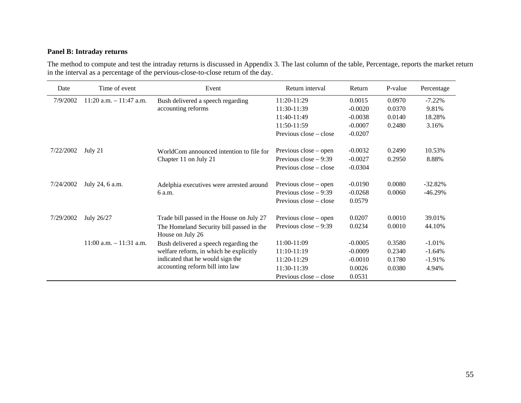## **Panel B: Intraday returns**

The method to compute and test the intraday returns is discussed in Appendix 3. The last column of the table, Percentage, reports the market return in the interval as a percentage of the pervious-close-to-close return of the day.

| Date      | Time of event              | Event                                                        | Return interval        | Return    | P-value | Percentage |
|-----------|----------------------------|--------------------------------------------------------------|------------------------|-----------|---------|------------|
| 7/9/2002  | $11:20$ a.m. $-11:47$ a.m. | Bush delivered a speech regarding                            | 11:20-11:29            | 0.0015    | 0.0970  | $-7.22%$   |
|           |                            | accounting reforms                                           | 11:30-11:39            | $-0.0020$ | 0.0370  | 9.81%      |
|           |                            |                                                              | 11:40-11:49            | $-0.0038$ | 0.0140  | 18.28%     |
|           |                            |                                                              | 11:50-11:59            | $-0.0007$ | 0.2480  | 3.16%      |
|           |                            |                                                              | Previous close – close | $-0.0207$ |         |            |
| 7/22/2002 | July 21                    | WorldCom announced intention to file for                     | Previous close – open  | $-0.0032$ | 0.2490  | 10.53%     |
|           |                            | Chapter 11 on July 21                                        | Previous close $-9:39$ | $-0.0027$ | 0.2950  | 8.88%      |
|           |                            |                                                              | Previous close – close | $-0.0304$ |         |            |
| 7/24/2002 | July 24, 6 a.m.            | Adelphia executives were arrested around                     | Previous close – open  | $-0.0190$ | 0.0080  | $-32.82%$  |
|           |                            | 6 a.m.                                                       | Previous close $-9:39$ | $-0.0268$ | 0.0060  | $-46.29%$  |
|           |                            |                                                              | Previous close – close | 0.0579    |         |            |
| 7/29/2002 | July 26/27                 | Trade bill passed in the House on July 27                    | Previous close – open  | 0.0207    | 0.0010  | 39.01%     |
|           |                            | The Homeland Security bill passed in the<br>House on July 26 | Previous close $-9:39$ | 0.0234    | 0.0010  | 44.10%     |
|           | $11:00$ a.m. $-11:31$ a.m. | Bush delivered a speech regarding the                        | $11:00-11:09$          | $-0.0005$ | 0.3580  | $-1.01%$   |
|           |                            | welfare reform, in which he explicitly                       | 11:10-11:19            | $-0.0009$ | 0.2340  | $-1.64%$   |
|           |                            | indicated that he would sign the                             | $11:20-11:29$          | $-0.0010$ | 0.1780  | $-1.91%$   |
|           |                            | accounting reform bill into law                              | 11:30-11:39            | 0.0026    | 0.0380  | 4.94%      |
|           |                            |                                                              | Previous close – close | 0.0531    |         |            |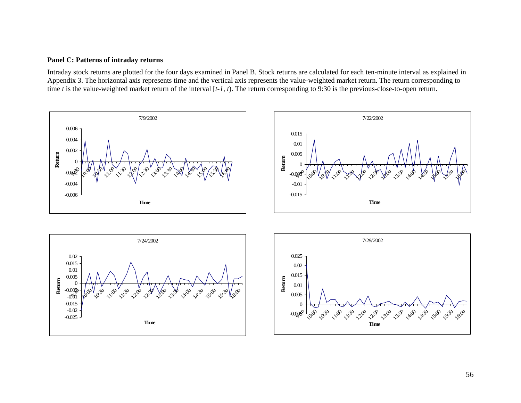## **Panel C: Patterns of intraday returns**

Intraday stock returns are plotted for the four days examined in Panel B. Stock returns are calculated for each ten-minute interval as explained in Appendix 3. The horizontal axis represents time and the vertical axis represents the value-weighted market return. The return corresponding to time *t* is the value-weighted market return of the interval [*t-1*, *<sup>t</sup>*). The return corresponding to 9:30 is the previous-close-to-open return.

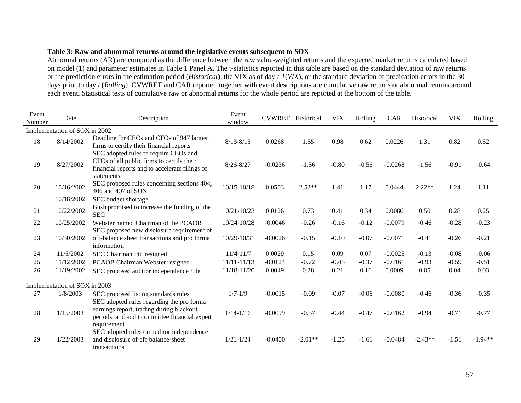## **Table 3: Raw and abnormal returns around the legislative events subsequent to SOX**

Abnormal returns (AR) are computed as the difference between the raw value-weighted returns and the expected market returns calculated based on model (1) and parameter estimates in Table 1 Panel A. The t-statistics reported in this table are based on the standard deviation of raw returns or the prediction errors in the estimation period (*Historical*), the VIX as of day *t-1*(*VIX*), or the standard deviation of predication errors in the 30 days prior to day *t* (*Rolling*). CVWRET and CAR reported together with event descriptions are cumulative raw returns or abnormal returns around each event. Statistical tests of cumulative raw or abnormal returns for the whole period are reported at the bottom of the table.

| Event<br>Number | Date                          | Description                                                                                                                                        | Event<br>window | <b>CVWRET</b> | Historical | <b>VIX</b> | Rolling | CAR       | Historical | <b>VIX</b> | Rolling   |
|-----------------|-------------------------------|----------------------------------------------------------------------------------------------------------------------------------------------------|-----------------|---------------|------------|------------|---------|-----------|------------|------------|-----------|
|                 | Implementation of SOX in 2002 |                                                                                                                                                    |                 |               |            |            |         |           |            |            |           |
| 18              | 8/14/2002                     | Deadline for CEOs and CFOs of 947 largest<br>firms to certify their financial reports                                                              | $8/13 - 8/15$   | 0.0268        | 1.55       | 0.98       | 0.62    | 0.0226    | 1.31       | 0.82       | 0.52      |
| 19              | 8/27/2002                     | SEC adopted rules to require CEOs and<br>CFOs of all public firms to certify their<br>financial reports and to accelerate filings of<br>statements | $8/26 - 8/27$   | $-0.0236$     | $-1.36$    | $-0.80$    | $-0.56$ | $-0.0268$ | $-1.56$    | $-0.91$    | $-0.64$   |
| 20              | 10/16/2002                    | SEC proposed rules concerning sections 404,<br>406 and 407 of SOX                                                                                  | $10/15 - 10/18$ | 0.0503        | $2.52**$   | 1.41       | 1.17    | 0.0444    | $2.22**$   | 1.24       | 1.11      |
|                 | 10/18/2002                    | SEC budget shortage                                                                                                                                |                 |               |            |            |         |           |            |            |           |
| 21              | 10/22/2002                    | Bush promised to increase the funding of the<br><b>SEC</b>                                                                                         | $10/21 - 10/23$ | 0.0126        | 0.73       | 0.41       | 0.34    | 0.0086    | 0.50       | 0.28       | 0.25      |
| 22              | 10/25/2002                    | Webster named Chairman of the PCAOB<br>SEC proposed new disclosure requirement of                                                                  | 10/24-10/28     | $-0.0046$     | $-0.26$    | $-0.16$    | $-0.12$ | $-0.0079$ | $-0.46$    | $-0.28$    | $-0.23$   |
| 23              | 10/30/2002                    | off-balance sheet transactions and pro forma<br>information                                                                                        | 10/29-10/31     | $-0.0026$     | $-0.15$    | $-0.10$    | $-0.07$ | $-0.0071$ | $-0.41$    | $-0.26$    | $-0.21$   |
| 24              | 11/5/2002                     | SEC Chairman Pitt resigned                                                                                                                         | $11/4 - 11/7$   | 0.0029        | 0.15       | 0.09       | 0.07    | $-0.0025$ | $-0.13$    | $-0.08$    | $-0.06$   |
| 25              | 11/12/2002                    | PCAOB Chairman Webster resigned                                                                                                                    | 11/11-11/13     | $-0.0124$     | $-0.72$    | $-0.45$    | $-0.37$ | $-0.0161$ | $-0.93$    | $-0.59$    | $-0.51$   |
| 26              | 11/19/2002                    | SEC proposed auditor independence rule                                                                                                             | 11/18-11/20     | 0.0049        | 0.28       | 0.21       | 0.16    | 0.0009    | 0.05       | 0.04       | 0.03      |
|                 | Implementation of SOX in 2003 |                                                                                                                                                    |                 |               |            |            |         |           |            |            |           |
| 27              | 1/8/2003                      | SEC proposed listing standards rules<br>SEC adopted rules regarding the pro forma                                                                  | $1/7 - 1/9$     | $-0.0015$     | $-0.09$    | $-0.07$    | $-0.06$ | $-0.0080$ | $-0.46$    | $-0.36$    | $-0.35$   |
| 28              | 1/15/2003                     | earnings report, trading during blackout<br>periods, and audit committee financial expert<br>requirement                                           | $1/14 - 1/16$   | $-0.0099$     | $-0.57$    | $-0.44$    | $-0.47$ | $-0.0162$ | $-0.94$    | $-0.71$    | $-0.77$   |
| 29              | 1/22/2003                     | SEC adopted rules on auditor independence<br>and disclosure of off-balance-sheet<br>transactions                                                   | $1/21 - 1/24$   | $-0.0400$     | $-2.01**$  | $-1.25$    | $-1.61$ | $-0.0484$ | $-2.43**$  | $-1.51$    | $-1.94**$ |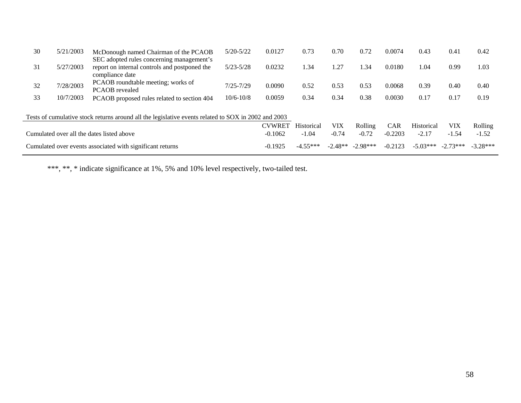| 30 | 5/21/2003 | McDonough named Chairman of the PCAOB                                                                         | $5/20 - 5/22$ | 0.0127        | 0.73       | 0.70       | 0.72      | 0.0074     | 0.43       | 0.41       | 0.42    |
|----|-----------|---------------------------------------------------------------------------------------------------------------|---------------|---------------|------------|------------|-----------|------------|------------|------------|---------|
| 31 | 5/27/2003 | SEC adopted rules concerning management's<br>report on internal controls and postponed the<br>compliance date | $5/23 - 5/28$ | 0.0232        | 1.34       | 1.27       | .34       | 0.0180     | 1.04       | 0.99       | 1.03    |
| 32 | 7/28/2003 | PCAOB roundtable meeting; works of<br><b>PCAOB</b> revealed                                                   | $7/25 - 7/29$ | 0.0090        | 0.52       | 0.53       | 0.53      | 0.0068     | 0.39       | 0.40       | 0.40    |
| 33 | 10/7/2003 | PCAOB proposed rules related to section 404                                                                   | $10/6 - 10/8$ | 0.0059        | 0.34       | 0.34       | 0.38      | 0.0030     | 0.17       | 0.17       | 0.19    |
|    |           | Tests of cumulative stock returns around all the legislative events related to SOX in 2002 and 2003           |               |               |            |            |           |            |            |            |         |
|    |           |                                                                                                               |               | <b>CVWRET</b> | Historical | VIX        | Rolling   | <b>CAR</b> | Historical | VIX        | Rolling |
|    |           | Cumulated over all the dates listed above                                                                     |               | $-0.1062$     | $-1.04$    | $-0.74$    | $-0.72$   | $-0.2203$  | $-2.17$    | $-1.54$    | $-1.52$ |
|    |           | Cumulated over events associated with significant returns                                                     | $-0.1925$     | $-4.55***$    | $-2.48**$  | $-2.98***$ | $-0.2123$ | $-5.03***$ | $-2.73***$ | $-3.28***$ |         |

\*\*\*, \*\*, \* indicate significance at 1%, 5% and 10% level respectively, two-tailed test.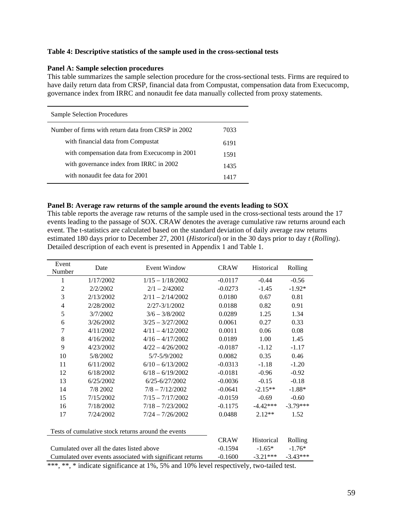#### **Table 4: Descriptive statistics of the sample used in the cross-sectional tests**

#### **Panel A: Sample selection procedures**

This table summarizes the sample selection procedure for the cross-sectional tests. Firms are required to have daily return data from CRSP, financial data from Compustat, compensation data from Execucomp, governance index from IRRC and nonaudit fee data manually collected from proxy statements.

| Sample Selection Procedures                        |      |
|----------------------------------------------------|------|
| Number of firms with return data from CRSP in 2002 | 7033 |
| with financial data from Compustat                 | 6191 |
| with compensation data from Execucomp in 2001      | 1591 |
| with governance index from IRRC in 2002            | 1435 |
| with nonaudit fee data for 2001                    | 1417 |

#### **Panel B: Average raw returns of the sample around the events leading to SOX**

This table reports the average raw returns of the sample used in the cross-sectional tests around the 17 events leading to the passage of SOX. CRAW denotes the average cumulative raw returns around each event. The t-statistics are calculated based on the standard deviation of daily average raw returns estimated 180 days prior to December 27, 2001 (*Historical*) or in the 30 days prior to day *t* (*Rolling*). Detailed description of each event is presented in Appendix 1 and Table 1.

| $-0.56$<br>$-1.92*$<br>0.81                                                                        |  |  |  |  |  |  |  |  |  |  |
|----------------------------------------------------------------------------------------------------|--|--|--|--|--|--|--|--|--|--|
|                                                                                                    |  |  |  |  |  |  |  |  |  |  |
|                                                                                                    |  |  |  |  |  |  |  |  |  |  |
|                                                                                                    |  |  |  |  |  |  |  |  |  |  |
| 0.91                                                                                               |  |  |  |  |  |  |  |  |  |  |
| 1.34                                                                                               |  |  |  |  |  |  |  |  |  |  |
| 0.33                                                                                               |  |  |  |  |  |  |  |  |  |  |
| 0.08                                                                                               |  |  |  |  |  |  |  |  |  |  |
| 1.45                                                                                               |  |  |  |  |  |  |  |  |  |  |
| $-1.17$                                                                                            |  |  |  |  |  |  |  |  |  |  |
| 0.46                                                                                               |  |  |  |  |  |  |  |  |  |  |
| $-1.20$                                                                                            |  |  |  |  |  |  |  |  |  |  |
| $-0.92$                                                                                            |  |  |  |  |  |  |  |  |  |  |
| $-0.18$                                                                                            |  |  |  |  |  |  |  |  |  |  |
| $-1.88*$                                                                                           |  |  |  |  |  |  |  |  |  |  |
| $-0.60$                                                                                            |  |  |  |  |  |  |  |  |  |  |
| $-3.79***$                                                                                         |  |  |  |  |  |  |  |  |  |  |
| 1.52                                                                                               |  |  |  |  |  |  |  |  |  |  |
| Tests of cumulative stock returns around the events                                                |  |  |  |  |  |  |  |  |  |  |
| <b>CRAW</b><br>Historical<br>Rolling                                                               |  |  |  |  |  |  |  |  |  |  |
| $-0.1594$<br>Cumulated over all the dates listed above<br>$-1.65*$<br>$-1.76*$                     |  |  |  |  |  |  |  |  |  |  |
| Cumulated over events associated with significant returns<br>$-0.1600$<br>$-3.21***$<br>$-3.43***$ |  |  |  |  |  |  |  |  |  |  |
|                                                                                                    |  |  |  |  |  |  |  |  |  |  |

\*\*\*, \*\*, \* indicate significance at 1%, 5% and 10% level respectively, two-tailed test.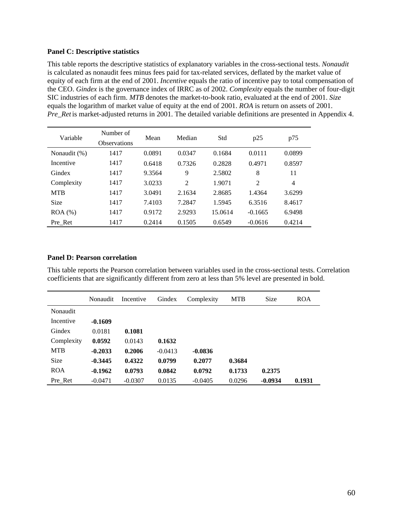#### **Panel C: Descriptive statistics**

This table reports the descriptive statistics of explanatory variables in the cross-sectional tests. *Nonaudit* is calculated as nonaudit fees minus fees paid for tax-related services, deflated by the market value of equity of each firm at the end of 2001. *Incentive* equals the ratio of incentive pay to total compensation of the CEO. *Gindex* is the governance index of IRRC as of 2002. *Complexity* equals the number of four-digit SIC industries of each firm. *MTB* denotes the market-to-book ratio, evaluated at the end of 2001. *Size* equals the logarithm of market value of equity at the end of 2001. *ROA* is return on assets of 2001. *Pre\_Ret* is market-adjusted returns in 2001. The detailed variable definitions are presented in Appendix 4.

| Variable     | Number of<br><b>Observations</b> | Mean   | Median         | Std     | p25            | p75    |
|--------------|----------------------------------|--------|----------------|---------|----------------|--------|
| Nonaudit (%) | 1417                             | 0.0891 | 0.0347         | 0.1684  | 0.0111         | 0.0899 |
| Incentive    | 1417                             | 0.6418 | 0.7326         | 0.2828  | 0.4971         | 0.8597 |
| Gindex       | 1417                             | 9.3564 | 9              | 2.5802  | 8              | 11     |
| Complexity   | 1417                             | 3.0233 | $\mathfrak{D}$ | 1.9071  | $\overline{2}$ | 4      |
| <b>MTB</b>   | 1417                             | 3.0491 | 2.1634         | 2.8685  | 1.4364         | 3.6299 |
| <b>Size</b>  | 1417                             | 7.4103 | 7.2847         | 1.5945  | 6.3516         | 8.4617 |
| $ROA (\%)$   | 1417                             | 0.9172 | 2.9293         | 15.0614 | $-0.1665$      | 6.9498 |
| Pre Ret      | 1417                             | 0.2414 | 0.1505         | 0.6549  | $-0.0616$      | 0.4214 |

#### **Panel D: Pearson correlation**

This table reports the Pearson correlation between variables used in the cross-sectional tests. Correlation coefficients that are significantly different from zero at less than 5% level are presented in bold.

|            | Nonaudit  | Incentive | Gindex    | Complexity | <b>MTB</b> | <b>Size</b> | <b>ROA</b> |
|------------|-----------|-----------|-----------|------------|------------|-------------|------------|
| Nonaudit   |           |           |           |            |            |             |            |
| Incentive  | $-0.1609$ |           |           |            |            |             |            |
| Gindex     | 0.0181    | 0.1081    |           |            |            |             |            |
| Complexity | 0.0592    | 0.0143    | 0.1632    |            |            |             |            |
| <b>MTB</b> | $-0.2033$ | 0.2006    | $-0.0413$ | $-0.0836$  |            |             |            |
| Size       | $-0.3445$ | 0.4322    | 0.0799    | 0.2077     | 0.3684     |             |            |
| <b>ROA</b> | $-0.1962$ | 0.0793    | 0.0842    | 0.0792     | 0.1733     | 0.2375      |            |
| Pre Ret    | $-0.0471$ | $-0.0307$ | 0.0135    | $-0.0405$  | 0.0296     | $-0.0934$   | 0.1931     |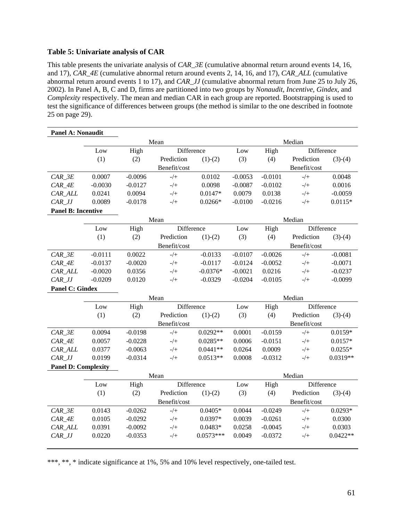## **Table 5: Univariate analysis of CAR**

This table presents the univariate analysis of *CAR\_3E* (cumulative abnormal return around events 14, 16, and 17), *CAR\_4E* (cumulative abnormal return around events 2, 14, 16, and 17), *CAR\_ALL* (cumulative abnormal return around events 1 to 17), and *CAR\_JJ* (cumulative abnormal return from June 25 to July 26, 2002). In Panel A, B, C and D, firms are partitioned into two groups by *Nonaudit*, *Incentive*, *Gindex*, and *Complexity* respectively. The mean and median CAR in each group are reported. Bootstrapping is used to test the significance of differences between groups (the method is similar to the one described in footnote 25 on page 29).

| Panel A: Nonaudit                |           |           |              |             |           |           |              |            |  |  |
|----------------------------------|-----------|-----------|--------------|-------------|-----------|-----------|--------------|------------|--|--|
|                                  |           |           | Mean         |             | Median    |           |              |            |  |  |
|                                  | Low       | High      | Difference   |             | Low       | High      | Difference   |            |  |  |
|                                  | (1)       | (2)       | Prediction   | $(1)-(2)$   | (3)       | (4)       | Prediction   | $(3)-(4)$  |  |  |
|                                  |           |           | Benefit/cost |             |           |           | Benefit/cost |            |  |  |
| $CAR$ $3E$                       | 0.0007    | $-0.0096$ | $-/+$        | 0.0102      | $-0.0053$ | $-0.0101$ | $-/+$        | 0.0048     |  |  |
| $CAR_4E$                         | $-0.0030$ | $-0.0127$ | $-/+$        | 0.0098      | $-0.0087$ | $-0.0102$ | $-/+$        | 0.0016     |  |  |
| CAR_ALL                          | 0.0241    | 0.0094    | $-/+$        | $0.0147*$   | 0.0079    | 0.0138    | $-/+$        | $-0.0059$  |  |  |
| $CAR_JJ$                         | 0.0089    | $-0.0178$ | $-/+$        | $0.0266*$   | $-0.0100$ | $-0.0216$ | $-/+$        | $0.0115*$  |  |  |
| <b>Panel B: Incentive</b>        |           |           |              |             |           |           |              |            |  |  |
|                                  |           |           | Mean         |             |           |           | Median       |            |  |  |
|                                  | Low       | High      | Difference   |             | Low       | High      | Difference   |            |  |  |
|                                  | (1)       | (2)       | Prediction   | $(1)-(2)$   | (3)       | (4)       | Prediction   | $(3)-(4)$  |  |  |
|                                  |           |           | Benefit/cost |             |           |           | Benefit/cost |            |  |  |
| $CAR$ <sub><math>3E</math></sub> | $-0.0111$ | 0.0022    | $-/+$        | $-0.0133$   | $-0.0107$ | $-0.0026$ | $-/+$        | $-0.0081$  |  |  |
| $CAR_4E$                         | $-0.0137$ | $-0.0020$ | $-/+$        | $-0.0117$   | $-0.0124$ | $-0.0052$ | $-/+$        | $-0.0071$  |  |  |
| CAR_ALL                          | $-0.0020$ | 0.0356    | $-/+$        | $-0.0376*$  | $-0.0021$ | 0.0216    | $-/+$        | $-0.0237$  |  |  |
| $CAR_JJ$                         | $-0.0209$ | 0.0120    | $-/+$        | $-0.0329$   | $-0.0204$ | $-0.0105$ | $-/+$        | $-0.0099$  |  |  |
| <b>Panel C: Gindex</b>           |           |           |              |             |           |           |              |            |  |  |
|                                  |           |           | Mean         |             |           |           | Median       |            |  |  |
|                                  | Low       | High      | Difference   |             | Low       | High      | Difference   |            |  |  |
|                                  | (1)       | (2)       | Prediction   | $(1)-(2)$   | (3)       | (4)       | Prediction   | $(3)-(4)$  |  |  |
|                                  |           |           | Benefit/cost |             |           |           | Benefit/cost |            |  |  |
| $CAR$ <sub><math>3E</math></sub> | 0.0094    | $-0.0198$ | $-/+$        | $0.0292**$  | 0.0001    | $-0.0159$ | $-/+$        | $0.0159*$  |  |  |
| $CAR_4E$                         | 0.0057    | $-0.0228$ | $-/+$        | $0.0285**$  | 0.0006    | $-0.0151$ | $-/+$        | $0.0157*$  |  |  |
| CAR_ALL                          | 0.0377    | $-0.0063$ | $-/+$        | $0.0441**$  | 0.0264    | 0.0009    | $-/+$        | $0.0255*$  |  |  |
| $CAR\_JJ$                        | 0.0199    | $-0.0314$ | $-/+$        | $0.0513**$  | 0.0008    | $-0.0312$ | $-/+$        | $0.0319**$ |  |  |
| <b>Panel D: Complexity</b>       |           |           |              |             |           |           |              |            |  |  |
|                                  |           |           | Mean         |             |           |           | Median       |            |  |  |
|                                  | Low       | High      | Difference   |             | Low       | High      | Difference   |            |  |  |
|                                  | (1)       | (2)       | Prediction   | $(1)-(2)$   | (3)       | (4)       | Prediction   | $(3)-(4)$  |  |  |
|                                  |           |           | Benefit/cost |             |           |           | Benefit/cost |            |  |  |
| $CAR$ <sub><math>3E</math></sub> | 0.0143    | $-0.0262$ | $-/+$        | $0.0405*$   | 0.0044    | $-0.0249$ | $-/+$        | $0.0293*$  |  |  |
| $CAR_4E$                         | 0.0105    | $-0.0292$ | $-/+$        | 0.0397*     | 0.0039    | $-0.0261$ | $-/+$        | 0.0300     |  |  |
| CAR_ALL                          | 0.0391    | $-0.0092$ | $-/+$        | $0.0483*$   | 0.0258    | $-0.0045$ | $-/+$        | 0.0303     |  |  |
| $CAR_JJ$                         | 0.0220    | $-0.0353$ | $-/+$        | $0.0573***$ | 0.0049    | $-0.0372$ | $-/+$        | $0.0422**$ |  |  |
|                                  |           |           |              |             |           |           |              |            |  |  |

\*\*\*, \*\*, \* indicate significance at 1%, 5% and 10% level respectively, one-tailed test.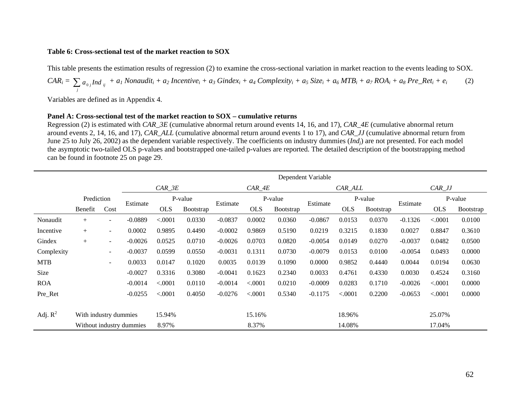## **Table 6: Cross-sectional test of the market reaction to SOX**

This table presents the estimation results of regression (2) to examine the cross-sectional variation in market reaction to the events leading to SOX.

$$
CAR_i = \sum_j a_{0j} Ind_{ij} + a_l \text{ Nonaudit}_i + a_2 \text{ Incentive}_i + a_3 \text{ Gindex}_i + a_4 \text{ Complexity}_i + a_5 \text{ Size}_i + a_6 \text{ MTB}_i + a_7 \text{ROA}_i + a_8 \text{ Pre\_Ret}_i + e_i
$$
 (2)

Variables are defined as in Appendix 4.

#### **Panel A: Cross-sectional test of the market reaction to SOX – cumulative returns**

Regression (2) is estimated with *CAR\_3E* (cumulative abnormal return around events 14, 16, and 17), *CAR\_4E* (cumulative abnormal return around events 2, 14, 16, and 17), *CAR\_ALL* (cumulative abnormal return around events 1 to 17), and *CAR\_JJ* (cumulative abnormal return from June 25 to July 26, 2002) as the dependent variable respectively. The coefficients on industry dummies (*Indj*) are not presented. For each model the asymptotic two-tailed OLS p-values and bootstrapped one-tailed p-values are reported. The detailed description of the bootstrapping method can be found in footnote 25 on page 29.

|            |                                                   |                          |           |            |           |           |            |           | Dependent Variable |            |           |           |            |           |
|------------|---------------------------------------------------|--------------------------|-----------|------------|-----------|-----------|------------|-----------|--------------------|------------|-----------|-----------|------------|-----------|
|            |                                                   |                          |           | CAR 3E     |           |           | $CAR_4E$   |           |                    | CAR ALL    |           | $CAR_JJ$  |            |           |
|            | Prediction                                        |                          |           | P-value    |           |           |            | P-value   |                    | P-value    |           |           | P-value    |           |
|            | Benefit                                           | Cost                     | Estimate  | <b>OLS</b> | Bootstrap | Estimate  | <b>OLS</b> | Bootstrap | Estimate           | <b>OLS</b> | Bootstrap | Estimate  | <b>OLS</b> | Bootstrap |
| Nonaudit   | $+$                                               | $\sim$                   | $-0.0889$ | < .0001    | 0.0330    | $-0.0837$ | 0.0002     | 0.0360    | $-0.0867$          | 0.0153     | 0.0370    | $-0.1326$ | < .0001    | 0.0100    |
| Incentive  | $+$                                               | $\sim$                   | 0.0002    | 0.9895     | 0.4490    | $-0.0002$ | 0.9869     | 0.5190    | 0.0219             | 0.3215     | 0.1830    | 0.0027    | 0.8847     | 0.3610    |
| Gindex     | $^{+}$                                            | $\overline{\phantom{a}}$ | $-0.0026$ | 0.0525     | 0.0710    | $-0.0026$ | 0.0703     | 0.0820    | $-0.0054$          | 0.0149     | 0.0270    | $-0.0037$ | 0.0482     | 0.0500    |
| Complexity |                                                   | $\overline{\phantom{a}}$ | $-0.0037$ | 0.0599     | 0.0550    | $-0.0031$ | 0.1311     | 0.0730    | $-0.0079$          | 0.0153     | 0.0100    | $-0.0054$ | 0.0493     | 0.0000    |
| <b>MTB</b> |                                                   | $\sim$                   | 0.0033    | 0.0147     | 0.1020    | 0.0035    | 0.0139     | 0.1090    | 0.0000             | 0.9852     | 0.4440    | 0.0044    | 0.0194     | 0.0630    |
| Size       |                                                   |                          | $-0.0027$ | 0.3316     | 0.3080    | $-0.0041$ | 0.1623     | 0.2340    | 0.0033             | 0.4761     | 0.4330    | 0.0030    | 0.4524     | 0.3160    |
| <b>ROA</b> |                                                   |                          | $-0.0014$ | < 0.0001   | 0.0110    | $-0.0014$ | < .0001    | 0.0210    | $-0.0009$          | 0.0283     | 0.1710    | $-0.0026$ | < .0001    | 0.0000    |
| Pre_Ret    |                                                   |                          | $-0.0255$ | < .0001    | 0.4050    | $-0.0276$ | < .0001    | 0.5340    | $-0.1175$          | < .0001    | 0.2200    | $-0.0653$ | < .0001    | 0.0000    |
|            |                                                   |                          |           |            |           |           |            |           |                    |            |           |           |            |           |
| Adj. $R^2$ |                                                   |                          |           | 15.94%     |           |           | 15.16%     |           |                    | 18.96%     |           |           | 25.07%     |           |
|            | With industry dummies<br>Without industry dummies |                          |           | 8.97%      |           |           | 8.37%      |           |                    | 14.08%     |           |           | 17.04%     |           |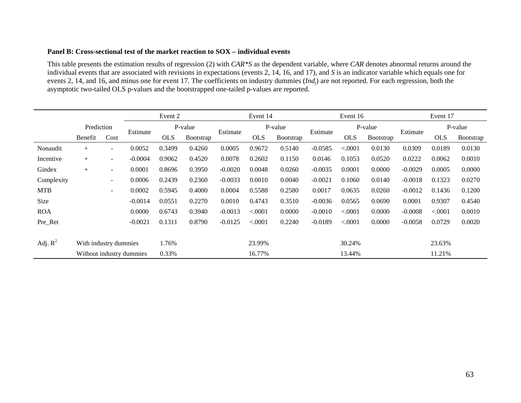#### **Panel B: Cross-sectional test of the market reaction to SOX – individual events**

This table presents the estimation results of regression (2) with *CAR\*S* as the dependent variable, where *CAR* denotes abnormal returns around the individual events that are associated with revisions in expectations (events 2, 14, 16, and 17), and *S* is an indicator variable which equals one for events 2, 14, and 16, and minus one for event 17. The coefficients on industry dummies (*Indj*) are not reported. For each regression, both the asymptotic two-tailed OLS p-values and the bootstrapped one-tailed p-values are reported.

|            |                          |                          |           | Event 2    |           |           | Event 14   |           |           | Event 16   |           |           | Event 17   |           |
|------------|--------------------------|--------------------------|-----------|------------|-----------|-----------|------------|-----------|-----------|------------|-----------|-----------|------------|-----------|
|            | Prediction               |                          |           | P-value    |           |           |            | P-value   |           |            | P-value   |           |            | P-value   |
|            | Benefit                  | Cost                     | Estimate  | <b>OLS</b> | Bootstrap | Estimate  | <b>OLS</b> | Bootstrap | Estimate  | <b>OLS</b> | Bootstrap | Estimate  | <b>OLS</b> | Bootstrap |
| Nonaudit   | $+$                      | н.                       | 0.0052    | 0.3499     | 0.4260    | 0.0005    | 0.9672     | 0.5140    | $-0.0585$ | < .0001    | 0.0130    | 0.0309    | 0.0189     | 0.0130    |
| Incentive  | $^{+}$                   | $\overline{\phantom{0}}$ | $-0.0004$ | 0.9062     | 0.4520    | 0.0078    | 0.2602     | 0.1150    | 0.0146    | 0.1053     | 0.0520    | 0.0222    | 0.0062     | 0.0010    |
| Gindex     | $^{+}$                   | $\overline{\phantom{0}}$ | 0.0001    | 0.8696     | 0.3950    | $-0.0020$ | 0.0048     | 0.0260    | $-0.0035$ | 0.0001     | 0.0000    | $-0.0029$ | 0.0005     | 0.0000    |
| Complexity |                          | $\sim$                   | 0.0006    | 0.2439     | 0.2360    | $-0.0033$ | 0.0010     | 0.0040    | $-0.0021$ | 0.1060     | 0.0140    | $-0.0018$ | 0.1323     | 0.0270    |
| <b>MTB</b> |                          | $\sim$                   | 0.0002    | 0.5945     | 0.4000    | 0.0004    | 0.5588     | 0.2580    | 0.0017    | 0.0635     | 0.0260    | $-0.0012$ | 0.1436     | 0.1200    |
| Size       |                          |                          | $-0.0014$ | 0.0551     | 0.2270    | 0.0010    | 0.4743     | 0.3510    | $-0.0036$ | 0.0565     | 0.0690    | 0.0001    | 0.9307     | 0.4540    |
| <b>ROA</b> |                          |                          | 0.0000    | 0.6743     | 0.3940    | $-0.0013$ | < .0001    | 0.0000    | $-0.0010$ | < .0001    | 0.0000    | $-0.0008$ | < .0001    | 0.0010    |
| Pre_Ret    |                          |                          | $-0.0021$ | 0.1311     | 0.8790    | $-0.0125$ | < .0001    | 0.2240    | $-0.0189$ | < .0001    | 0.0000    | $-0.0058$ | 0.0729     | 0.0020    |
|            |                          |                          |           |            |           |           |            |           |           |            |           |           |            |           |
| Adj. $R^2$ | With industry dummies    |                          |           | 1.76%      |           |           | 23.99%     |           |           | 30.24%     |           |           | 23.63%     |           |
|            | Without industry dummies |                          | 0.33%     |            |           |           | 16.77%     |           |           |            | 11.21%    |           |            |           |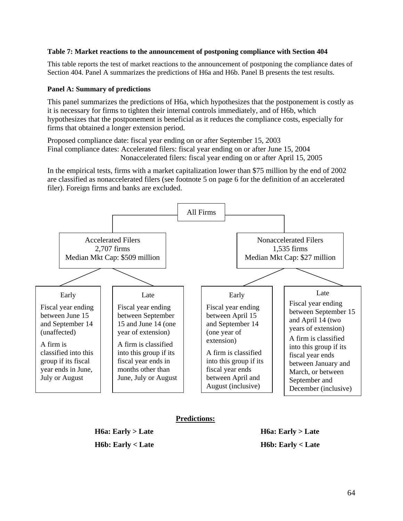## **Table 7: Market reactions to the announcement of postponing compliance with Section 404**

This table reports the test of market reactions to the announcement of postponing the compliance dates of Section 404. Panel A summarizes the predictions of H6a and H6b. Panel B presents the test results.

## **Panel A: Summary of predictions**

This panel summarizes the predictions of H6a, which hypothesizes that the postponement is costly as it is necessary for firms to tighten their internal controls immediately, and of H6b, which hypothesizes that the postponement is beneficial as it reduces the compliance costs, especially for firms that obtained a longer extension period.

Proposed compliance date: fiscal year ending on or after September 15, 2003 Final compliance dates: Accelerated filers: fiscal year ending on or after June 15, 2004 Nonaccelerated filers: fiscal year ending on or after April 15, 2005

In the empirical tests, firms with a market capitalization lower than \$75 million by the end of 2002 are classified as nonaccelerated filers (see footnote 5 on page 6 for the definition of an accelerated filer). Foreign firms and banks are excluded.



## **Predictions:**

**H6a: Early > Late H6a: Early > Late H6b: Early < Late H6b: Early < Late**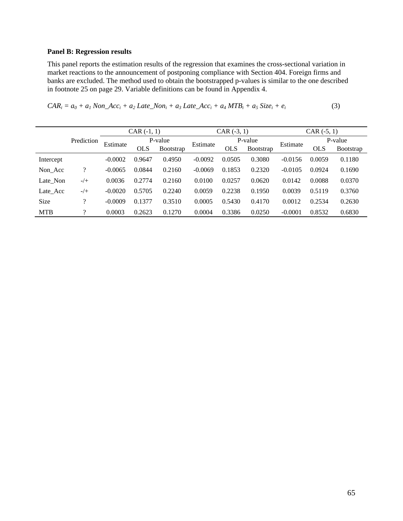## **Panel B: Regression results**

This panel reports the estimation results of the regression that examines the cross-sectional variation in market reactions to the announcement of postponing compliance with Section 404. Foreign firms and banks are excluded. The method used to obtain the bootstrapped p-values is similar to the one described in footnote 25 on page 29. Variable definitions can be found in Appendix 4.

| $CAR_i = a_0 + a_1 \text{Non\_Acc}_i + a_2 \text{ Late\_Non}_i + a_3 \text{ Late\_Acc}_i + a_4 \text{MTB}_i + a_5 \text{ Size}_i + e_i$ | (3) |
|-----------------------------------------------------------------------------------------------------------------------------------------|-----|
|-----------------------------------------------------------------------------------------------------------------------------------------|-----|

|             |            |           | $CAR(-1, 1)$ |           |           | $CAR$ $(-3, 1)$ |           | $CAR (-5, 1)$ |            |           |  |
|-------------|------------|-----------|--------------|-----------|-----------|-----------------|-----------|---------------|------------|-----------|--|
|             | Prediction | Estimate  |              | P-value   | Estimate  |                 | P-value   | Estimate      |            | P-value   |  |
|             |            |           | <b>OLS</b>   | Bootstrap |           | <b>OLS</b>      | Bootstrap |               | <b>OLS</b> | Bootstrap |  |
| Intercept   |            | $-0.0002$ | 0.9647       | 0.4950    | $-0.0092$ | 0.0505          | 0.3080    | $-0.0156$     | 0.0059     | 0.1180    |  |
| Non_Acc     | ?          | $-0.0065$ | 0.0844       | 0.2160    | $-0.0069$ | 0.1853          | 0.2320    | $-0.0105$     | 0.0924     | 0.1690    |  |
| Late Non    | $-/+$      | 0.0036    | 0.2774       | 0.2160    | 0.0100    | 0.0257          | 0.0620    | 0.0142        | 0.0088     | 0.0370    |  |
| Late Acc    | $-/+$      | $-0.0020$ | 0.5705       | 0.2240    | 0.0059    | 0.2238          | 0.1950    | 0.0039        | 0.5119     | 0.3760    |  |
| <b>Size</b> | າ          | $-0.0009$ | 0.1377       | 0.3510    | 0.0005    | 0.5430          | 0.4170    | 0.0012        | 0.2534     | 0.2630    |  |
| <b>MTB</b>  | າ          | 0.0003    | 0.2623       | 0.1270    | 0.0004    | 0.3386          | 0.0250    | $-0.0001$     | 0.8532     | 0.6830    |  |